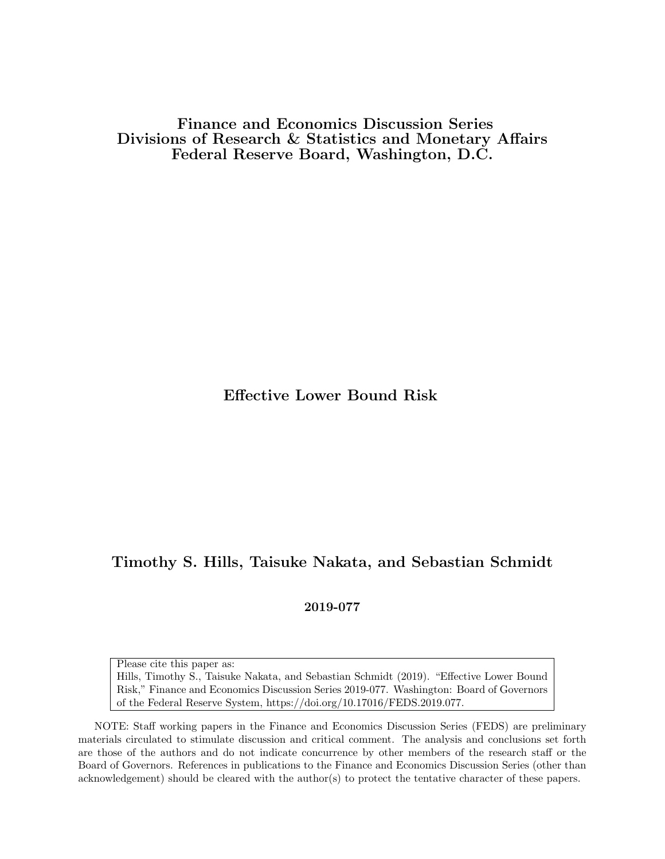Finance and Economics Discussion Series Divisions of Research & Statistics and Monetary Affairs Federal Reserve Board, Washington, D.C.

Effective Lower Bound Risk

# Timothy S. Hills, Taisuke Nakata, and Sebastian Schmidt

2019-077

Please cite this paper as:

Hills, Timothy S., Taisuke Nakata, and Sebastian Schmidt (2019). "Effective Lower Bound Risk," Finance and Economics Discussion Series 2019-077. Washington: Board of Governors of the Federal Reserve System, https://doi.org/10.17016/FEDS.2019.077.

NOTE: Staff working papers in the Finance and Economics Discussion Series (FEDS) are preliminary materials circulated to stimulate discussion and critical comment. The analysis and conclusions set forth are those of the authors and do not indicate concurrence by other members of the research staff or the Board of Governors. References in publications to the Finance and Economics Discussion Series (other than acknowledgement) should be cleared with the author(s) to protect the tentative character of these papers.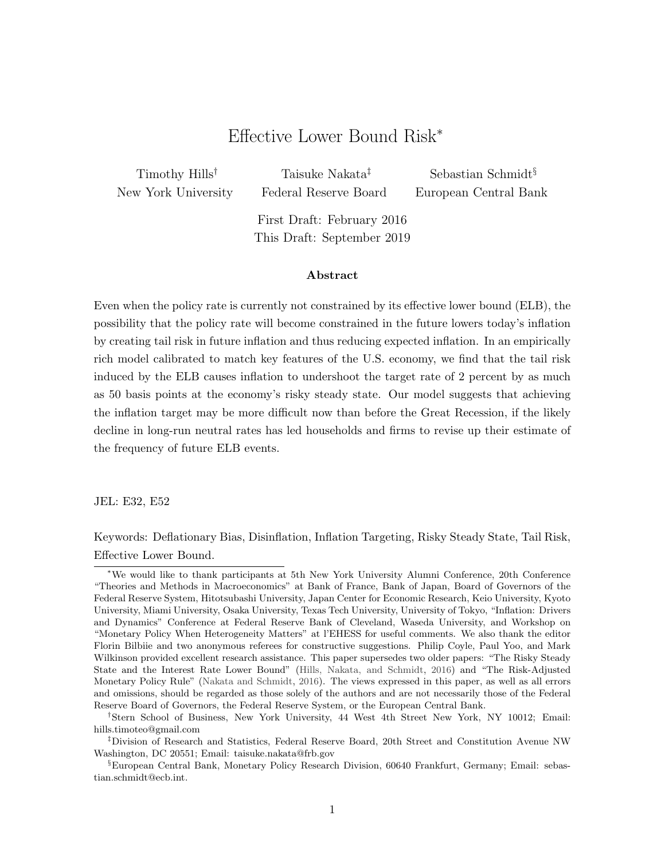# Effective Lower Bound Risk<sup>∗</sup>

Timothy Hills† New York University

Taisuke Nakata‡ Federal Reserve Board

Sebastian Schmidt§ European Central Bank

First Draft: February 2016 This Draft: September 2019

#### Abstract

Even when the policy rate is currently not constrained by its effective lower bound (ELB), the possibility that the policy rate will become constrained in the future lowers today's inflation by creating tail risk in future inflation and thus reducing expected inflation. In an empirically rich model calibrated to match key features of the U.S. economy, we find that the tail risk induced by the ELB causes inflation to undershoot the target rate of 2 percent by as much as 50 basis points at the economy's risky steady state. Our model suggests that achieving the inflation target may be more difficult now than before the Great Recession, if the likely decline in long-run neutral rates has led households and firms to revise up their estimate of the frequency of future ELB events.

JEL: E32, E52

Keywords: Deflationary Bias, Disinflation, Inflation Targeting, Risky Steady State, Tail Risk, Effective Lower Bound.

<sup>∗</sup>We would like to thank participants at 5th New York University Alumni Conference, 20th Conference "Theories and Methods in Macroeconomics" at Bank of France, Bank of Japan, Board of Governors of the Federal Reserve System, Hitotsubashi University, Japan Center for Economic Research, Keio University, Kyoto University, Miami University, Osaka University, Texas Tech University, University of Tokyo, "Inflation: Drivers and Dynamics" Conference at Federal Reserve Bank of Cleveland, Waseda University, and Workshop on "Monetary Policy When Heterogeneity Matters" at l'EHESS for useful comments. We also thank the editor Florin Bilbiie and two anonymous referees for constructive suggestions. Philip Coyle, Paul Yoo, and Mark Wilkinson provided excellent research assistance. This paper supersedes two older papers: "The Risky Steady State and the Interest Rate Lower Bound" [\(Hills, Nakata, and Schmidt,](#page-43-0) [2016\)](#page-43-0) and "The Risk-Adjusted Monetary Policy Rule" [\(Nakata and Schmidt,](#page-44-0) [2016\)](#page-44-0). The views expressed in this paper, as well as all errors and omissions, should be regarded as those solely of the authors and are not necessarily those of the Federal Reserve Board of Governors, the Federal Reserve System, or the European Central Bank.

<sup>†</sup>Stern School of Business, New York University, 44 West 4th Street New York, NY 10012; Email: hills.timoteo@gmail.com

<sup>‡</sup>Division of Research and Statistics, Federal Reserve Board, 20th Street and Constitution Avenue NW Washington, DC 20551; Email: taisuke.nakata@frb.gov

<sup>§</sup>European Central Bank, Monetary Policy Research Division, 60640 Frankfurt, Germany; Email: sebastian.schmidt@ecb.int.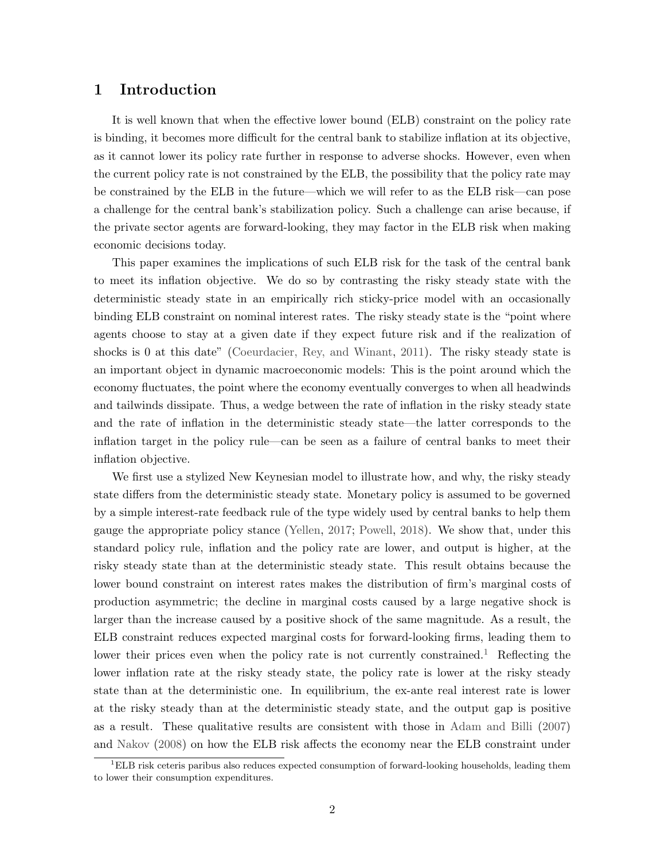## <span id="page-2-1"></span>1 Introduction

It is well known that when the effective lower bound (ELB) constraint on the policy rate is binding, it becomes more difficult for the central bank to stabilize inflation at its objective, as it cannot lower its policy rate further in response to adverse shocks. However, even when the current policy rate is not constrained by the ELB, the possibility that the policy rate may be constrained by the ELB in the future—which we will refer to as the ELB risk—can pose a challenge for the central bank's stabilization policy. Such a challenge can arise because, if the private sector agents are forward-looking, they may factor in the ELB risk when making economic decisions today.

This paper examines the implications of such ELB risk for the task of the central bank to meet its inflation objective. We do so by contrasting the risky steady state with the deterministic steady state in an empirically rich sticky-price model with an occasionally binding ELB constraint on nominal interest rates. The risky steady state is the "point where agents choose to stay at a given date if they expect future risk and if the realization of shocks is 0 at this date" [\(Coeurdacier, Rey, and Winant,](#page-42-0) [2011\)](#page-42-0). The risky steady state is an important object in dynamic macroeconomic models: This is the point around which the economy fluctuates, the point where the economy eventually converges to when all headwinds and tailwinds dissipate. Thus, a wedge between the rate of inflation in the risky steady state and the rate of inflation in the deterministic steady state—the latter corresponds to the inflation target in the policy rule—can be seen as a failure of central banks to meet their inflation objective.

We first use a stylized New Keynesian model to illustrate how, and why, the risky steady state differs from the deterministic steady state. Monetary policy is assumed to be governed by a simple interest-rate feedback rule of the type widely used by central banks to help them gauge the appropriate policy stance [\(Yellen,](#page-45-0) [2017;](#page-45-0) [Powell,](#page-44-1) [2018\)](#page-44-1). We show that, under this standard policy rule, inflation and the policy rate are lower, and output is higher, at the risky steady state than at the deterministic steady state. This result obtains because the lower bound constraint on interest rates makes the distribution of firm's marginal costs of production asymmetric; the decline in marginal costs caused by a large negative shock is larger than the increase caused by a positive shock of the same magnitude. As a result, the ELB constraint reduces expected marginal costs for forward-looking firms, leading them to lower their prices even when the policy rate is not currently constrained.<sup>[1](#page-2-0)</sup> Reflecting the lower inflation rate at the risky steady state, the policy rate is lower at the risky steady state than at the deterministic one. In equilibrium, the ex-ante real interest rate is lower at the risky steady than at the deterministic steady state, and the output gap is positive as a result. These qualitative results are consistent with those in [Adam and Billi](#page-40-0) [\(2007\)](#page-40-0) and [Nakov](#page-44-2) [\(2008\)](#page-44-2) on how the ELB risk affects the economy near the ELB constraint under

<span id="page-2-0"></span> ${}^{1}$ ELB risk ceteris paribus also reduces expected consumption of forward-looking households, leading them to lower their consumption expenditures.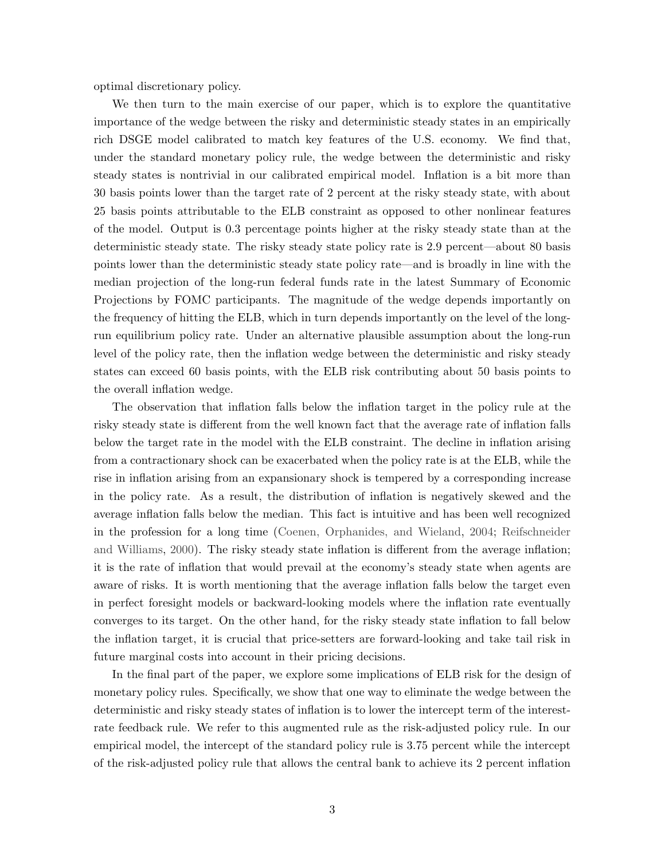optimal discretionary policy.

We then turn to the main exercise of our paper, which is to explore the quantitative importance of the wedge between the risky and deterministic steady states in an empirically rich DSGE model calibrated to match key features of the U.S. economy. We find that, under the standard monetary policy rule, the wedge between the deterministic and risky steady states is nontrivial in our calibrated empirical model. Inflation is a bit more than 30 basis points lower than the target rate of 2 percent at the risky steady state, with about 25 basis points attributable to the ELB constraint as opposed to other nonlinear features of the model. Output is 0.3 percentage points higher at the risky steady state than at the deterministic steady state. The risky steady state policy rate is 2.9 percent—about 80 basis points lower than the deterministic steady state policy rate—and is broadly in line with the median projection of the long-run federal funds rate in the latest Summary of Economic Projections by FOMC participants. The magnitude of the wedge depends importantly on the frequency of hitting the ELB, which in turn depends importantly on the level of the longrun equilibrium policy rate. Under an alternative plausible assumption about the long-run level of the policy rate, then the inflation wedge between the deterministic and risky steady states can exceed 60 basis points, with the ELB risk contributing about 50 basis points to the overall inflation wedge.

The observation that inflation falls below the inflation target in the policy rule at the risky steady state is different from the well known fact that the average rate of inflation falls below the target rate in the model with the ELB constraint. The decline in inflation arising from a contractionary shock can be exacerbated when the policy rate is at the ELB, while the rise in inflation arising from an expansionary shock is tempered by a corresponding increase in the policy rate. As a result, the distribution of inflation is negatively skewed and the average inflation falls below the median. This fact is intuitive and has been well recognized in the profession for a long time [\(Coenen, Orphanides, and Wieland,](#page-41-0) [2004;](#page-41-0) [Reifschneider](#page-44-3) [and Williams,](#page-44-3) [2000\)](#page-44-3). The risky steady state inflation is different from the average inflation; it is the rate of inflation that would prevail at the economy's steady state when agents are aware of risks. It is worth mentioning that the average inflation falls below the target even in perfect foresight models or backward-looking models where the inflation rate eventually converges to its target. On the other hand, for the risky steady state inflation to fall below the inflation target, it is crucial that price-setters are forward-looking and take tail risk in future marginal costs into account in their pricing decisions.

In the final part of the paper, we explore some implications of ELB risk for the design of monetary policy rules. Specifically, we show that one way to eliminate the wedge between the deterministic and risky steady states of inflation is to lower the intercept term of the interestrate feedback rule. We refer to this augmented rule as the risk-adjusted policy rule. In our empirical model, the intercept of the standard policy rule is 3.75 percent while the intercept of the risk-adjusted policy rule that allows the central bank to achieve its 2 percent inflation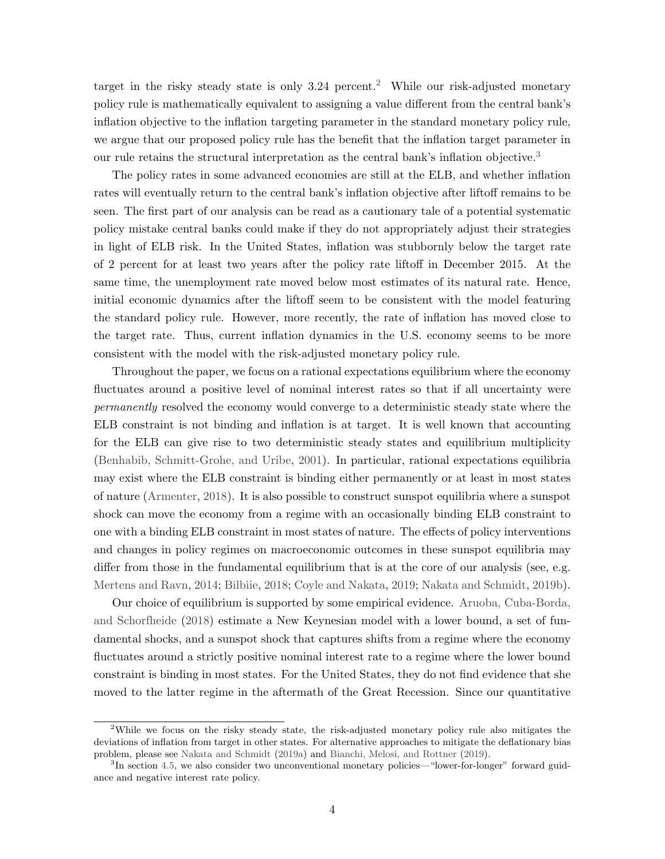target in the risky steady state is only  $3.24$  $3.24$  $3.24$  percent.<sup>2</sup> While our risk-adjusted monetary policy rule is mathematically equivalent to assigning a value different from the central bank's inflation objective to the inflation targeting parameter in the standard monetary policy rule, we argue that our proposed policy rule has the benefit that the inflation target parameter in our rule retains the structural interpretation as the central bank's inflation objective.<sup>[3](#page-4-1)</sup>

The policy rates in some advanced economies are still at the ELB, and whether inflation rates will eventually return to the central bank's inflation objective after liftoff remains to be seen. The first part of our analysis can be read as a cautionary tale of a potential systematic policy mistake central banks could make if they do not appropriately adjust their strategies in light of ELB risk. In the United States, inflation was stubbornly below the target rate of 2 percent for at least two years after the policy rate liftoff in December 2015. At the same time, the unemployment rate moved below most estimates of its natural rate. Hence, initial economic dynamics after the liftoff seem to be consistent with the model featuring the standard policy rule. However, more recently, the rate of inflation has moved close to the target rate. Thus, current inflation dynamics in the U.S. economy seems to be more consistent with the model with the risk-adjusted monetary policy rule.

Throughout the paper, we focus on a rational expectations equilibrium where the economy fluctuates around a positive level of nominal interest rates so that if all uncertainty were permanently resolved the economy would converge to a deterministic steady state where the ELB constraint is not binding and inflation is at target. It is well known that accounting for the ELB can give rise to two deterministic steady states and equilibrium multiplicity [\(Benhabib, Schmitt-Grohe, and Uribe,](#page-41-1) [2001\)](#page-41-1). In particular, rational expectations equilibria may exist where the ELB constraint is binding either permanently or at least in most states of nature [\(Armenter,](#page-40-1) [2018\)](#page-40-1). It is also possible to construct sunspot equilibria where a sunspot shock can move the economy from a regime with an occasionally binding ELB constraint to one with a binding ELB constraint in most states of nature. The effects of policy interventions and changes in policy regimes on macroeconomic outcomes in these sunspot equilibria may differ from those in the fundamental equilibrium that is at the core of our analysis (see, e.g. [Mertens and Ravn,](#page-44-4) [2014;](#page-44-4) [Bilbiie,](#page-41-2) [2018;](#page-41-2) [Coyle and Nakata,](#page-42-1) [2019;](#page-42-1) [Nakata and Schmidt,](#page-44-5) [2019b\)](#page-44-5).

Our choice of equilibrium is supported by some empirical evidence. [Aruoba, Cuba-Borda,](#page-41-3) [and Schorfheide](#page-41-3) [\(2018\)](#page-41-3) estimate a New Keynesian model with a lower bound, a set of fundamental shocks, and a sunspot shock that captures shifts from a regime where the economy fluctuates around a strictly positive nominal interest rate to a regime where the lower bound constraint is binding in most states. For the United States, they do not find evidence that she moved to the latter regime in the aftermath of the Great Recession. Since our quantitative

<span id="page-4-0"></span><sup>&</sup>lt;sup>2</sup>While we focus on the risky steady state, the risk-adjusted monetary policy rule also mitigates the deviations of inflation from target in other states. For alternative approaches to mitigate the deflationary bias problem, please see [Nakata and Schmidt](#page-44-6) [\(2019a\)](#page-44-6) and [Bianchi, Melosi, and Rottner](#page-41-4) [\(2019\)](#page-41-4).

<span id="page-4-1"></span><sup>&</sup>lt;sup>3</sup>In section [4.5,](#page-26-0) we also consider two unconventional monetary policies—"lower-for-longer" forward guidance and negative interest rate policy.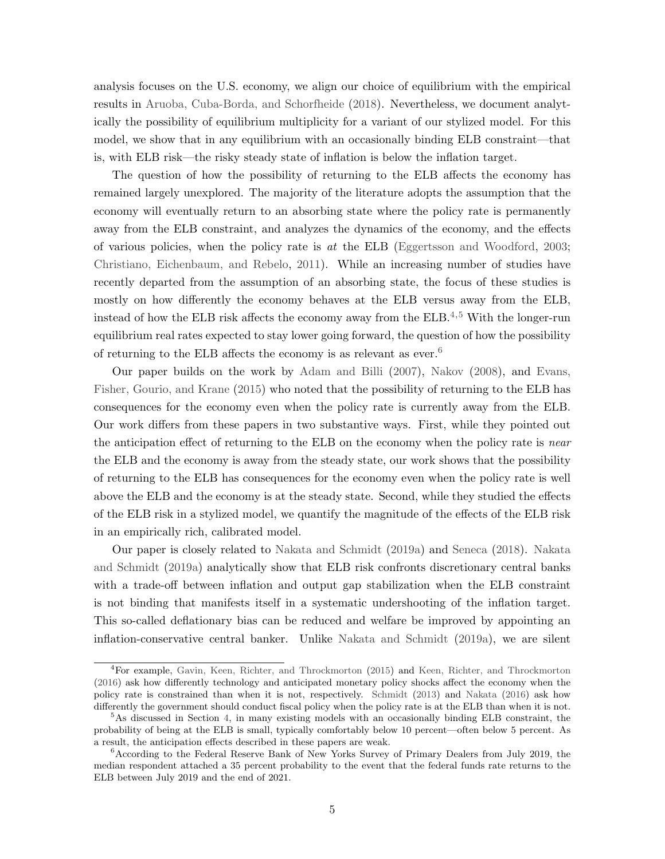analysis focuses on the U.S. economy, we align our choice of equilibrium with the empirical results in [Aruoba, Cuba-Borda, and Schorfheide](#page-41-3) [\(2018\)](#page-41-3). Nevertheless, we document analytically the possibility of equilibrium multiplicity for a variant of our stylized model. For this model, we show that in any equilibrium with an occasionally binding ELB constraint—that is, with ELB risk—the risky steady state of inflation is below the inflation target.

The question of how the possibility of returning to the ELB affects the economy has remained largely unexplored. The majority of the literature adopts the assumption that the economy will eventually return to an absorbing state where the policy rate is permanently away from the ELB constraint, and analyzes the dynamics of the economy, and the effects of various policies, when the policy rate is  $at$  the ELB [\(Eggertsson and Woodford,](#page-42-2) [2003;](#page-42-2) [Christiano, Eichenbaum, and Rebelo,](#page-41-5) [2011\)](#page-41-5). While an increasing number of studies have recently departed from the assumption of an absorbing state, the focus of these studies is mostly on how differently the economy behaves at the ELB versus away from the ELB, instead of how the ELB risk affects the economy away from the  $ELE<sup>4,5</sup>$  $ELE<sup>4,5</sup>$  $ELE<sup>4,5</sup>$  $ELE<sup>4,5</sup>$  $ELE<sup>4,5</sup>$  With the longer-run equilibrium real rates expected to stay lower going forward, the question of how the possibility of returning to the ELB affects the economy is as relevant as ever.<sup>[6](#page-5-2)</sup>

Our paper builds on the work by [Adam and Billi](#page-40-0) [\(2007\)](#page-40-0), [Nakov](#page-44-2) [\(2008\)](#page-44-2), and [Evans,](#page-43-1) [Fisher, Gourio, and Krane](#page-43-1) [\(2015\)](#page-43-1) who noted that the possibility of returning to the ELB has consequences for the economy even when the policy rate is currently away from the ELB. Our work differs from these papers in two substantive ways. First, while they pointed out the anticipation effect of returning to the ELB on the economy when the policy rate is near the ELB and the economy is away from the steady state, our work shows that the possibility of returning to the ELB has consequences for the economy even when the policy rate is well above the ELB and the economy is at the steady state. Second, while they studied the effects of the ELB risk in a stylized model, we quantify the magnitude of the effects of the ELB risk in an empirically rich, calibrated model.

Our paper is closely related to [Nakata and Schmidt](#page-44-6) [\(2019a\)](#page-44-6) and [Seneca](#page-45-1) [\(2018\)](#page-45-1). [Nakata](#page-44-6) [and Schmidt](#page-44-6) [\(2019a\)](#page-44-6) analytically show that ELB risk confronts discretionary central banks with a trade-off between inflation and output gap stabilization when the ELB constraint is not binding that manifests itself in a systematic undershooting of the inflation target. This so-called deflationary bias can be reduced and welfare be improved by appointing an inflation-conservative central banker. Unlike [Nakata and Schmidt](#page-44-6) [\(2019a\)](#page-44-6), we are silent

<span id="page-5-0"></span> $^{4}$ For example, [Gavin, Keen, Richter, and Throckmorton](#page-43-2) [\(2015\)](#page-43-2) and [Keen, Richter, and Throckmorton](#page-43-3) [\(2016\)](#page-43-3) ask how differently technology and anticipated monetary policy shocks affect the economy when the policy rate is constrained than when it is not, respectively. [Schmidt](#page-45-2) [\(2013\)](#page-45-2) and [Nakata](#page-44-7) [\(2016\)](#page-44-7) ask how differently the government should conduct fiscal policy when the policy rate is at the ELB than when it is not.

<span id="page-5-1"></span><sup>&</sup>lt;sup>5</sup>As discussed in Section [4,](#page-17-0) in many existing models with an occasionally binding ELB constraint, the probability of being at the ELB is small, typically comfortably below 10 percent—often below 5 percent. As a result, the anticipation effects described in these papers are weak.

<span id="page-5-2"></span><sup>&</sup>lt;sup>6</sup> According to the Federal Reserve Bank of New Yorks Survey of Primary Dealers from July 2019, the median respondent attached a 35 percent probability to the event that the federal funds rate returns to the ELB between July 2019 and the end of 2021.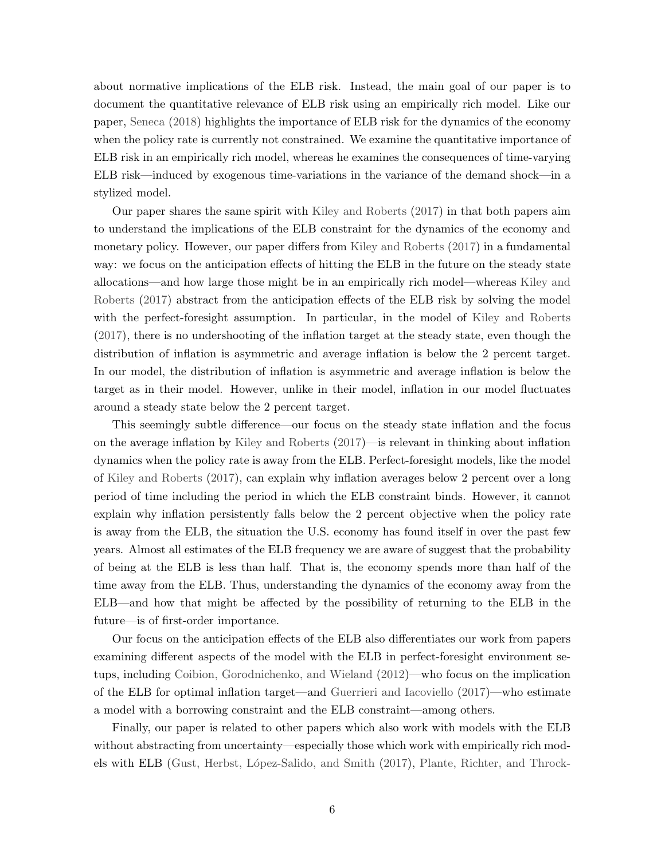about normative implications of the ELB risk. Instead, the main goal of our paper is to document the quantitative relevance of ELB risk using an empirically rich model. Like our paper, [Seneca](#page-45-1) [\(2018\)](#page-45-1) highlights the importance of ELB risk for the dynamics of the economy when the policy rate is currently not constrained. We examine the quantitative importance of ELB risk in an empirically rich model, whereas he examines the consequences of time-varying ELB risk—induced by exogenous time-variations in the variance of the demand shock—in a stylized model.

Our paper shares the same spirit with [Kiley and Roberts](#page-43-4) [\(2017\)](#page-43-4) in that both papers aim to understand the implications of the ELB constraint for the dynamics of the economy and monetary policy. However, our paper differs from [Kiley and Roberts](#page-43-4) [\(2017\)](#page-43-4) in a fundamental way: we focus on the anticipation effects of hitting the ELB in the future on the steady state allocations—and how large those might be in an empirically rich model—whereas [Kiley and](#page-43-4) [Roberts](#page-43-4) [\(2017\)](#page-43-4) abstract from the anticipation effects of the ELB risk by solving the model with the perfect-foresight assumption. In particular, in the model of [Kiley and Roberts](#page-43-4) [\(2017\)](#page-43-4), there is no undershooting of the inflation target at the steady state, even though the distribution of inflation is asymmetric and average inflation is below the 2 percent target. In our model, the distribution of inflation is asymmetric and average inflation is below the target as in their model. However, unlike in their model, inflation in our model fluctuates around a steady state below the 2 percent target.

This seemingly subtle difference—our focus on the steady state inflation and the focus on the average inflation by [Kiley and Roberts](#page-43-4) [\(2017\)](#page-43-4)—is relevant in thinking about inflation dynamics when the policy rate is away from the ELB. Perfect-foresight models, like the model of [Kiley and Roberts](#page-43-4) [\(2017\)](#page-43-4), can explain why inflation averages below 2 percent over a long period of time including the period in which the ELB constraint binds. However, it cannot explain why inflation persistently falls below the 2 percent objective when the policy rate is away from the ELB, the situation the U.S. economy has found itself in over the past few years. Almost all estimates of the ELB frequency we are aware of suggest that the probability of being at the ELB is less than half. That is, the economy spends more than half of the time away from the ELB. Thus, understanding the dynamics of the economy away from the ELB—and how that might be affected by the possibility of returning to the ELB in the future—is of first-order importance.

Our focus on the anticipation effects of the ELB also differentiates our work from papers examining different aspects of the model with the ELB in perfect-foresight environment setups, including [Coibion, Gorodnichenko, and Wieland](#page-42-3) [\(2012\)](#page-42-3)—who focus on the implication of the ELB for optimal inflation target—and [Guerrieri and Iacoviello](#page-43-5) [\(2017\)](#page-43-5)—who estimate a model with a borrowing constraint and the ELB constraint—among others.

Finally, our paper is related to other papers which also work with models with the ELB without abstracting from uncertainty—especially those which work with empirically rich mod-els with ELB (Gust, Herbst, López-Salido, and Smith [\(2017\)](#page-43-6), [Plante, Richter, and Throck-](#page-44-8)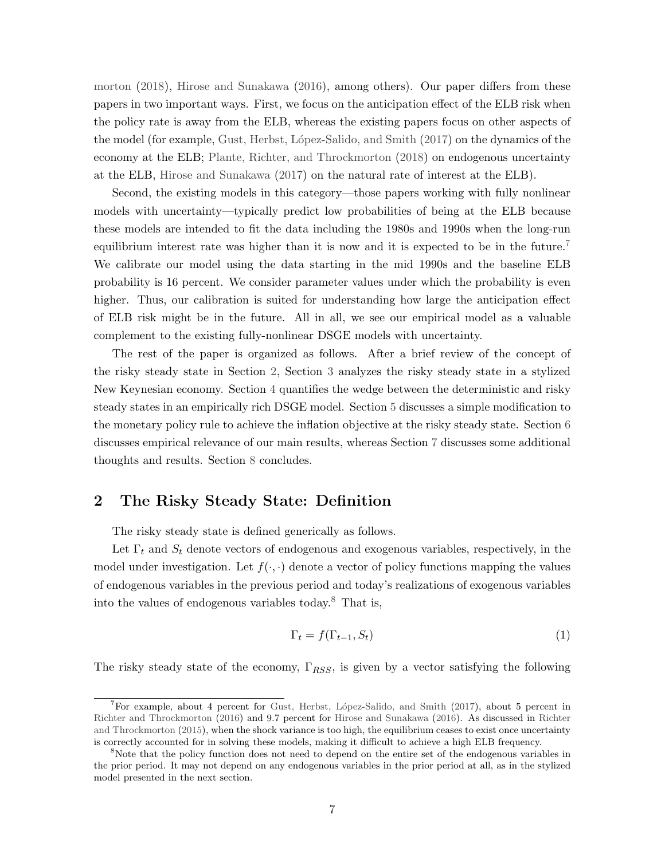[morton](#page-44-8) [\(2018\)](#page-44-8), [Hirose and Sunakawa](#page-43-7) [\(2016\)](#page-43-7), among others). Our paper differs from these papers in two important ways. First, we focus on the anticipation effect of the ELB risk when the policy rate is away from the ELB, whereas the existing papers focus on other aspects of the model (for example, Gust, Herbst, López-Salido, and Smith [\(2017\)](#page-43-6) on the dynamics of the economy at the ELB; [Plante, Richter, and Throckmorton](#page-44-8) [\(2018\)](#page-44-8) on endogenous uncertainty at the ELB, [Hirose and Sunakawa](#page-43-8) [\(2017\)](#page-43-8) on the natural rate of interest at the ELB).

Second, the existing models in this category—those papers working with fully nonlinear models with uncertainty—typically predict low probabilities of being at the ELB because these models are intended to fit the data including the 1980s and 1990s when the long-run equilibrium interest rate was higher than it is now and it is expected to be in the future.<sup>[7](#page-7-0)</sup> We calibrate our model using the data starting in the mid 1990s and the baseline ELB probability is 16 percent. We consider parameter values under which the probability is even higher. Thus, our calibration is suited for understanding how large the anticipation effect of ELB risk might be in the future. All in all, we see our empirical model as a valuable complement to the existing fully-nonlinear DSGE models with uncertainty.

The rest of the paper is organized as follows. After a brief review of the concept of the risky steady state in Section [2,](#page-7-1) Section [3](#page-8-0) analyzes the risky steady state in a stylized New Keynesian economy. Section [4](#page-17-0) quantifies the wedge between the deterministic and risky steady states in an empirically rich DSGE model. Section [5](#page-29-0) discusses a simple modification to the monetary policy rule to achieve the inflation objective at the risky steady state. Section [6](#page-35-0) discusses empirical relevance of our main results, whereas Section [7](#page-38-0) discusses some additional thoughts and results. Section [8](#page-40-2) concludes.

## <span id="page-7-1"></span>2 The Risky Steady State: Definition

The risky steady state is defined generically as follows.

Let  $\Gamma_t$  and  $S_t$  denote vectors of endogenous and exogenous variables, respectively, in the model under investigation. Let  $f(\cdot, \cdot)$  denote a vector of policy functions mapping the values of endogenous variables in the previous period and today's realizations of exogenous variables into the values of endogenous variables today.<sup>[8](#page-7-2)</sup> That is,

$$
\Gamma_t = f(\Gamma_{t-1}, S_t) \tag{1}
$$

The risky steady state of the economy,  $\Gamma_{RSS}$ , is given by a vector satisfying the following

<span id="page-7-0"></span><sup>&</sup>lt;sup>7</sup>For example, about 4 percent for Gust, Herbst, López-Salido, and Smith [\(2017\)](#page-43-6), about 5 percent in [Richter and Throckmorton](#page-44-9) [\(2016\)](#page-44-9) and 9.7 percent for [Hirose and Sunakawa](#page-43-7) [\(2016\)](#page-43-7). As discussed in [Richter](#page-44-10) [and Throckmorton](#page-44-10) [\(2015\)](#page-44-10), when the shock variance is too high, the equilibrium ceases to exist once uncertainty is correctly accounted for in solving these models, making it difficult to achieve a high ELB frequency.

<span id="page-7-2"></span><sup>&</sup>lt;sup>8</sup>Note that the policy function does not need to depend on the entire set of the endogenous variables in the prior period. It may not depend on any endogenous variables in the prior period at all, as in the stylized model presented in the next section.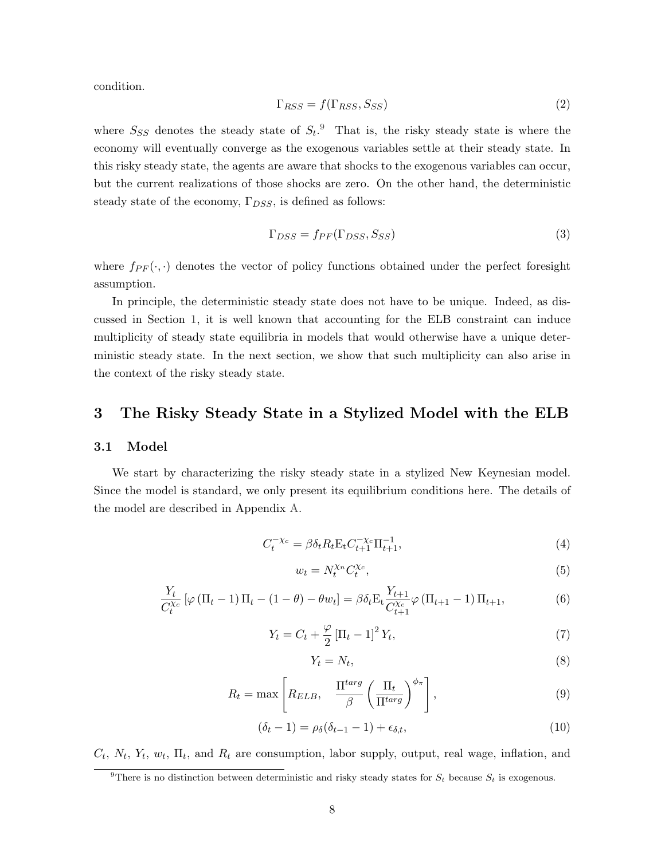condition.

$$
\Gamma_{RSS} = f(\Gamma_{RSS}, S_{SS})\tag{2}
$$

where  $S_{SS}$  denotes the steady state of  $S_t$ .<sup>[9](#page-8-1)</sup> That is, the risky steady state is where the economy will eventually converge as the exogenous variables settle at their steady state. In this risky steady state, the agents are aware that shocks to the exogenous variables can occur, but the current realizations of those shocks are zero. On the other hand, the deterministic steady state of the economy,  $\Gamma_{DSS}$ , is defined as follows:

$$
\Gamma_{DSS} = f_{PF}(\Gamma_{DSS}, S_{SS})
$$
\n(3)

where  $f_{PF}(\cdot, \cdot)$  denotes the vector of policy functions obtained under the perfect foresight assumption.

In principle, the deterministic steady state does not have to be unique. Indeed, as discussed in Section [1,](#page-2-1) it is well known that accounting for the ELB constraint can induce multiplicity of steady state equilibria in models that would otherwise have a unique deterministic steady state. In the next section, we show that such multiplicity can also arise in the context of the risky steady state.

## <span id="page-8-0"></span>3 The Risky Steady State in a Stylized Model with the ELB

#### 3.1 Model

We start by characterizing the risky steady state in a stylized New Keynesian model. Since the model is standard, we only present its equilibrium conditions here. The details of the model are described in Appendix [A.](#page-46-0)

<span id="page-8-3"></span>
$$
C_t^{-\chi_c} = \beta \delta_t R_t \mathcal{E}_t C_{t+1}^{-\chi_c} \Pi_{t+1}^{-1},\tag{4}
$$

<span id="page-8-4"></span>
$$
w_t = N_t^{\chi_n} C_t^{\chi_c},\tag{5}
$$

<span id="page-8-5"></span>
$$
\frac{Y_t}{C_t^{\chi_c}} \left[ \varphi \left( \Pi_t - 1 \right) \Pi_t - (1 - \theta) - \theta w_t \right] = \beta \delta_t \mathcal{E}_t \frac{Y_{t+1}}{C_{t+1}^{\chi_c}} \varphi \left( \Pi_{t+1} - 1 \right) \Pi_{t+1},\tag{6}
$$

<span id="page-8-6"></span>
$$
Y_t = C_t + \frac{\varphi}{2} \left[ \Pi_t - 1 \right]^2 Y_t,
$$
\n(7)

<span id="page-8-7"></span>
$$
Y_t = N_t,\tag{8}
$$

<span id="page-8-8"></span>
$$
R_t = \max \left[ R_{ELB}, \quad \frac{\Pi^{targ}}{\beta} \left( \frac{\Pi_t}{\Pi^{targ}} \right)^{\phi_{\pi}} \right],
$$
\n(9)

<span id="page-8-2"></span>
$$
(\delta_t - 1) = \rho_\delta(\delta_{t-1} - 1) + \epsilon_{\delta, t},\tag{10}
$$

 $C_t$ ,  $N_t$ ,  $Y_t$ ,  $w_t$ ,  $\Pi_t$ , and  $R_t$  are consumption, labor supply, output, real wage, inflation, and

<span id="page-8-1"></span><sup>&</sup>lt;sup>9</sup>There is no distinction between deterministic and risky steady states for  $S_t$  because  $S_t$  is exogenous.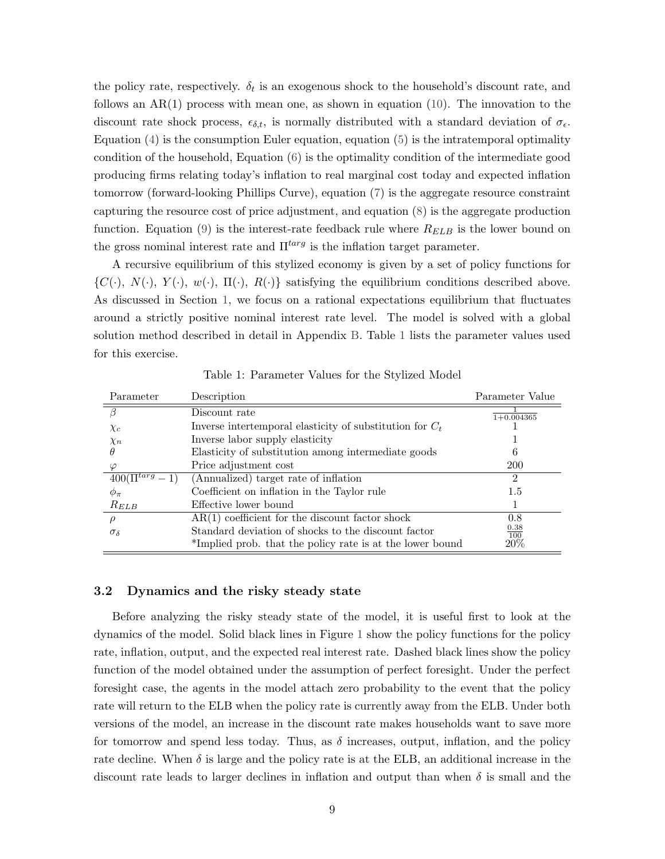the policy rate, respectively.  $\delta_t$  is an exogenous shock to the household's discount rate, and follows an  $AR(1)$  process with mean one, as shown in equation [\(10\)](#page-8-2). The innovation to the discount rate shock process,  $\epsilon_{\delta,t}$ , is normally distributed with a standard deviation of  $\sigma_{\epsilon}$ . Equation  $(4)$  is the consumption Euler equation, equation  $(5)$  is the intratemporal optimality condition of the household, Equation [\(6\)](#page-8-5) is the optimality condition of the intermediate good producing firms relating today's inflation to real marginal cost today and expected inflation tomorrow (forward-looking Phillips Curve), equation [\(7\)](#page-8-6) is the aggregate resource constraint capturing the resource cost of price adjustment, and equation [\(8\)](#page-8-7) is the aggregate production function. Equation [\(9\)](#page-8-8) is the interest-rate feedback rule where  $R_{ELB}$  is the lower bound on the gross nominal interest rate and  $\Pi^{targ}$  is the inflation target parameter.

A recursive equilibrium of this stylized economy is given by a set of policy functions for  $\{C(\cdot), N(\cdot), Y(\cdot), w(\cdot), \Pi(\cdot), R(\cdot)\}\$  satisfying the equilibrium conditions described above. As discussed in Section [1,](#page-2-1) we focus on a rational expectations equilibrium that fluctuates around a strictly positive nominal interest rate level. The model is solved with a global solution method described in detail in Appendix [B.](#page-48-0) Table [1](#page-9-0) lists the parameter values used for this exercise.

<span id="page-9-0"></span>

| Parameter         | Description                                                | Parameter Value    |
|-------------------|------------------------------------------------------------|--------------------|
|                   | Discount rate                                              | $1+0.004365$       |
| $\chi_c$          | Inverse intertemporal elasticity of substitution for $C_t$ |                    |
| $\chi_n$          | Inverse labor supply elasticity                            |                    |
| $\theta$          | Elasticity of substitution among intermediate goods        |                    |
| $\varphi$         | Price adjustment cost                                      | <b>200</b>         |
| $400(\Pi^{targ})$ | (Annualized) target rate of inflation                      | 2                  |
| $\phi_\pi$        | Coefficient on inflation in the Taylor rule                | 1.5                |
| $R_{ELB}$         | Effective lower bound                                      |                    |
|                   | $AR(1)$ coefficient for the discount factor shock          | 0.8                |
| $\sigma_{\delta}$ | Standard deviation of shocks to the discount factor        | $\frac{0.38}{100}$ |
|                   | *Implied prob. that the policy rate is at the lower bound  | $20\%$             |

Table 1: Parameter Values for the Stylized Model

#### 3.2 Dynamics and the risky steady state

Before analyzing the risky steady state of the model, it is useful first to look at the dynamics of the model. Solid black lines in Figure [1](#page-10-0) show the policy functions for the policy rate, inflation, output, and the expected real interest rate. Dashed black lines show the policy function of the model obtained under the assumption of perfect foresight. Under the perfect foresight case, the agents in the model attach zero probability to the event that the policy rate will return to the ELB when the policy rate is currently away from the ELB. Under both versions of the model, an increase in the discount rate makes households want to save more for tomorrow and spend less today. Thus, as  $\delta$  increases, output, inflation, and the policy rate decline. When  $\delta$  is large and the policy rate is at the ELB, an additional increase in the discount rate leads to larger declines in inflation and output than when  $\delta$  is small and the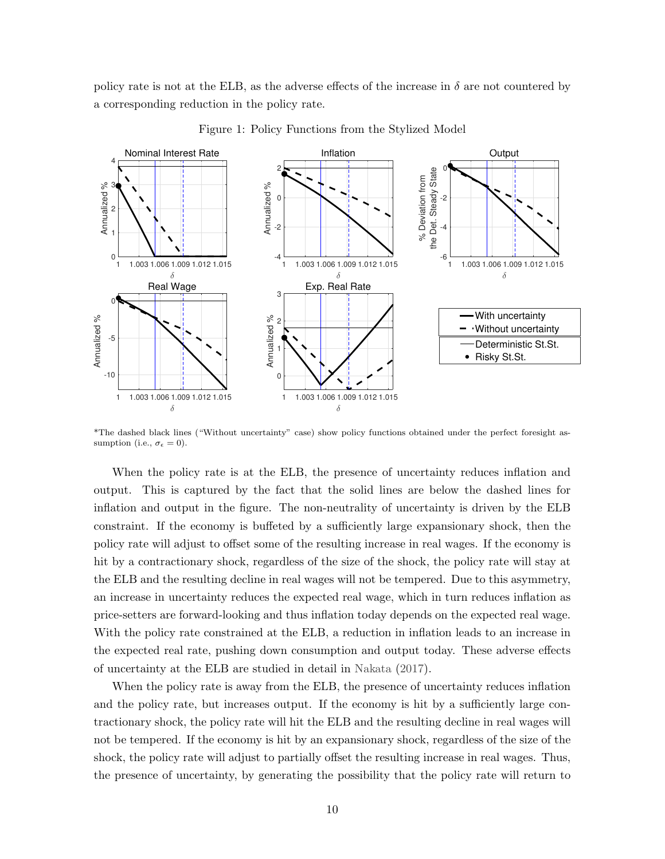policy rate is not at the ELB, as the adverse effects of the increase in  $\delta$  are not countered by a corresponding reduction in the policy rate.

<span id="page-10-0"></span>

Figure 1: Policy Functions from the Stylized Model

\*The dashed black lines ("Without uncertainty" case) show policy functions obtained under the perfect foresight assumption (i.e.,  $\sigma_{\epsilon} = 0$ ).

When the policy rate is at the ELB, the presence of uncertainty reduces inflation and output. This is captured by the fact that the solid lines are below the dashed lines for inflation and output in the figure. The non-neutrality of uncertainty is driven by the ELB constraint. If the economy is buffeted by a sufficiently large expansionary shock, then the policy rate will adjust to offset some of the resulting increase in real wages. If the economy is hit by a contractionary shock, regardless of the size of the shock, the policy rate will stay at the ELB and the resulting decline in real wages will not be tempered. Due to this asymmetry, an increase in uncertainty reduces the expected real wage, which in turn reduces inflation as price-setters are forward-looking and thus inflation today depends on the expected real wage. With the policy rate constrained at the ELB, a reduction in inflation leads to an increase in the expected real rate, pushing down consumption and output today. These adverse effects of uncertainty at the ELB are studied in detail in [Nakata](#page-44-11) [\(2017\)](#page-44-11).

When the policy rate is away from the ELB, the presence of uncertainty reduces inflation and the policy rate, but increases output. If the economy is hit by a sufficiently large contractionary shock, the policy rate will hit the ELB and the resulting decline in real wages will not be tempered. If the economy is hit by an expansionary shock, regardless of the size of the shock, the policy rate will adjust to partially offset the resulting increase in real wages. Thus, the presence of uncertainty, by generating the possibility that the policy rate will return to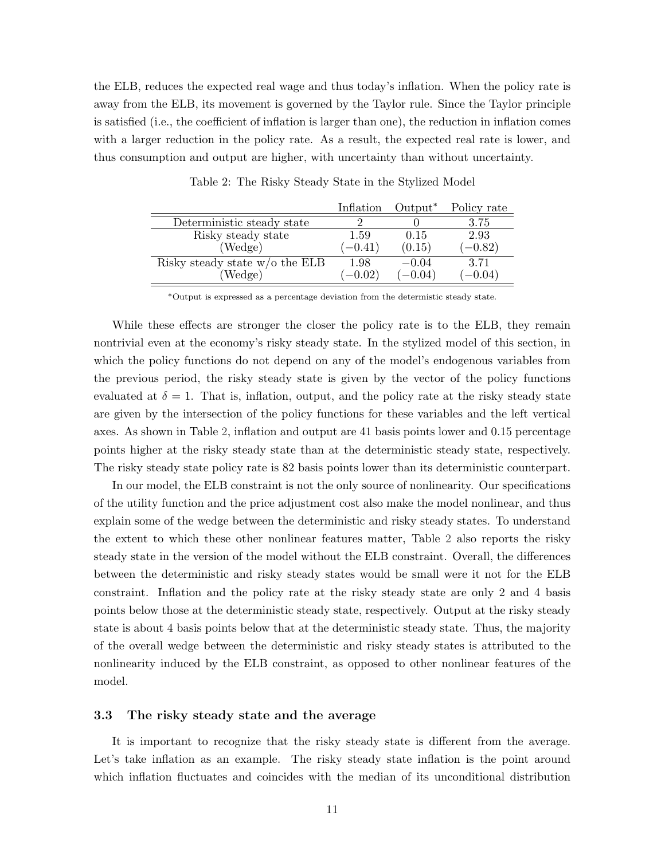the ELB, reduces the expected real wage and thus today's inflation. When the policy rate is away from the ELB, its movement is governed by the Taylor rule. Since the Taylor principle is satisfied (i.e., the coefficient of inflation is larger than one), the reduction in inflation comes with a larger reduction in the policy rate. As a result, the expected real rate is lower, and thus consumption and output are higher, with uncertainty than without uncertainty.

<span id="page-11-0"></span>

|                                  | Inflation | Output <sup>*</sup> | Policy rate |
|----------------------------------|-----------|---------------------|-------------|
| Deterministic steady state       |           |                     | 3.75        |
| Risky steady state               | 1.59      | 0.15                | 2.93        |
| (Wedge)                          | $(-0.41)$ | (0.15)              | $(-0.82)$   |
| Risky steady state $w/o$ the ELB | 1.98      | $-0.04$             | 3.71        |
| (Wedge)                          | $(-0.02)$ | $(-0.04)$           | $(-0.04)$   |

Table 2: The Risky Steady State in the Stylized Model

\*Output is expressed as a percentage deviation from the determistic steady state.

While these effects are stronger the closer the policy rate is to the ELB, they remain nontrivial even at the economy's risky steady state. In the stylized model of this section, in which the policy functions do not depend on any of the model's endogenous variables from the previous period, the risky steady state is given by the vector of the policy functions evaluated at  $\delta = 1$ . That is, inflation, output, and the policy rate at the risky steady state are given by the intersection of the policy functions for these variables and the left vertical axes. As shown in Table [2,](#page-11-0) inflation and output are 41 basis points lower and 0.15 percentage points higher at the risky steady state than at the deterministic steady state, respectively. The risky steady state policy rate is 82 basis points lower than its deterministic counterpart.

In our model, the ELB constraint is not the only source of nonlinearity. Our specifications of the utility function and the price adjustment cost also make the model nonlinear, and thus explain some of the wedge between the deterministic and risky steady states. To understand the extent to which these other nonlinear features matter, Table [2](#page-11-0) also reports the risky steady state in the version of the model without the ELB constraint. Overall, the differences between the deterministic and risky steady states would be small were it not for the ELB constraint. Inflation and the policy rate at the risky steady state are only 2 and 4 basis points below those at the deterministic steady state, respectively. Output at the risky steady state is about 4 basis points below that at the deterministic steady state. Thus, the majority of the overall wedge between the deterministic and risky steady states is attributed to the nonlinearity induced by the ELB constraint, as opposed to other nonlinear features of the model.

#### 3.3 The risky steady state and the average

It is important to recognize that the risky steady state is different from the average. Let's take inflation as an example. The risky steady state inflation is the point around which inflation fluctuates and coincides with the median of its unconditional distribution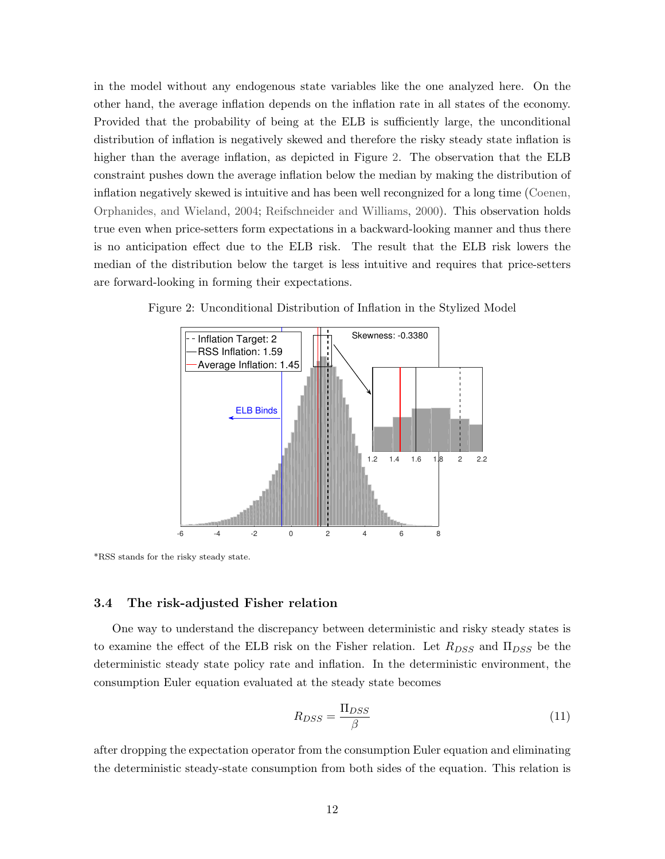in the model without any endogenous state variables like the one analyzed here. On the other hand, the average inflation depends on the inflation rate in all states of the economy. Provided that the probability of being at the ELB is sufficiently large, the unconditional distribution of inflation is negatively skewed and therefore the risky steady state inflation is higher than the average inflation, as depicted in Figure [2.](#page-12-0) The observation that the ELB constraint pushes down the average inflation below the median by making the distribution of inflation negatively skewed is intuitive and has been well recongnized for a long time [\(Coenen,](#page-41-0) [Orphanides, and Wieland,](#page-41-0) [2004;](#page-41-0) [Reifschneider and Williams,](#page-44-3) [2000\)](#page-44-3). This observation holds true even when price-setters form expectations in a backward-looking manner and thus there is no anticipation effect due to the ELB risk. The result that the ELB risk lowers the median of the distribution below the target is less intuitive and requires that price-setters are forward-looking in forming their expectations.



<span id="page-12-0"></span>Figure 2: Unconditional Distribution of Inflation in the Stylized Model

\*RSS stands for the risky steady state.

### <span id="page-12-2"></span>3.4 The risk-adjusted Fisher relation

One way to understand the discrepancy between deterministic and risky steady states is to examine the effect of the ELB risk on the Fisher relation. Let  $R_{DSS}$  and  $\Pi_{DSS}$  be the deterministic steady state policy rate and inflation. In the deterministic environment, the consumption Euler equation evaluated at the steady state becomes

<span id="page-12-1"></span>
$$
R_{DSS} = \frac{\Pi_{DSS}}{\beta} \tag{11}
$$

after dropping the expectation operator from the consumption Euler equation and eliminating the deterministic steady-state consumption from both sides of the equation. This relation is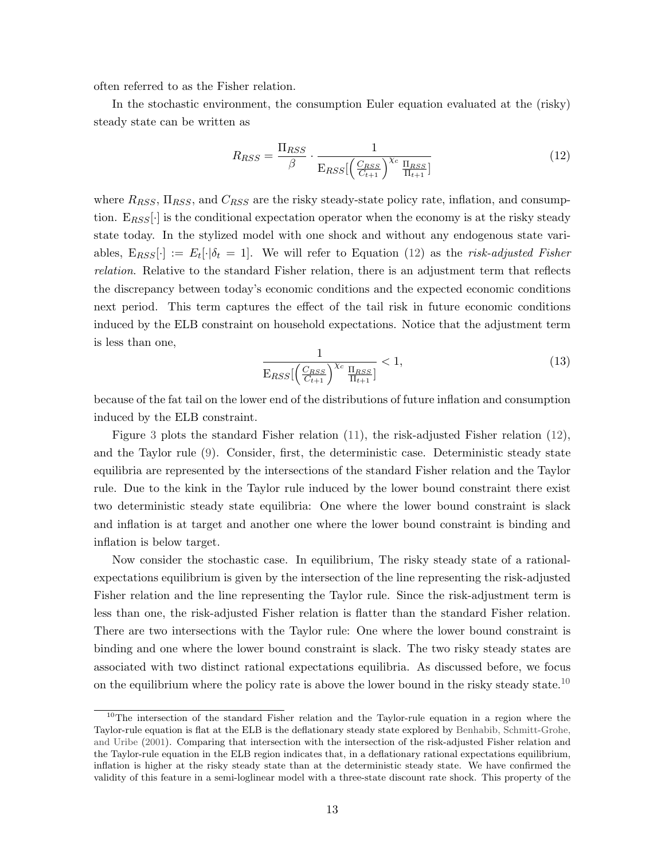often referred to as the Fisher relation.

In the stochastic environment, the consumption Euler equation evaluated at the (risky) steady state can be written as

<span id="page-13-0"></span>
$$
R_{RSS} = \frac{\Pi_{RSS}}{\beta} \cdot \frac{1}{\mathcal{E}_{RSS} \left( \frac{C_{RSS}}{C_{t+1}} \right)^{\chi_c} \frac{\Pi_{RSS}}{\Pi_{t+1}}} \tag{12}
$$

where  $R_{RSS}$ ,  $\Pi_{RSS}$ , and  $C_{RSS}$  are the risky steady-state policy rate, inflation, and consumption.  $E_{RSS}$ . is the conditional expectation operator when the economy is at the risky steady state today. In the stylized model with one shock and without any endogenous state variables,  $E_{RSS}[\cdot] := E_t[\cdot|\delta_t = 1]$ . We will refer to Equation [\(12\)](#page-13-0) as the risk-adjusted Fisher relation. Relative to the standard Fisher relation, there is an adjustment term that reflects the discrepancy between today's economic conditions and the expected economic conditions next period. This term captures the effect of the tail risk in future economic conditions induced by the ELB constraint on household expectations. Notice that the adjustment term is less than one,

$$
\frac{1}{\mathrm{E}_{RSS} \left[ \left( \frac{C_{RSS}}{C_{t+1}} \right)^{\chi_c} \frac{\Pi_{RSS}}{\Pi_{t+1}} \right]} < 1,\tag{13}
$$

because of the fat tail on the lower end of the distributions of future inflation and consumption induced by the ELB constraint.

Figure [3](#page-14-0) plots the standard Fisher relation [\(11\)](#page-12-1), the risk-adjusted Fisher relation [\(12\)](#page-13-0), and the Taylor rule [\(9\)](#page-8-8). Consider, first, the deterministic case. Deterministic steady state equilibria are represented by the intersections of the standard Fisher relation and the Taylor rule. Due to the kink in the Taylor rule induced by the lower bound constraint there exist two deterministic steady state equilibria: One where the lower bound constraint is slack and inflation is at target and another one where the lower bound constraint is binding and inflation is below target.

Now consider the stochastic case. In equilibrium, The risky steady state of a rationalexpectations equilibrium is given by the intersection of the line representing the risk-adjusted Fisher relation and the line representing the Taylor rule. Since the risk-adjustment term is less than one, the risk-adjusted Fisher relation is flatter than the standard Fisher relation. There are two intersections with the Taylor rule: One where the lower bound constraint is binding and one where the lower bound constraint is slack. The two risky steady states are associated with two distinct rational expectations equilibria. As discussed before, we focus on the equilibrium where the policy rate is above the lower bound in the risky steady state.<sup>[10](#page-13-1)</sup>

<span id="page-13-1"></span><sup>&</sup>lt;sup>10</sup>The intersection of the standard Fisher relation and the Taylor-rule equation in a region where the Taylor-rule equation is flat at the ELB is the deflationary steady state explored by [Benhabib, Schmitt-Grohe,](#page-41-1) [and Uribe](#page-41-1) [\(2001\)](#page-41-1). Comparing that intersection with the intersection of the risk-adjusted Fisher relation and the Taylor-rule equation in the ELB region indicates that, in a deflationary rational expectations equilibrium, inflation is higher at the risky steady state than at the deterministic steady state. We have confirmed the validity of this feature in a semi-loglinear model with a three-state discount rate shock. This property of the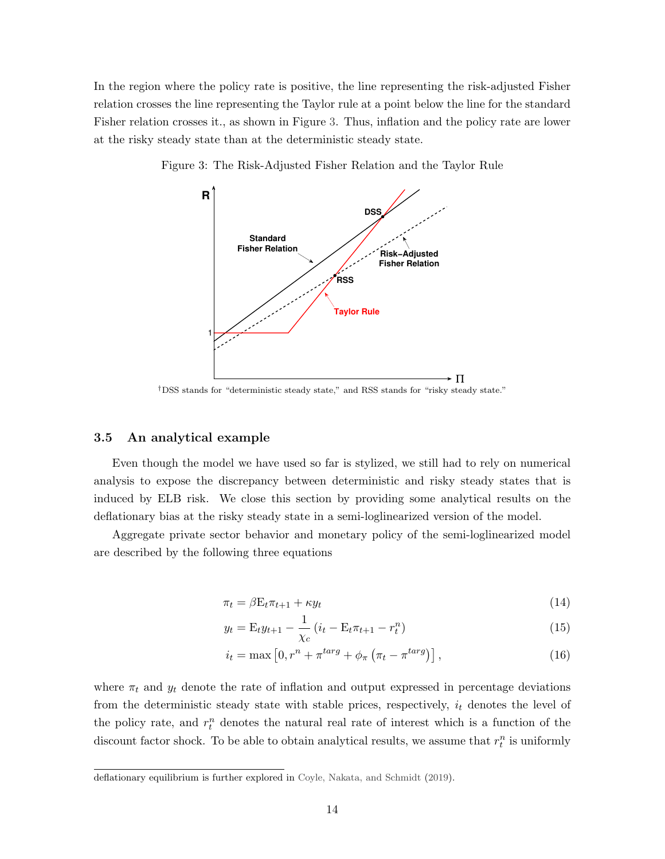In the region where the policy rate is positive, the line representing the risk-adjusted Fisher relation crosses the line representing the Taylor rule at a point below the line for the standard Fisher relation crosses it., as shown in Figure [3.](#page-14-0) Thus, inflation and the policy rate are lower at the risky steady state than at the deterministic steady state.



<span id="page-14-0"></span>Figure 3: The Risk-Adjusted Fisher Relation and the Taylor Rule

†DSS stands for "deterministic steady state," and RSS stands for "risky steady state."

## 3.5 An analytical example

Even though the model we have used so far is stylized, we still had to rely on numerical analysis to expose the discrepancy between deterministic and risky steady states that is induced by ELB risk. We close this section by providing some analytical results on the deflationary bias at the risky steady state in a semi-loglinearized version of the model.

Aggregate private sector behavior and monetary policy of the semi-loglinearized model are described by the following three equations

<span id="page-14-1"></span>
$$
\pi_t = \beta E_t \pi_{t+1} + \kappa y_t \tag{14}
$$

<span id="page-14-2"></span>
$$
y_t = \mathcal{E}_t y_{t+1} - \frac{1}{\chi_c} \left( i_t - \mathcal{E}_t \pi_{t+1} - r_t^n \right) \tag{15}
$$

<span id="page-14-3"></span>
$$
i_t = \max\left[0, r^n + \pi^{targ} + \phi_\pi \left(\pi_t - \pi^{targ}\right)\right],\tag{16}
$$

where  $\pi_t$  and  $y_t$  denote the rate of inflation and output expressed in percentage deviations from the deterministic steady state with stable prices, respectively,  $i_t$  denotes the level of the policy rate, and  $r_t^n$  denotes the natural real rate of interest which is a function of the discount factor shock. To be able to obtain analytical results, we assume that  $r_t^n$  is uniformly

deflationary equilibrium is further explored in [Coyle, Nakata, and Schmidt](#page-42-4) [\(2019\)](#page-42-4).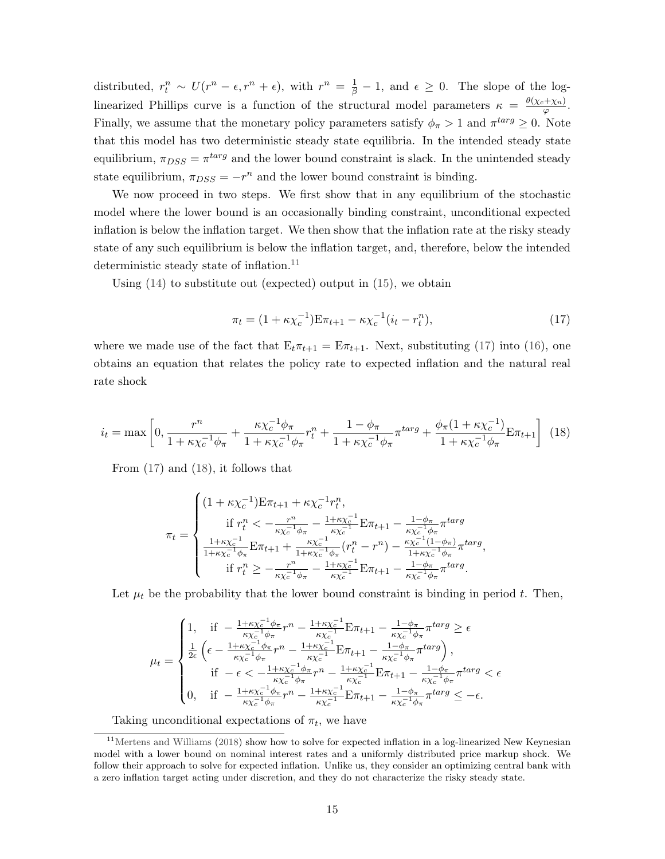distributed,  $r_t^n \sim U(r^n - \epsilon, r^n + \epsilon)$ , with  $r^n = \frac{1}{\beta} - 1$ , and  $\epsilon \geq 0$ . The slope of the loglinearized Phillips curve is a function of the structural model parameters  $\kappa = \frac{\theta(\chi_c + \chi_n)}{\sigma}$  $\frac{+\chi_n\jmath}{\varphi}$ . Finally, we assume that the monetary policy parameters satisfy  $\phi_{\pi} > 1$  and  $\pi^{targ} \geq 0$ . Note that this model has two deterministic steady state equilibria. In the intended steady state equilibrium,  $\pi_{DSS} = \pi^{targ}$  and the lower bound constraint is slack. In the unintended steady state equilibrium,  $\pi_{DSS} = -r^n$  and the lower bound constraint is binding.

We now proceed in two steps. We first show that in any equilibrium of the stochastic model where the lower bound is an occasionally binding constraint, unconditional expected inflation is below the inflation target. We then show that the inflation rate at the risky steady state of any such equilibrium is below the inflation target, and, therefore, below the intended deterministic steady state of inflation.<sup>[11](#page-15-0)</sup>

Using [\(14\)](#page-14-1) to substitute out (expected) output in [\(15\)](#page-14-2), we obtain

<span id="page-15-1"></span>
$$
\pi_t = (1 + \kappa \chi_c^{-1}) \mathbf{E} \pi_{t+1} - \kappa \chi_c^{-1} (i_t - r_t^n), \tag{17}
$$

where we made use of the fact that  $E_t \pi_{t+1} = E \pi_{t+1}$ . Next, substituting [\(17\)](#page-15-1) into [\(16\)](#page-14-3), one obtains an equation that relates the policy rate to expected inflation and the natural real rate shock

<span id="page-15-2"></span>
$$
i_{t} = \max\left[0, \frac{r^{n}}{1 + \kappa \chi_{c}^{-1} \phi_{\pi}} + \frac{\kappa \chi_{c}^{-1} \phi_{\pi}}{1 + \kappa \chi_{c}^{-1} \phi_{\pi}} r_{t}^{n} + \frac{1 - \phi_{\pi}}{1 + \kappa \chi_{c}^{-1} \phi_{\pi}} \pi^{\text{targ}} + \frac{\phi_{\pi} (1 + \kappa \chi_{c}^{-1})}{1 + \kappa \chi_{c}^{-1} \phi_{\pi}} \mathbf{E} \pi_{t+1}\right] (18)
$$

From [\(17\)](#page-15-1) and [\(18\)](#page-15-2), it follows that

$$
\pi_t = \begin{cases}\n(1 + \kappa \chi_c^{-1}) \mathbf{E} \pi_{t+1} + \kappa \chi_c^{-1} r_t^n, \\
\text{if } r_t^n < -\frac{r^n}{\kappa \chi_c^{-1} \phi_\pi} - \frac{1 + \kappa \chi_c^{-1}}{\kappa \chi_c^{-1}} \mathbf{E} \pi_{t+1} - \frac{1 - \phi_\pi}{\kappa \chi_c^{-1} \phi_\pi} \pi^{targ} \\
\frac{1 + \kappa \chi_c^{-1}}{1 + \kappa \chi_c^{-1} \phi_\pi} \mathbf{E} \pi_{t+1} + \frac{\kappa \chi_c^{-1}}{1 + \kappa \chi_c^{-1} \phi_\pi} (r_t^n - r^n) - \frac{\kappa \chi_c^{-1} (1 - \phi_\pi)}{1 + \kappa \chi_c^{-1} \phi_\pi} \pi^{targ}, \\
\text{if } r_t^n \ge -\frac{r^n}{\kappa \chi_c^{-1} \phi_\pi} - \frac{1 + \kappa \chi_c^{-1}}{\kappa \chi_c^{-1}} \mathbf{E} \pi_{t+1} - \frac{1 - \phi_\pi}{\kappa \chi_c^{-1} \phi_\pi} \pi^{targ}.\n\end{cases}
$$

Let  $\mu_t$  be the probability that the lower bound constraint is binding in period t. Then,

$$
\mu_{t} = \begin{cases}\n1, & \text{if } -\frac{1+\kappa\chi_{c}^{-1}\phi_{\pi}}{\kappa\chi_{c}^{-1}\phi_{\pi}}r^{n} - \frac{1+\kappa\chi_{c}^{-1}}{\kappa\chi_{c}^{-1}}\mathbf{E}\pi_{t+1} - \frac{1-\phi_{\pi}}{\kappa\chi_{c}^{-1}\phi_{\pi}}\pi^{targ} \geq \epsilon \\
\frac{1}{2\epsilon}\left(\epsilon - \frac{1+\kappa\chi_{c}^{-1}\phi_{\pi}}{\kappa\chi_{c}^{-1}\phi_{\pi}}r^{n} - \frac{1+\kappa\chi_{c}^{-1}}{\kappa\chi_{c}^{-1}}\mathbf{E}\pi_{t+1} - \frac{1-\phi_{\pi}}{\kappa\chi_{c}^{-1}\phi_{\pi}}\pi^{targ}\right), \\
& \text{if } -\epsilon < -\frac{1+\kappa\chi_{c}^{-1}\phi_{\pi}}{\kappa\chi_{c}^{-1}\phi_{\pi}}r^{n} - \frac{1+\kappa\chi_{c}^{-1}}{\kappa\chi_{c}^{-1}}\mathbf{E}\pi_{t+1} - \frac{1-\phi_{\pi}}{\kappa\chi_{c}^{-1}\phi_{\pi}}\pi^{targ} < \epsilon \\
0, & \text{if } -\frac{1+\kappa\chi_{c}^{-1}\phi_{\pi}}{\kappa\chi_{c}^{-1}\phi_{\pi}}r^{n} - \frac{1+\kappa\chi_{c}^{-1}}{\kappa\chi_{c}^{-1}}\mathbf{E}\pi_{t+1} - \frac{1-\phi_{\pi}}{\kappa\chi_{c}^{-1}\phi_{\pi}}\pi^{targ} \leq -\epsilon.\n\end{cases}
$$

<span id="page-15-0"></span>Taking unconditional expectations of  $\pi_t$ , we have

 $11$ [Mertens and Williams](#page-44-12) [\(2018\)](#page-44-12) show how to solve for expected inflation in a log-linearized New Keynesian model with a lower bound on nominal interest rates and a uniformly distributed price markup shock. We follow their approach to solve for expected inflation. Unlike us, they consider an optimizing central bank with a zero inflation target acting under discretion, and they do not characterize the risky steady state.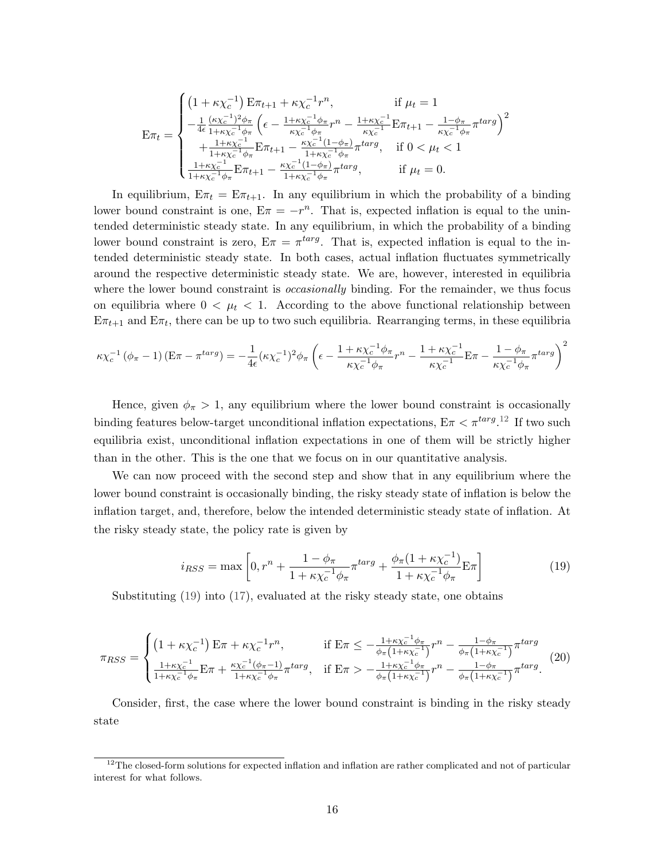$$
\mathbf{E}\pi_{t} = \begin{cases}\n\left(1 + \kappa \chi_{c}^{-1}\right) \mathbf{E}\pi_{t+1} + \kappa \chi_{c}^{-1} r^{n}, & \text{if } \mu_{t} = 1 \\
-\frac{1}{4\epsilon} \frac{(\kappa \chi_{c}^{-1})^{2} \phi_{\pi}}{1 + \kappa \chi_{c}^{-1} \phi_{\pi}} \left(\epsilon - \frac{1 + \kappa \chi_{c}^{-1} \phi_{\pi}}{\kappa \chi_{c}^{-1} \phi_{\pi}} r^{n} - \frac{1 + \kappa \chi_{c}^{-1}}{\kappa \chi_{c}^{-1}} \mathbf{E}\pi_{t+1} - \frac{1 - \phi_{\pi}}{\kappa \chi_{c}^{-1} \phi_{\pi}} \pi^{targ}\right)^{2} \\
+\frac{1 + \kappa \chi_{c}^{-1}}{1 + \kappa \chi_{c}^{-1} \phi_{\pi}} \mathbf{E}\pi_{t+1} - \frac{\kappa \chi_{c}^{-1} (1 - \phi_{\pi})}{1 + \kappa \chi_{c}^{-1} \phi_{\pi}} \pi^{targ}, & \text{if } 0 < \mu_{t} < 1 \\
\frac{1 + \kappa \chi_{c}^{-1}}{1 + \kappa \chi_{c}^{-1} \phi_{\pi}} \mathbf{E}\pi_{t+1} - \frac{\kappa \chi_{c}^{-1} (1 - \phi_{\pi})}{1 + \kappa \chi_{c}^{-1} \phi_{\pi}} \pi^{targ}, & \text{if } \mu_{t} = 0.\n\end{cases}
$$

In equilibrium,  $E\pi_t = E\pi_{t+1}$ . In any equilibrium in which the probability of a binding lower bound constraint is one,  $E\pi = -r^n$ . That is, expected inflation is equal to the unintended deterministic steady state. In any equilibrium, in which the probability of a binding lower bound constraint is zero,  $E\pi = \pi^{targ}$ . That is, expected inflation is equal to the intended deterministic steady state. In both cases, actual inflation fluctuates symmetrically around the respective deterministic steady state. We are, however, interested in equilibria where the lower bound constraint is *occasionally* binding. For the remainder, we thus focus on equilibria where  $0 < \mu_t < 1$ . According to the above functional relationship between  $E\pi_{t+1}$  and  $E\pi_t$ , there can be up to two such equilibria. Rearranging terms, in these equilibria

$$
\kappa \chi_c^{-1} (\phi_\pi - 1) \left( \mathbf{E} \pi - \pi^{targ} \right) = -\frac{1}{4\epsilon} (\kappa \chi_c^{-1})^2 \phi_\pi \left( \epsilon - \frac{1 + \kappa \chi_c^{-1} \phi_\pi}{\kappa \chi_c^{-1} \phi_\pi} r^n - \frac{1 + \kappa \chi_c^{-1}}{\kappa \chi_c^{-1}} \mathbf{E} \pi - \frac{1 - \phi_\pi}{\kappa \chi_c^{-1} \phi_\pi} \pi^{targ} \right)^2
$$

Hence, given  $\phi_{\pi} > 1$ , any equilibrium where the lower bound constraint is occasionally binding features below-target unconditional inflation expectations,  $E\pi < \pi^{targ.12}$  $E\pi < \pi^{targ.12}$  $E\pi < \pi^{targ.12}$  If two such equilibria exist, unconditional inflation expectations in one of them will be strictly higher than in the other. This is the one that we focus on in our quantitative analysis.

We can now proceed with the second step and show that in any equilibrium where the lower bound constraint is occasionally binding, the risky steady state of inflation is below the inflation target, and, therefore, below the intended deterministic steady state of inflation. At the risky steady state, the policy rate is given by

<span id="page-16-1"></span>
$$
i_{RSS} = \max \left[ 0, r^n + \frac{1 - \phi_\pi}{1 + \kappa \chi_c^{-1} \phi_\pi} \pi^{targ} + \frac{\phi_\pi (1 + \kappa \chi_c^{-1})}{1 + \kappa \chi_c^{-1} \phi_\pi} \mathbf{E} \pi \right]
$$
(19)

Substituting [\(19\)](#page-16-1) into [\(17\)](#page-15-1), evaluated at the risky steady state, one obtains

$$
\pi_{RSS} = \begin{cases}\n\left(1 + \kappa \chi_c^{-1}\right) \mathbf{E} \pi + \kappa \chi_c^{-1} r^n, & \text{if } \mathbf{E} \pi \leq -\frac{1 + \kappa \chi_c^{-1} \phi_\pi}{\phi_\pi \left(1 + \kappa \chi_c^{-1}\right)} r^n - \frac{1 - \phi_\pi}{\phi_\pi \left(1 + \kappa \chi_c^{-1}\right)} \pi^{targ} \\
\frac{1 + \kappa \chi_c^{-1}}{1 + \kappa \chi_c^{-1} \phi_\pi} \mathbf{E} \pi + \frac{\kappa \chi_c^{-1} (\phi_\pi - 1)}{1 + \kappa \chi_c^{-1} \phi_\pi} \pi^{targ}, & \text{if } \mathbf{E} \pi > -\frac{1 + \kappa \chi_c^{-1} \phi_\pi}{\phi_\pi \left(1 + \kappa \chi_c^{-1}\right)} r^n - \frac{1 - \phi_\pi}{\phi_\pi \left(1 + \kappa \chi_c^{-1}\right)} \pi^{targ}.\n\end{cases}\n\tag{20}
$$

Consider, first, the case where the lower bound constraint is binding in the risky steady state

<span id="page-16-0"></span><sup>&</sup>lt;sup>12</sup>The closed-form solutions for expected inflation and inflation are rather complicated and not of particular interest for what follows.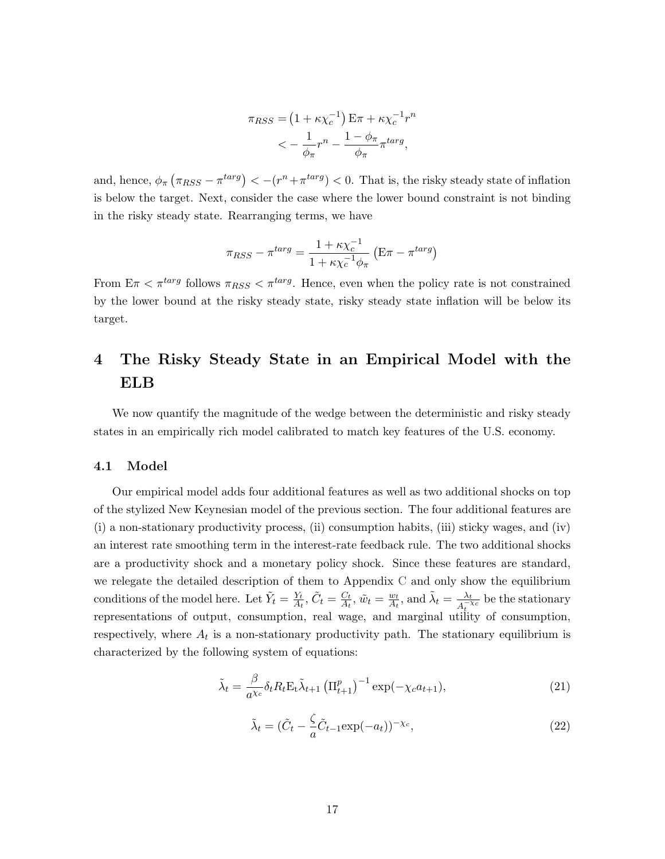$$
\pi_{RSS} = \left(1 + \kappa \chi_c^{-1}\right) \mathbf{E} \pi + \kappa \chi_c^{-1} r^n
$$

$$
< -\frac{1}{\phi_\pi} r^n - \frac{1 - \phi_\pi}{\phi_\pi} \pi^{\text{targ}},
$$

and, hence,  $\phi_{\pi}(\pi_{RSS} - \pi^{targ}) < -(r^n + \pi^{targ}) < 0$ . That is, the risky steady state of inflation is below the target. Next, consider the case where the lower bound constraint is not binding in the risky steady state. Rearranging terms, we have

$$
\pi_{RSS} - \pi^{targ} = \frac{1 + \kappa \chi_c^{-1}}{1 + \kappa \chi_c^{-1} \phi_\pi} \left( \mathbf{E} \pi - \pi^{targ} \right)
$$

From  $E\pi < \pi^{targ}$  follows  $\pi_{RSS} < \pi^{targ}$ . Hence, even when the policy rate is not constrained by the lower bound at the risky steady state, risky steady state inflation will be below its target.

# <span id="page-17-0"></span>4 The Risky Steady State in an Empirical Model with the ELB

We now quantify the magnitude of the wedge between the deterministic and risky steady states in an empirically rich model calibrated to match key features of the U.S. economy.

### 4.1 Model

Our empirical model adds four additional features as well as two additional shocks on top of the stylized New Keynesian model of the previous section. The four additional features are (i) a non-stationary productivity process, (ii) consumption habits, (iii) sticky wages, and (iv) an interest rate smoothing term in the interest-rate feedback rule. The two additional shocks are a productivity shock and a monetary policy shock. Since these features are standard, we relegate the detailed description of them to Appendix [C](#page-50-0) and only show the equilibrium conditions of the model here. Let  $\tilde{Y}_t = \frac{Y_t}{A_t}$  $\frac{Y_t}{A_t}, \tilde{C}_t = \frac{C_t}{A_t}$  $\frac{C_t}{A_t}, \tilde{w}_t = \frac{w_t}{A_t}$  $\frac{w_t}{A_t}$ , and  $\tilde{\lambda}_t = \frac{\lambda_t}{A_t^{-\gamma}}$  $\frac{\lambda_t}{A_t^{-\chi_c}}$  be the stationary representations of output, consumption, real wage, and marginal utility of consumption, respectively, where  $A_t$  is a non-stationary productivity path. The stationary equilibrium is characterized by the following system of equations:

$$
\tilde{\lambda}_t = \frac{\beta}{a^{\chi_c}} \delta_t R_t \mathbf{E}_t \tilde{\lambda}_{t+1} \left( \Pi_{t+1}^p \right)^{-1} \exp(-\chi_c a_{t+1}), \tag{21}
$$

$$
\tilde{\lambda}_t = (\tilde{C}_t - \frac{\zeta}{a}\tilde{C}_{t-1}\exp(-a_t))^{-\chi_c},\tag{22}
$$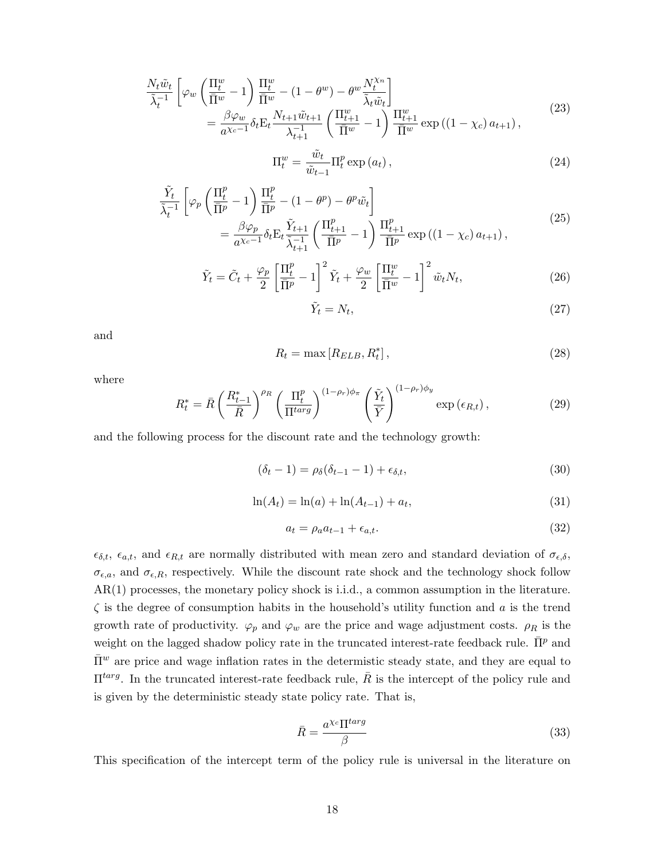$$
\frac{N_t \tilde{w}_t}{\tilde{\lambda}_t^{-1}} \left[ \varphi_w \left( \frac{\Pi_t^w}{\overline{\Pi}^w} - 1 \right) \frac{\Pi_t^w}{\overline{\Pi}^w} - (1 - \theta^w) - \theta^w \frac{N_t^{\chi_n}}{\tilde{\lambda}_t \tilde{w}_t} \right] \n= \frac{\beta \varphi_w}{a^{\chi_c - 1}} \delta_t E_t \frac{N_{t+1} \tilde{w}_{t+1}}{\lambda_{t+1}^{-1}} \left( \frac{\Pi_{t+1}^w}{\overline{\Pi}^w} - 1 \right) \frac{\Pi_{t+1}^w}{\overline{\Pi}^w} \exp\left( (1 - \chi_c) a_{t+1} \right),
$$
\n(23)

$$
\Pi_t^w = \frac{\tilde{w}_t}{\tilde{w}_{t-1}} \Pi_t^p \exp\left(a_t\right),\tag{24}
$$

$$
\frac{\tilde{Y}_t}{\tilde{\lambda}_t^{-1}} \left[ \varphi_p \left( \frac{\Pi_t^p}{\bar{\Pi}^p} - 1 \right) \frac{\Pi_t^p}{\bar{\Pi}^p} - (1 - \theta^p) - \theta^p \tilde{w}_t \right] \n= \frac{\beta \varphi_p}{a^{\chi_c - 1}} \delta_t \mathcal{E}_t \frac{\tilde{Y}_{t+1}}{\tilde{\lambda}_{t+1}} \left( \frac{\Pi_{t+1}^p}{\bar{\Pi}^p} - 1 \right) \frac{\Pi_{t+1}^p}{\bar{\Pi}^p} \exp\left( (1 - \chi_c) a_{t+1} \right),
$$
\n(25)

$$
\tilde{Y}_t = \tilde{C}_t + \frac{\varphi_p}{2} \left[ \frac{\Pi_t^p}{\overline{\Pi}^p} - 1 \right]^2 \tilde{Y}_t + \frac{\varphi_w}{2} \left[ \frac{\Pi_t^w}{\overline{\Pi}^w} - 1 \right]^2 \tilde{w}_t N_t, \tag{26}
$$

$$
\tilde{Y}_t = N_t,\tag{27}
$$

and

<span id="page-18-1"></span>
$$
R_t = \max\left[R_{ELB}, R_t^*\right],\tag{28}
$$

where

<span id="page-18-0"></span>
$$
R_t^* = \bar{R} \left(\frac{R_{t-1}^*}{\bar{R}}\right)^{\rho_R} \left(\frac{\Pi_t^p}{\Pi^{targ}}\right)^{(1-\rho_r)\phi_\pi} \left(\frac{\tilde{Y}_t}{\bar{Y}}\right)^{(1-\rho_r)\phi_y} \exp\left(\epsilon_{R,t}\right),\tag{29}
$$

and the following process for the discount rate and the technology growth:

$$
(\delta_t - 1) = \rho_\delta(\delta_{t-1} - 1) + \epsilon_{\delta, t},\tag{30}
$$

$$
\ln(A_t) = \ln(a) + \ln(A_{t-1}) + a_t,\tag{31}
$$

$$
a_t = \rho_a a_{t-1} + \epsilon_{a,t}.\tag{32}
$$

 $\epsilon_{\delta,t}$ ,  $\epsilon_{a,t}$ , and  $\epsilon_{R,t}$  are normally distributed with mean zero and standard deviation of  $\sigma_{\epsilon,\delta}$ ,  $\sigma_{\epsilon,a}$ , and  $\sigma_{\epsilon,R}$ , respectively. While the discount rate shock and the technology shock follow AR(1) processes, the monetary policy shock is i.i.d., a common assumption in the literature.  $\zeta$  is the degree of consumption habits in the household's utility function and a is the trend growth rate of productivity.  $\varphi_p$  and  $\varphi_w$  are the price and wage adjustment costs.  $\rho_R$  is the weight on the lagged shadow policy rate in the truncated interest-rate feedback rule.  $\bar{\Pi}^p$  and  $\bar{\Pi}^w$  are price and wage inflation rates in the determistic steady state, and they are equal to  $\Pi^{targ}$ . In the truncated interest-rate feedback rule,  $\overline{R}$  is the intercept of the policy rule and is given by the deterministic steady state policy rate. That is,

<span id="page-18-2"></span>
$$
\bar{R} = \frac{a^{\chi_c} \Pi^{targ}}{\beta} \tag{33}
$$

This specification of the intercept term of the policy rule is universal in the literature on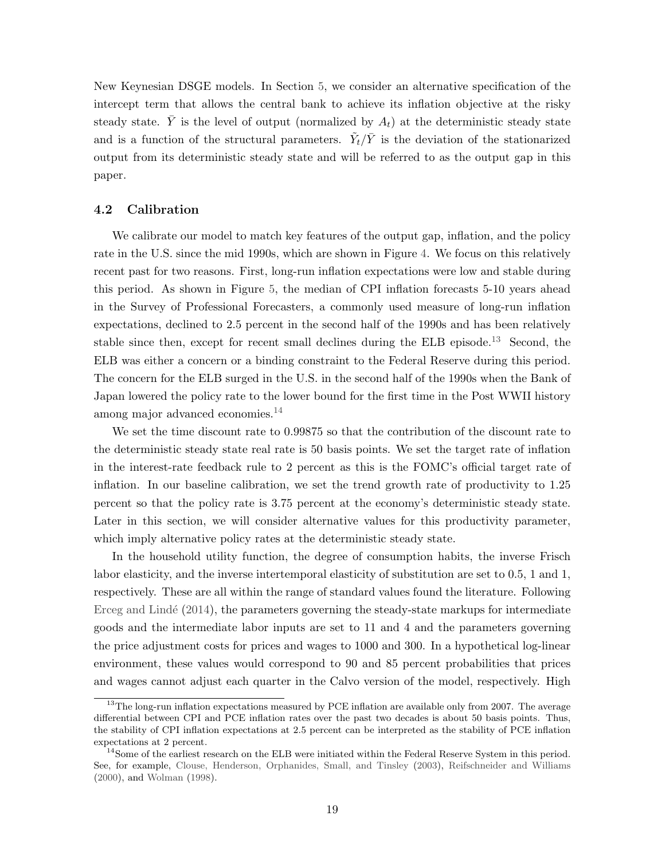New Keynesian DSGE models. In Section [5,](#page-29-0) we consider an alternative specification of the intercept term that allows the central bank to achieve its inflation objective at the risky steady state.  $\bar{Y}$  is the level of output (normalized by  $A_t$ ) at the deterministic steady state and is a function of the structural parameters.  $\tilde{Y}_t/\bar{Y}$  is the deviation of the stationarized output from its deterministic steady state and will be referred to as the output gap in this paper.

## 4.2 Calibration

We calibrate our model to match key features of the output gap, inflation, and the policy rate in the U.S. since the mid 1990s, which are shown in Figure [4.](#page-20-0) We focus on this relatively recent past for two reasons. First, long-run inflation expectations were low and stable during this period. As shown in Figure [5,](#page-20-1) the median of CPI inflation forecasts 5-10 years ahead in the Survey of Professional Forecasters, a commonly used measure of long-run inflation expectations, declined to 2.5 percent in the second half of the 1990s and has been relatively stable since then, except for recent small declines during the ELB episode.[13](#page-19-0) Second, the ELB was either a concern or a binding constraint to the Federal Reserve during this period. The concern for the ELB surged in the U.S. in the second half of the 1990s when the Bank of Japan lowered the policy rate to the lower bound for the first time in the Post WWII history among major advanced economies.[14](#page-19-1)

We set the time discount rate to 0.99875 so that the contribution of the discount rate to the deterministic steady state real rate is 50 basis points. We set the target rate of inflation in the interest-rate feedback rule to 2 percent as this is the FOMC's official target rate of inflation. In our baseline calibration, we set the trend growth rate of productivity to 1.25 percent so that the policy rate is 3.75 percent at the economy's deterministic steady state. Later in this section, we will consider alternative values for this productivity parameter, which imply alternative policy rates at the deterministic steady state.

In the household utility function, the degree of consumption habits, the inverse Frisch labor elasticity, and the inverse intertemporal elasticity of substitution are set to 0.5, 1 and 1, respectively. These are all within the range of standard values found the literature. Following Erceg and Lindé  $(2014)$ , the parameters governing the steady-state markups for intermediate goods and the intermediate labor inputs are set to 11 and 4 and the parameters governing the price adjustment costs for prices and wages to 1000 and 300. In a hypothetical log-linear environment, these values would correspond to 90 and 85 percent probabilities that prices and wages cannot adjust each quarter in the Calvo version of the model, respectively. High

<span id="page-19-0"></span> $13$ The long-run inflation expectations measured by PCE inflation are available only from 2007. The average differential between CPI and PCE inflation rates over the past two decades is about 50 basis points. Thus, the stability of CPI inflation expectations at 2.5 percent can be interpreted as the stability of PCE inflation expectations at 2 percent.

<span id="page-19-1"></span><sup>&</sup>lt;sup>14</sup>Some of the earliest research on the ELB were initiated within the Federal Reserve System in this period. See, for example, [Clouse, Henderson, Orphanides, Small, and Tinsley](#page-41-6) [\(2003\)](#page-41-6), [Reifschneider and Williams](#page-44-3) [\(2000\)](#page-44-3), and [Wolman](#page-45-3) [\(1998\)](#page-45-3).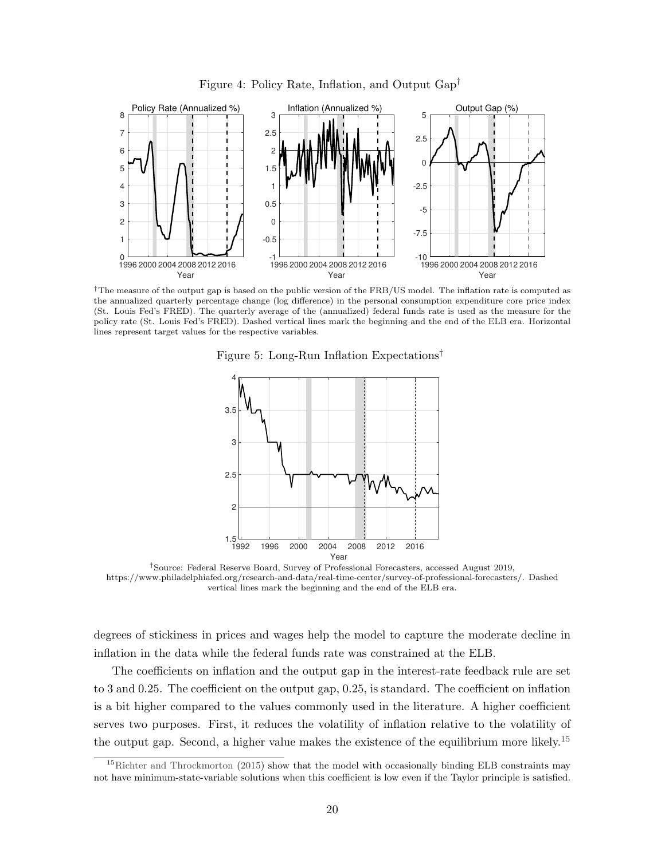<span id="page-20-0"></span>

Figure 4: Policy Rate, Inflation, and Output Gap†

<span id="page-20-1"></span>†The measure of the output gap is based on the public version of the FRB/US model. The inflation rate is computed as the annualized quarterly percentage change (log difference) in the personal consumption expenditure core price index (St. Louis Fed's FRED). The quarterly average of the (annualized) federal funds rate is used as the measure for the policy rate (St. Louis Fed's FRED). Dashed vertical lines mark the beginning and the end of the ELB era. Horizontal lines represent target values for the respective variables.

Figure 5: Long-Run Inflation Expectations†



†Source: Federal Reserve Board, Survey of Professional Forecasters, accessed August 2019, https://www.philadelphiafed.org/research-and-data/real-time-center/survey-of-professional-forecasters/. Dashed vertical lines mark the beginning and the end of the ELB era.

degrees of stickiness in prices and wages help the model to capture the moderate decline in inflation in the data while the federal funds rate was constrained at the ELB.

The coefficients on inflation and the output gap in the interest-rate feedback rule are set to 3 and 0.25. The coefficient on the output gap, 0.25, is standard. The coefficient on inflation is a bit higher compared to the values commonly used in the literature. A higher coefficient serves two purposes. First, it reduces the volatility of inflation relative to the volatility of the output gap. Second, a higher value makes the existence of the equilibrium more likely.[15](#page-20-2)

<span id="page-20-2"></span><sup>&</sup>lt;sup>15</sup>[Richter and Throckmorton](#page-44-10) [\(2015\)](#page-44-10) show that the model with occasionally binding ELB constraints may not have minimum-state-variable solutions when this coefficient is low even if the Taylor principle is satisfied.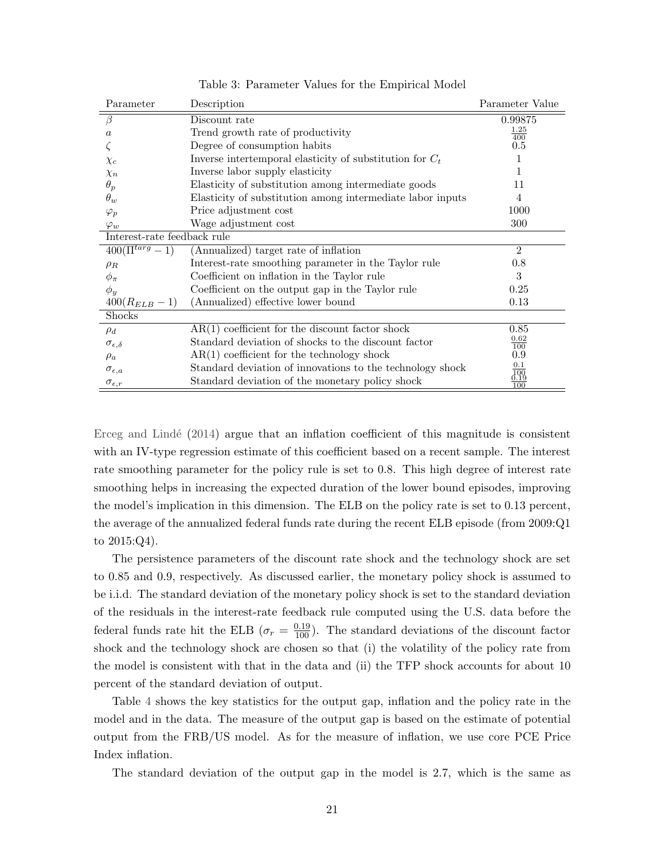| Parameter                   | Description                                                | Parameter Value    |
|-----------------------------|------------------------------------------------------------|--------------------|
| $\beta$                     | Discount rate                                              | 0.99875            |
| $\alpha$                    | Trend growth rate of productivity                          | $\frac{1.25}{400}$ |
|                             | Degree of consumption habits                               | 0.5                |
| $\chi_c$                    | Inverse intertemporal elasticity of substitution for $C_t$ | 1                  |
| $\chi_n$                    | Inverse labor supply elasticity                            | 1                  |
| $\theta_p$                  | Elasticity of substitution among intermediate goods        | 11                 |
| $\theta_w$                  | Elasticity of substitution among intermediate labor inputs | 4                  |
| $\varphi_p$                 | Price adjustment cost                                      | 1000               |
| $\varphi_w$                 | Wage adjustment cost                                       | 300                |
| Interest-rate feedback rule |                                                            |                    |
| $400(\Pi^{targ}-1)$         | (Annualized) target rate of inflation                      | $\overline{2}$     |
| $\rho_R$                    | Interest-rate smoothing parameter in the Taylor rule       | 0.8                |
| $\phi_\pi$                  | Coefficient on inflation in the Taylor rule                | 3                  |
| $\phi_y$                    | Coefficient on the output gap in the Taylor rule           | 0.25               |
| $400(R_{ELB} - 1)$          | (Annualized) effective lower bound                         | 0.13               |
| Shocks                      |                                                            |                    |
| $\rho_d$                    | $AR(1)$ coefficient for the discount factor shock          | 0.85               |
| $\sigma_{\epsilon,\delta}$  | Standard deviation of shocks to the discount factor        | 0.62<br>100        |
| $\rho_a$                    | $AR(1)$ coefficient for the technology shock               | 0.9                |
| $\sigma_{\epsilon,a}$       | Standard deviation of innovations to the technology shock  | 0.1                |
| $\sigma_{\epsilon,r}$       | Standard deviation of the monetary policy shock            | 3.98<br>100        |

Table 3: Parameter Values for the Empirical Model

Erceg and Lindé  $(2014)$  argue that an inflation coefficient of this magnitude is consistent with an IV-type regression estimate of this coefficient based on a recent sample. The interest rate smoothing parameter for the policy rule is set to 0.8. This high degree of interest rate smoothing helps in increasing the expected duration of the lower bound episodes, improving the model's implication in this dimension. The ELB on the policy rate is set to 0.13 percent, the average of the annualized federal funds rate during the recent ELB episode (from 2009:Q1 to 2015:Q4).

The persistence parameters of the discount rate shock and the technology shock are set to 0.85 and 0.9, respectively. As discussed earlier, the monetary policy shock is assumed to be i.i.d. The standard deviation of the monetary policy shock is set to the standard deviation of the residuals in the interest-rate feedback rule computed using the U.S. data before the federal funds rate hit the ELB ( $\sigma_r = \frac{0.19}{100}$ ). The standard deviations of the discount factor shock and the technology shock are chosen so that (i) the volatility of the policy rate from the model is consistent with that in the data and (ii) the TFP shock accounts for about 10 percent of the standard deviation of output.

Table [4](#page-22-0) shows the key statistics for the output gap, inflation and the policy rate in the model and in the data. The measure of the output gap is based on the estimate of potential output from the FRB/US model. As for the measure of inflation, we use core PCE Price Index inflation.

The standard deviation of the output gap in the model is 2.7, which is the same as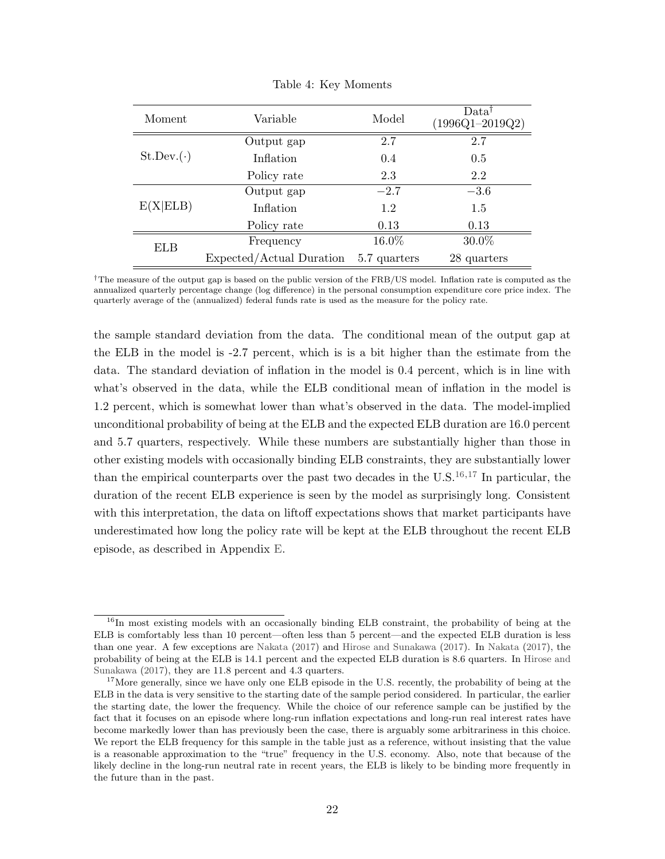<span id="page-22-0"></span>

| Moment           | Variable                 | Model        | Data <sup>7</sup><br>$(1996Q1 - 2019Q2)$ |
|------------------|--------------------------|--------------|------------------------------------------|
|                  | Output gap               | 2.7          | 2.7                                      |
| $St.Dev.(\cdot)$ | Inflation                | 0.4          | 0.5                                      |
|                  | Policy rate              | 2.3          | 2.2                                      |
|                  | Output gap               | $-2.7$       | $-3.6$                                   |
| E(X ELB)         | Inflation                | 1.2          | 1.5                                      |
|                  | Policy rate              | 0.13         | 0.13                                     |
| ELB              | Frequency                | 16.0%        | 30.0%                                    |
|                  | Expected/Actual Duration | 5.7 quarters | 28 quarters                              |

Table 4: Key Moments

†The measure of the output gap is based on the public version of the FRB/US model. Inflation rate is computed as the annualized quarterly percentage change (log difference) in the personal consumption expenditure core price index. The quarterly average of the (annualized) federal funds rate is used as the measure for the policy rate.

the sample standard deviation from the data. The conditional mean of the output gap at the ELB in the model is -2.7 percent, which is is a bit higher than the estimate from the data. The standard deviation of inflation in the model is 0.4 percent, which is in line with what's observed in the data, while the ELB conditional mean of inflation in the model is 1.2 percent, which is somewhat lower than what's observed in the data. The model-implied unconditional probability of being at the ELB and the expected ELB duration are 16.0 percent and 5.7 quarters, respectively. While these numbers are substantially higher than those in other existing models with occasionally binding ELB constraints, they are substantially lower than the empirical counterparts over the past two decades in the  $U.S.<sup>16,17</sup>$  $U.S.<sup>16,17</sup>$  $U.S.<sup>16,17</sup>$  $U.S.<sup>16,17</sup>$  $U.S.<sup>16,17</sup>$  In particular, the duration of the recent ELB experience is seen by the model as surprisingly long. Consistent with this interpretation, the data on liftoff expectations shows that market participants have underestimated how long the policy rate will be kept at the ELB throughout the recent ELB episode, as described in Appendix [E.](#page-58-0)

<span id="page-22-1"></span><sup>&</sup>lt;sup>16</sup>In most existing models with an occasionally binding ELB constraint, the probability of being at the ELB is comfortably less than 10 percent—often less than 5 percent—and the expected ELB duration is less than one year. A few exceptions are [Nakata](#page-44-11) [\(2017\)](#page-44-11) and [Hirose and Sunakawa](#page-43-8) [\(2017\)](#page-43-8). In [Nakata](#page-44-11) [\(2017\)](#page-44-11), the probability of being at the ELB is 14.1 percent and the expected ELB duration is 8.6 quarters. In [Hirose and](#page-43-8) [Sunakawa](#page-43-8) [\(2017\)](#page-43-8), they are 11.8 percent and 4.3 quarters.

<span id="page-22-2"></span><sup>&</sup>lt;sup>17</sup>More generally, since we have only one ELB episode in the U.S. recently, the probability of being at the ELB in the data is very sensitive to the starting date of the sample period considered. In particular, the earlier the starting date, the lower the frequency. While the choice of our reference sample can be justified by the fact that it focuses on an episode where long-run inflation expectations and long-run real interest rates have become markedly lower than has previously been the case, there is arguably some arbitrariness in this choice. We report the ELB frequency for this sample in the table just as a reference, without insisting that the value is a reasonable approximation to the "true" frequency in the U.S. economy. Also, note that because of the likely decline in the long-run neutral rate in recent years, the ELB is likely to be binding more frequently in the future than in the past.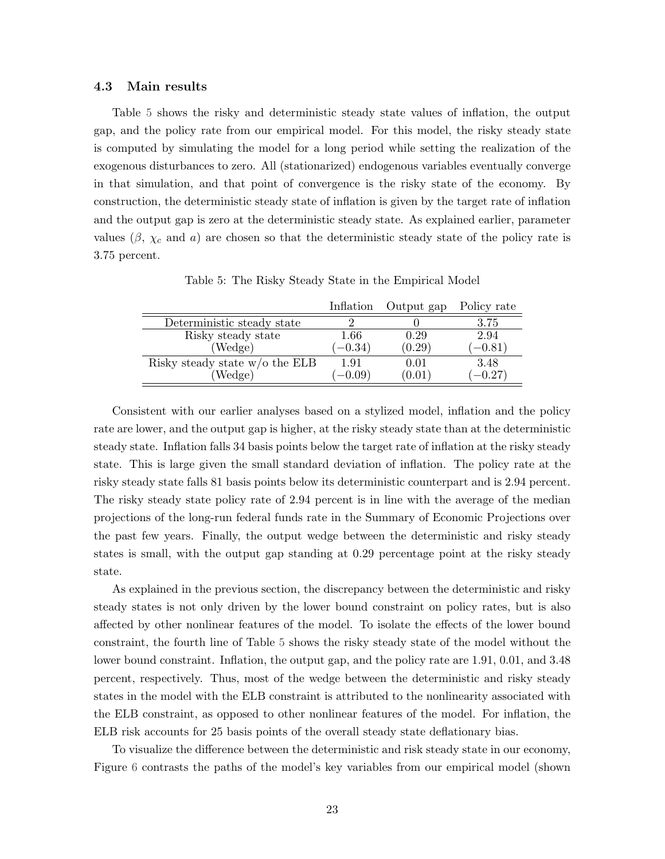#### 4.3 Main results

Table [5](#page-23-0) shows the risky and deterministic steady state values of inflation, the output gap, and the policy rate from our empirical model. For this model, the risky steady state is computed by simulating the model for a long period while setting the realization of the exogenous disturbances to zero. All (stationarized) endogenous variables eventually converge in that simulation, and that point of convergence is the risky state of the economy. By construction, the deterministic steady state of inflation is given by the target rate of inflation and the output gap is zero at the deterministic steady state. As explained earlier, parameter values ( $\beta$ ,  $\chi_c$  and a) are chosen so that the deterministic steady state of the policy rate is 3.75 percent.

<span id="page-23-0"></span>

|                                  | Inflation | Output gap | Policy rate |
|----------------------------------|-----------|------------|-------------|
| Deterministic steady state       |           |            | 3.75        |
| Risky steady state               | 1.66      | 0.29       | 2.94        |
| (Wedge)                          | $(-0.34)$ | (0.29)     | $(-0.81)$   |
| Risky steady state $w/o$ the ELB | 1.91      | 0.01       | 3.48        |
| (Wedge)                          | $(-0.09)$ | (0.01)     | $(-0.27)$   |

Table 5: The Risky Steady State in the Empirical Model

Consistent with our earlier analyses based on a stylized model, inflation and the policy rate are lower, and the output gap is higher, at the risky steady state than at the deterministic steady state. Inflation falls 34 basis points below the target rate of inflation at the risky steady state. This is large given the small standard deviation of inflation. The policy rate at the risky steady state falls 81 basis points below its deterministic counterpart and is 2.94 percent. The risky steady state policy rate of 2.94 percent is in line with the average of the median projections of the long-run federal funds rate in the Summary of Economic Projections over the past few years. Finally, the output wedge between the deterministic and risky steady states is small, with the output gap standing at 0.29 percentage point at the risky steady state.

As explained in the previous section, the discrepancy between the deterministic and risky steady states is not only driven by the lower bound constraint on policy rates, but is also affected by other nonlinear features of the model. To isolate the effects of the lower bound constraint, the fourth line of Table [5](#page-23-0) shows the risky steady state of the model without the lower bound constraint. Inflation, the output gap, and the policy rate are 1.91, 0.01, and 3.48 percent, respectively. Thus, most of the wedge between the deterministic and risky steady states in the model with the ELB constraint is attributed to the nonlinearity associated with the ELB constraint, as opposed to other nonlinear features of the model. For inflation, the ELB risk accounts for 25 basis points of the overall steady state deflationary bias.

To visualize the difference between the deterministic and risk steady state in our economy, Figure [6](#page-24-0) contrasts the paths of the model's key variables from our empirical model (shown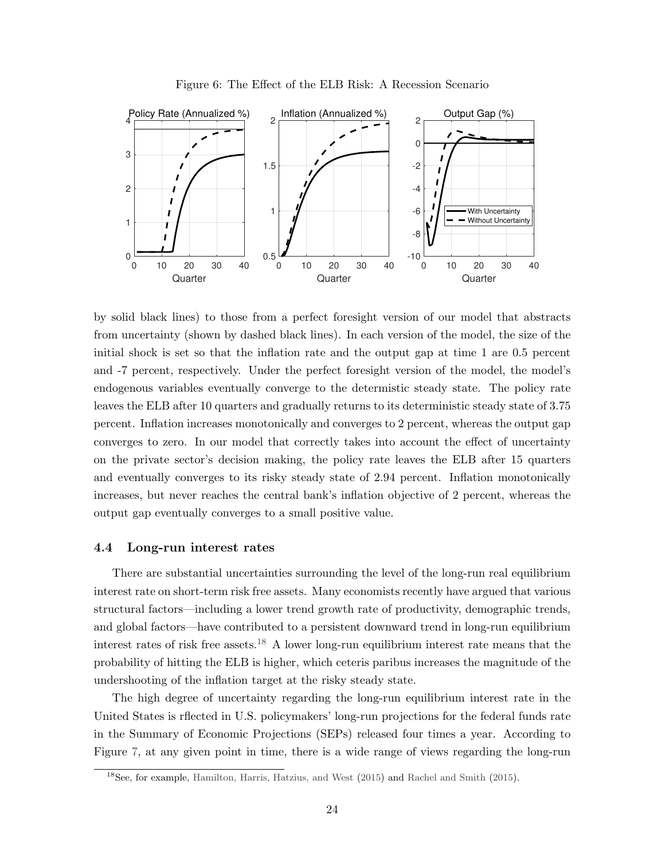<span id="page-24-0"></span>

Figure 6: The Effect of the ELB Risk: A Recession Scenario

by solid black lines) to those from a perfect foresight version of our model that abstracts from uncertainty (shown by dashed black lines). In each version of the model, the size of the initial shock is set so that the inflation rate and the output gap at time 1 are 0.5 percent and -7 percent, respectively. Under the perfect foresight version of the model, the model's endogenous variables eventually converge to the determistic steady state. The policy rate leaves the ELB after 10 quarters and gradually returns to its deterministic steady state of 3.75 percent. Inflation increases monotonically and converges to 2 percent, whereas the output gap converges to zero. In our model that correctly takes into account the effect of uncertainty on the private sector's decision making, the policy rate leaves the ELB after 15 quarters and eventually converges to its risky steady state of 2.94 percent. Inflation monotonically increases, but never reaches the central bank's inflation objective of 2 percent, whereas the output gap eventually converges to a small positive value.

#### 4.4 Long-run interest rates

There are substantial uncertainties surrounding the level of the long-run real equilibrium interest rate on short-term risk free assets. Many economists recently have argued that various structural factors—including a lower trend growth rate of productivity, demographic trends, and global factors—have contributed to a persistent downward trend in long-run equilibrium interest rates of risk free assets.<sup>[18](#page-24-1)</sup> A lower long-run equilibrium interest rate means that the probability of hitting the ELB is higher, which ceteris paribus increases the magnitude of the undershooting of the inflation target at the risky steady state.

The high degree of uncertainty regarding the long-run equilibrium interest rate in the United States is rflected in U.S. policymakers' long-run projections for the federal funds rate in the Summary of Economic Projections (SEPs) released four times a year. According to Figure [7,](#page-25-0) at any given point in time, there is a wide range of views regarding the long-run

<span id="page-24-1"></span><sup>18</sup>See, for example, [Hamilton, Harris, Hatzius, and West](#page-43-9) [\(2015\)](#page-43-9) and [Rachel and Smith](#page-44-13) [\(2015\)](#page-44-13).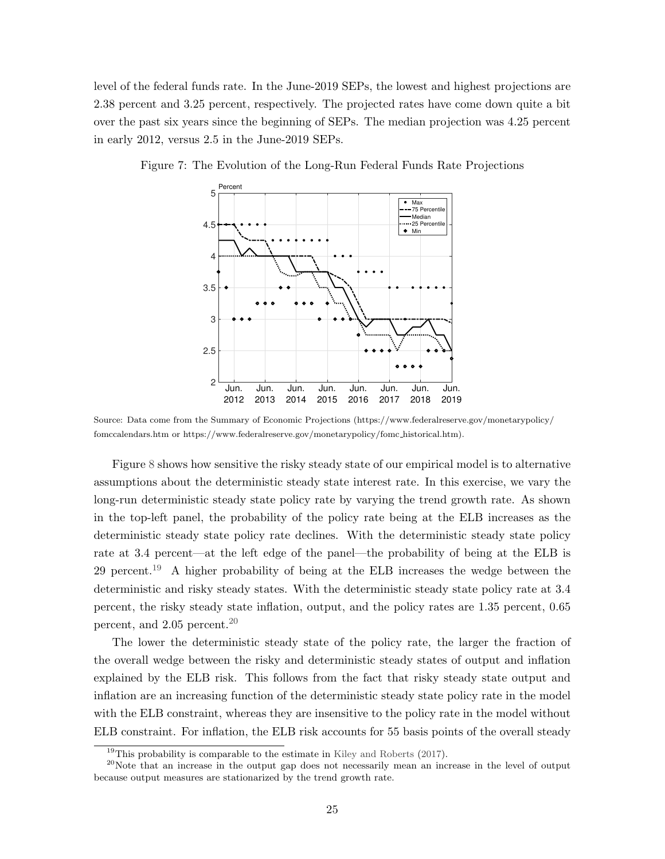level of the federal funds rate. In the June-2019 SEPs, the lowest and highest projections are 2.38 percent and 3.25 percent, respectively. The projected rates have come down quite a bit over the past six years since the beginning of SEPs. The median projection was 4.25 percent in early 2012, versus 2.5 in the June-2019 SEPs.



<span id="page-25-0"></span>Figure 7: The Evolution of the Long-Run Federal Funds Rate Projections

Source: Data come from the Summary of Economic Projections (https://www.federalreserve.gov/monetarypolicy/ fomccalendars.htm or https://www.federalreserve.gov/monetarypolicy/fomc historical.htm).

Figure [8](#page-26-1) shows how sensitive the risky steady state of our empirical model is to alternative assumptions about the deterministic steady state interest rate. In this exercise, we vary the long-run deterministic steady state policy rate by varying the trend growth rate. As shown in the top-left panel, the probability of the policy rate being at the ELB increases as the deterministic steady state policy rate declines. With the deterministic steady state policy rate at 3.4 percent—at the left edge of the panel—the probability of being at the ELB is 29 percent.<sup>[19](#page-25-1)</sup> A higher probability of being at the ELB increases the wedge between the deterministic and risky steady states. With the deterministic steady state policy rate at 3.4 percent, the risky steady state inflation, output, and the policy rates are 1.35 percent, 0.65 percent, and 2.05 percent.[20](#page-25-2)

The lower the deterministic steady state of the policy rate, the larger the fraction of the overall wedge between the risky and deterministic steady states of output and inflation explained by the ELB risk. This follows from the fact that risky steady state output and inflation are an increasing function of the deterministic steady state policy rate in the model with the ELB constraint, whereas they are insensitive to the policy rate in the model without ELB constraint. For inflation, the ELB risk accounts for 55 basis points of the overall steady

<span id="page-25-2"></span><span id="page-25-1"></span><sup>&</sup>lt;sup>19</sup>This probability is comparable to the estimate in [Kiley and Roberts](#page-43-4)  $(2017)$ .

<sup>&</sup>lt;sup>20</sup>Note that an increase in the output gap does not necessarily mean an increase in the level of output because output measures are stationarized by the trend growth rate.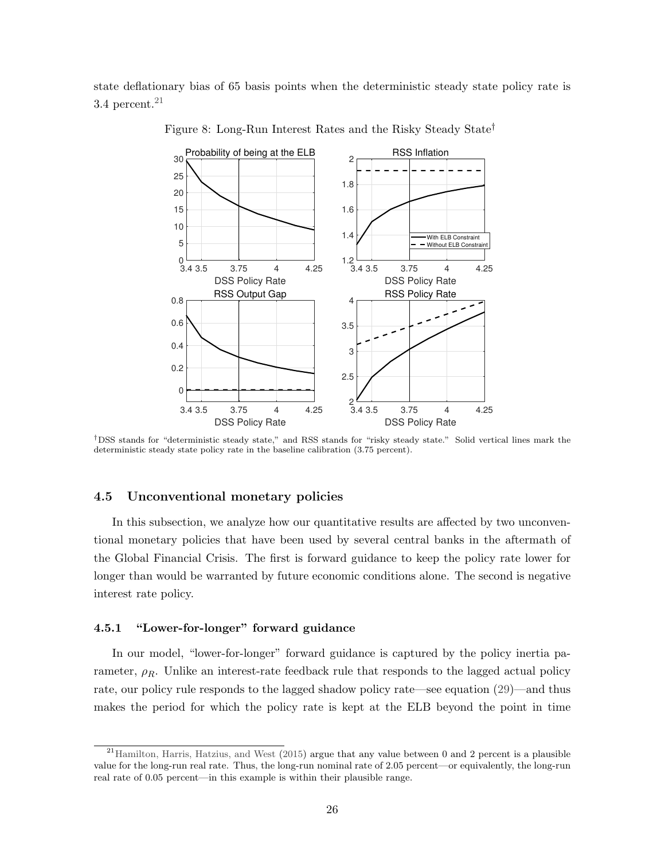<span id="page-26-1"></span>state deflationary bias of 65 basis points when the deterministic steady state policy rate is 3.4 percent. $21$ 



Figure 8: Long-Run Interest Rates and the Risky Steady State†

†DSS stands for "deterministic steady state," and RSS stands for "risky steady state." Solid vertical lines mark the deterministic steady state policy rate in the baseline calibration (3.75 percent).

## <span id="page-26-0"></span>4.5 Unconventional monetary policies

In this subsection, we analyze how our quantitative results are affected by two unconventional monetary policies that have been used by several central banks in the aftermath of the Global Financial Crisis. The first is forward guidance to keep the policy rate lower for longer than would be warranted by future economic conditions alone. The second is negative interest rate policy.

### 4.5.1 "Lower-for-longer" forward guidance

In our model, "lower-for-longer" forward guidance is captured by the policy inertia parameter,  $\rho_R$ . Unlike an interest-rate feedback rule that responds to the lagged actual policy rate, our policy rule responds to the lagged shadow policy rate—see equation [\(29\)](#page-18-0)—and thus makes the period for which the policy rate is kept at the ELB beyond the point in time

<span id="page-26-2"></span> $^{21}$ [Hamilton, Harris, Hatzius, and West](#page-43-9) [\(2015\)](#page-43-9) argue that any value between 0 and 2 percent is a plausible value for the long-run real rate. Thus, the long-run nominal rate of 2.05 percent—or equivalently, the long-run real rate of 0.05 percent—in this example is within their plausible range.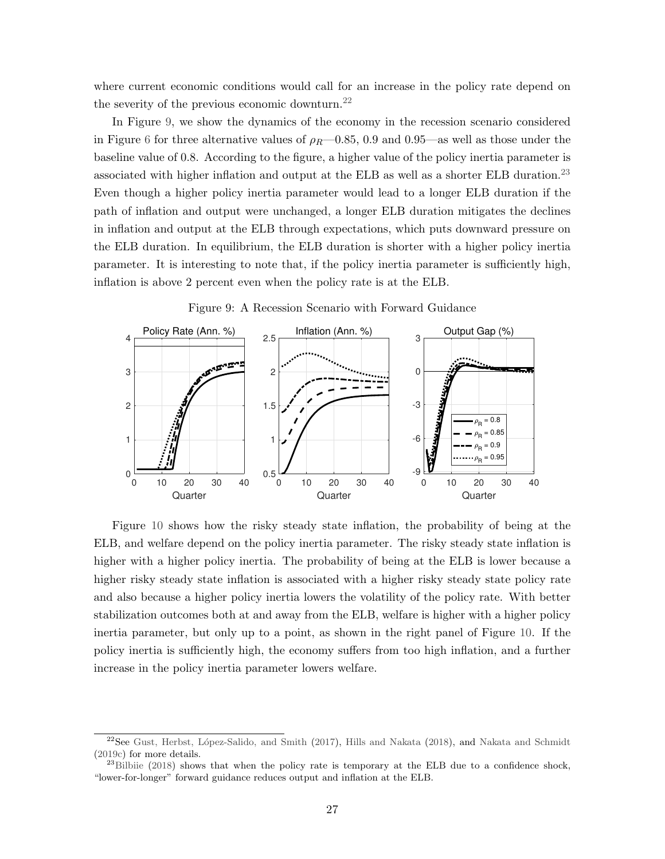where current economic conditions would call for an increase in the policy rate depend on the severity of the previous economic downturn.<sup>[22](#page-27-0)</sup>

In Figure [9,](#page-27-1) we show the dynamics of the economy in the recession scenario considered in Figure [6](#page-24-0) for three alternative values of  $\rho_R$ —0.85, 0.9 and 0.95—as well as those under the baseline value of 0.8. According to the figure, a higher value of the policy inertia parameter is associated with higher inflation and output at the ELB as well as a shorter ELB duration.<sup>[23](#page-27-2)</sup> Even though a higher policy inertia parameter would lead to a longer ELB duration if the path of inflation and output were unchanged, a longer ELB duration mitigates the declines in inflation and output at the ELB through expectations, which puts downward pressure on the ELB duration. In equilibrium, the ELB duration is shorter with a higher policy inertia parameter. It is interesting to note that, if the policy inertia parameter is sufficiently high, inflation is above 2 percent even when the policy rate is at the ELB.

<span id="page-27-1"></span>

Figure 9: A Recession Scenario with Forward Guidance

Figure [10](#page-28-0) shows how the risky steady state inflation, the probability of being at the ELB, and welfare depend on the policy inertia parameter. The risky steady state inflation is higher with a higher policy inertia. The probability of being at the ELB is lower because a higher risky steady state inflation is associated with a higher risky steady state policy rate and also because a higher policy inertia lowers the volatility of the policy rate. With better stabilization outcomes both at and away from the ELB, welfare is higher with a higher policy inertia parameter, but only up to a point, as shown in the right panel of Figure [10.](#page-28-0) If the policy inertia is sufficiently high, the economy suffers from too high inflation, and a further increase in the policy inertia parameter lowers welfare.

<span id="page-27-0"></span><sup>&</sup>lt;sup>22</sup>See Gust, Herbst, López-Salido, and Smith [\(2017\)](#page-43-6), [Hills and Nakata](#page-43-10) [\(2018\)](#page-43-10), and [Nakata and Schmidt](#page-44-14) [\(2019c\)](#page-44-14) for more details.

<span id="page-27-2"></span><sup>&</sup>lt;sup>23</sup>[Bilbiie](#page-41-2) [\(2018\)](#page-41-2) shows that when the policy rate is temporary at the ELB due to a confidence shock, "lower-for-longer" forward guidance reduces output and inflation at the ELB.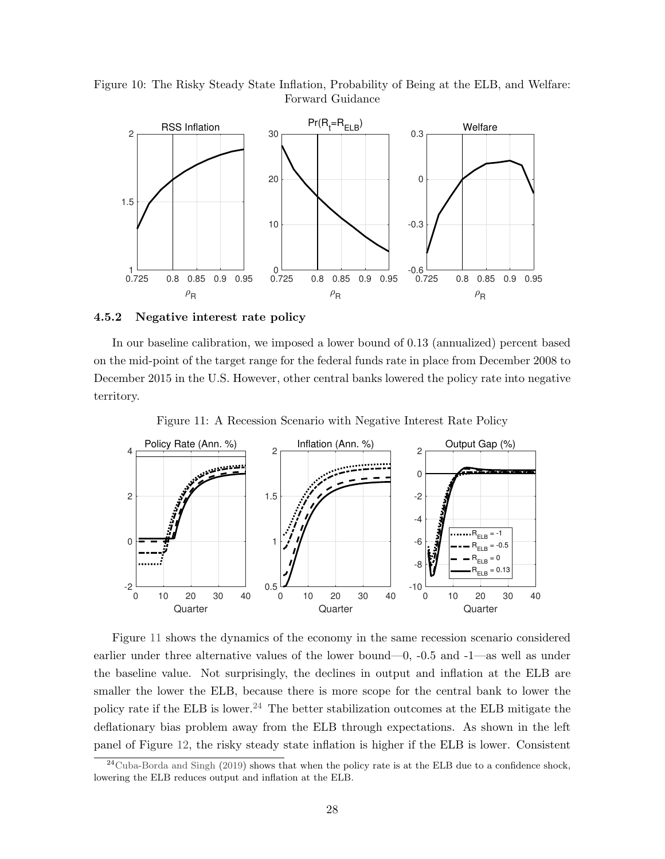<span id="page-28-0"></span>Figure 10: The Risky Steady State Inflation, Probability of Being at the ELB, and Welfare: Forward Guidance



### 4.5.2 Negative interest rate policy

In our baseline calibration, we imposed a lower bound of 0.13 (annualized) percent based on the mid-point of the target range for the federal funds rate in place from December 2008 to December 2015 in the U.S. However, other central banks lowered the policy rate into negative territory.

Figure 11: A Recession Scenario with Negative Interest Rate Policy

<span id="page-28-1"></span>

Figure [11](#page-28-1) shows the dynamics of the economy in the same recession scenario considered earlier under three alternative values of the lower bound—0, -0.5 and -1—as well as under the baseline value. Not surprisingly, the declines in output and inflation at the ELB are smaller the lower the ELB, because there is more scope for the central bank to lower the policy rate if the ELB is lower.<sup>[24](#page-28-2)</sup> The better stabilization outcomes at the ELB mitigate the deflationary bias problem away from the ELB through expectations. As shown in the left panel of Figure [12,](#page-29-1) the risky steady state inflation is higher if the ELB is lower. Consistent

<span id="page-28-2"></span> $^{24}$ [Cuba-Borda and Singh](#page-42-6) [\(2019\)](#page-42-6) shows that when the policy rate is at the ELB due to a confidence shock, lowering the ELB reduces output and inflation at the ELB.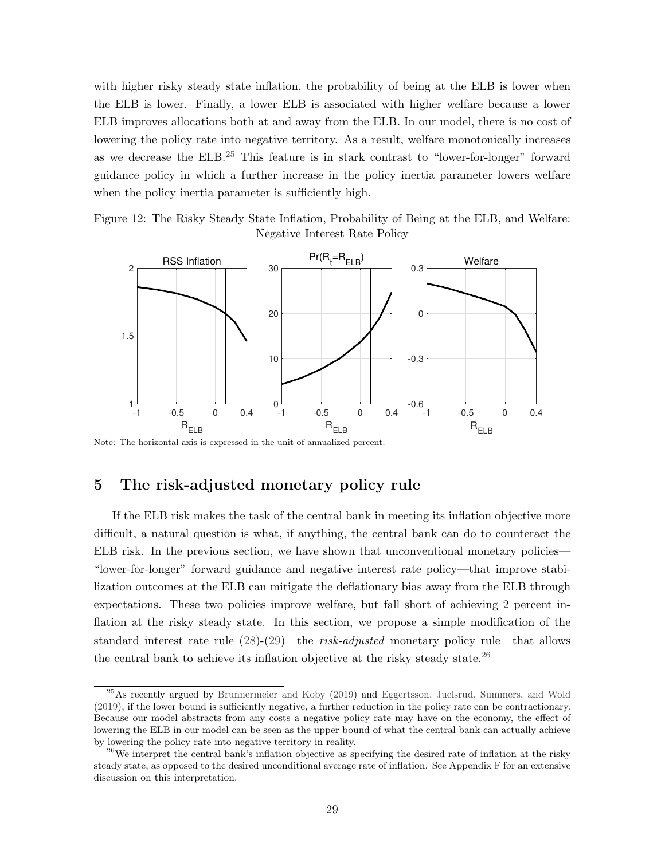with higher risky steady state inflation, the probability of being at the ELB is lower when the ELB is lower. Finally, a lower ELB is associated with higher welfare because a lower ELB improves allocations both at and away from the ELB. In our model, there is no cost of lowering the policy rate into negative territory. As a result, welfare monotonically increases as we decrease the ELB.[25](#page-29-2) This feature is in stark contrast to "lower-for-longer" forward guidance policy in which a further increase in the policy inertia parameter lowers welfare when the policy inertia parameter is sufficiently high.

<span id="page-29-1"></span>Figure 12: The Risky Steady State Inflation, Probability of Being at the ELB, and Welfare: Negative Interest Rate Policy



Note: The horizontal axis is expressed in the unit of annualized percent.

# <span id="page-29-0"></span>5 The risk-adjusted monetary policy rule

If the ELB risk makes the task of the central bank in meeting its inflation objective more difficult, a natural question is what, if anything, the central bank can do to counteract the ELB risk. In the previous section, we have shown that unconventional monetary policies— "lower-for-longer" forward guidance and negative interest rate policy—that improve stabilization outcomes at the ELB can mitigate the deflationary bias away from the ELB through expectations. These two policies improve welfare, but fall short of achieving 2 percent inflation at the risky steady state. In this section, we propose a simple modification of the standard interest rate rule [\(28\)](#page-18-1)-[\(29\)](#page-18-0)—the risk-adjusted monetary policy rule—that allows the central bank to achieve its inflation objective at the risky steady state.<sup>[26](#page-29-3)</sup>

<span id="page-29-2"></span><sup>25</sup>As recently argued by [Brunnermeier and Koby](#page-41-7) [\(2019\)](#page-41-7) and [Eggertsson, Juelsrud, Summers, and Wold](#page-42-7) [\(2019\)](#page-42-7), if the lower bound is sufficiently negative, a further reduction in the policy rate can be contractionary. Because our model abstracts from any costs a negative policy rate may have on the economy, the effect of lowering the ELB in our model can be seen as the upper bound of what the central bank can actually achieve by lowering the policy rate into negative territory in reality.

<span id="page-29-3"></span><sup>&</sup>lt;sup>26</sup>We interpret the central bank's inflation objective as specifying the desired rate of inflation at the risky steady state, as opposed to the desired unconditional average rate of inflation. See Appendix [F](#page-60-0) for an extensive discussion on this interpretation.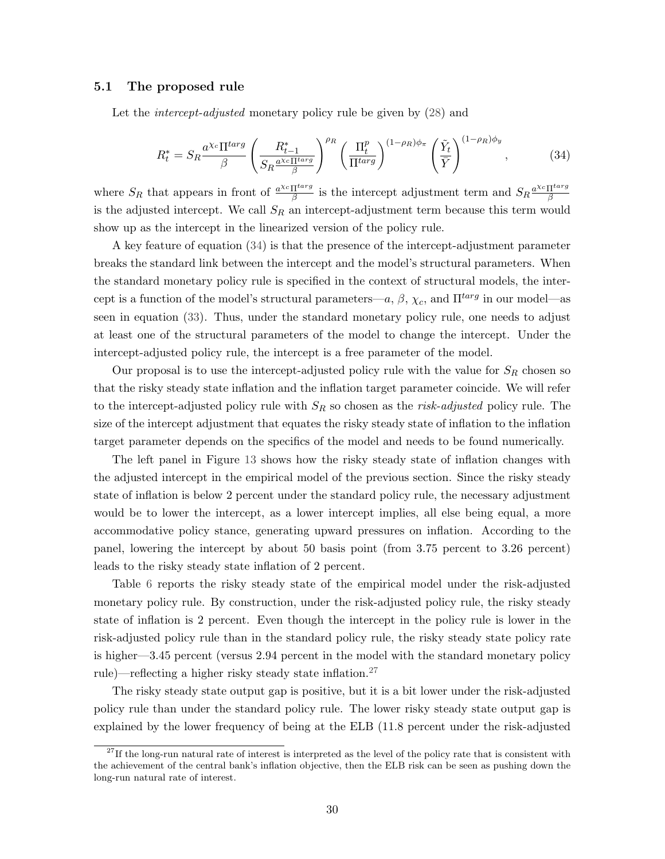#### 5.1 The proposed rule

Let the *intercept-adjusted* monetary policy rule be given by  $(28)$  and

<span id="page-30-0"></span>
$$
R_t^* = S_R \frac{a^{\chi_c} \Pi^{targ}}{\beta} \left( \frac{R_{t-1}^*}{S_R \frac{a^{\chi_c} \Pi^{targ}}{\beta}} \right)^{\rho_R} \left( \frac{\Pi_t^p}{\Pi^{targ}} \right)^{(1-\rho_R)\phi_\pi} \left( \frac{\tilde{Y}_t}{\bar{Y}} \right)^{(1-\rho_R)\phi_y},\tag{34}
$$

where  $S_R$  that appears in front of  $\frac{a^{\chi_c} \prod^{targ}}{\beta}$  $\frac{\Pi^{targ}}{\beta}$  is the intercept adjustment term and  $S_R \frac{a^{\chi_c} \Pi^{targ}}{\beta}$ β is the adjusted intercept. We call  $S_R$  an intercept-adjustment term because this term would show up as the intercept in the linearized version of the policy rule.

A key feature of equation [\(34\)](#page-30-0) is that the presence of the intercept-adjustment parameter breaks the standard link between the intercept and the model's structural parameters. When the standard monetary policy rule is specified in the context of structural models, the intercept is a function of the model's structural parameters—a,  $\beta$ ,  $\chi_c$ , and  $\Pi^{targ}$  in our model—as seen in equation [\(33\)](#page-18-2). Thus, under the standard monetary policy rule, one needs to adjust at least one of the structural parameters of the model to change the intercept. Under the intercept-adjusted policy rule, the intercept is a free parameter of the model.

Our proposal is to use the intercept-adjusted policy rule with the value for  $S_R$  chosen so that the risky steady state inflation and the inflation target parameter coincide. We will refer to the intercept-adjusted policy rule with  $S_R$  so chosen as the *risk-adjusted* policy rule. The size of the intercept adjustment that equates the risky steady state of inflation to the inflation target parameter depends on the specifics of the model and needs to be found numerically.

The left panel in Figure [13](#page-31-0) shows how the risky steady state of inflation changes with the adjusted intercept in the empirical model of the previous section. Since the risky steady state of inflation is below 2 percent under the standard policy rule, the necessary adjustment would be to lower the intercept, as a lower intercept implies, all else being equal, a more accommodative policy stance, generating upward pressures on inflation. According to the panel, lowering the intercept by about 50 basis point (from 3.75 percent to 3.26 percent) leads to the risky steady state inflation of 2 percent.

Table [6](#page-31-1) reports the risky steady state of the empirical model under the risk-adjusted monetary policy rule. By construction, under the risk-adjusted policy rule, the risky steady state of inflation is 2 percent. Even though the intercept in the policy rule is lower in the risk-adjusted policy rule than in the standard policy rule, the risky steady state policy rate is higher—3.45 percent (versus 2.94 percent in the model with the standard monetary policy rule)—reflecting a higher risky steady state inflation.<sup>[27](#page-30-1)</sup>

The risky steady state output gap is positive, but it is a bit lower under the risk-adjusted policy rule than under the standard policy rule. The lower risky steady state output gap is explained by the lower frequency of being at the ELB (11.8 percent under the risk-adjusted

<span id="page-30-1"></span> $27$ If the long-run natural rate of interest is interpreted as the level of the policy rate that is consistent with the achievement of the central bank's inflation objective, then the ELB risk can be seen as pushing down the long-run natural rate of interest.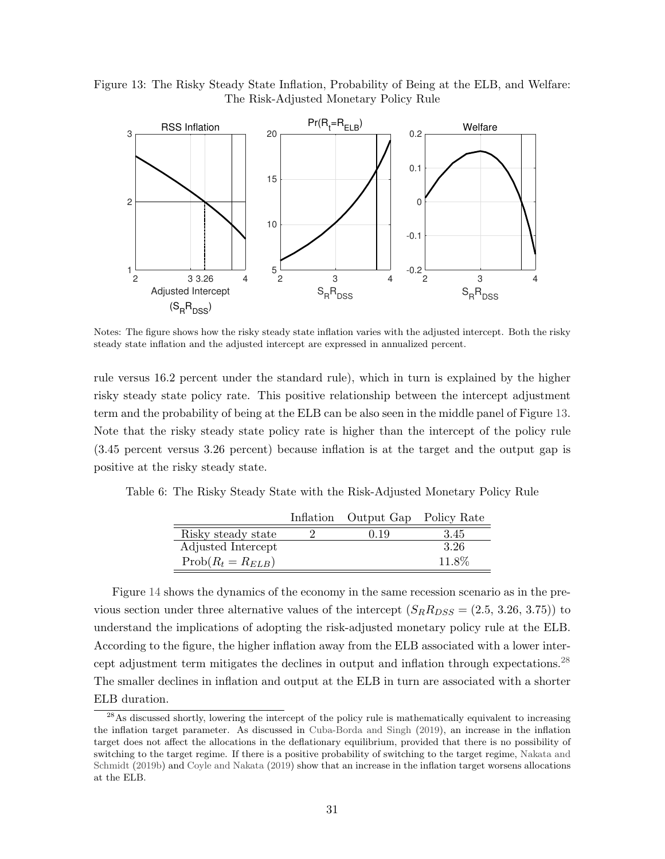<span id="page-31-0"></span>Figure 13: The Risky Steady State Inflation, Probability of Being at the ELB, and Welfare: The Risk-Adjusted Monetary Policy Rule



Notes: The figure shows how the risky steady state inflation varies with the adjusted intercept. Both the risky steady state inflation and the adjusted intercept are expressed in annualized percent.

rule versus 16.2 percent under the standard rule), which in turn is explained by the higher risky steady state policy rate. This positive relationship between the intercept adjustment term and the probability of being at the ELB can be also seen in the middle panel of Figure [13.](#page-31-0) Note that the risky steady state policy rate is higher than the intercept of the policy rule (3.45 percent versus 3.26 percent) because inflation is at the target and the output gap is positive at the risky steady state.

<span id="page-31-1"></span>Table 6: The Risky Steady State with the Risk-Adjusted Monetary Policy Rule

|                       | Inflation Output Gap Policy Rate |       |
|-----------------------|----------------------------------|-------|
| Risky steady state    | 0.19                             | 3.45  |
| Adjusted Intercept    |                                  | 3.26  |
| $Prob(R_t = R_{ELB})$ |                                  | 11.8% |

Figure [14](#page-32-0) shows the dynamics of the economy in the same recession scenario as in the previous section under three alternative values of the intercept  $(S_R R_{DSS} = (2.5, 3.26, 3.75))$  to understand the implications of adopting the risk-adjusted monetary policy rule at the ELB. According to the figure, the higher inflation away from the ELB associated with a lower inter-cept adjustment term mitigates the declines in output and inflation through expectations.<sup>[28](#page-31-2)</sup> The smaller declines in inflation and output at the ELB in turn are associated with a shorter ELB duration.

<span id="page-31-2"></span><sup>&</sup>lt;sup>28</sup>As discussed shortly, lowering the intercept of the policy rule is mathematically equivalent to increasing the inflation target parameter. As discussed in [Cuba-Borda and Singh](#page-42-6) [\(2019\)](#page-42-6), an increase in the inflation target does not affect the allocations in the deflationary equilibrium, provided that there is no possibility of switching to the target regime. If there is a positive probability of switching to the target regime, [Nakata and](#page-44-5) [Schmidt](#page-44-5) [\(2019b\)](#page-44-5) and [Coyle and Nakata](#page-42-1) [\(2019\)](#page-42-1) show that an increase in the inflation target worsens allocations at the ELB.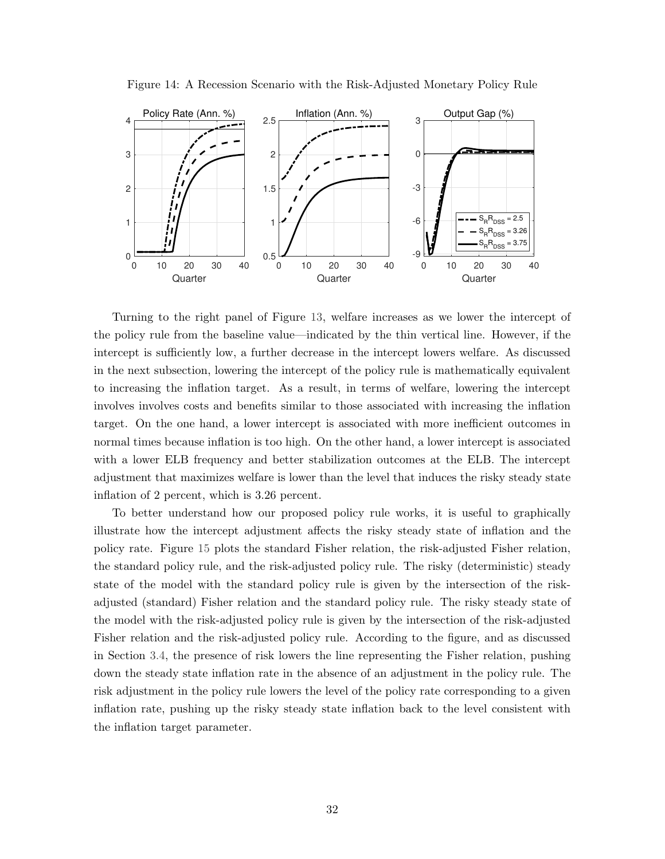<span id="page-32-0"></span>

Figure 14: A Recession Scenario with the Risk-Adjusted Monetary Policy Rule

Turning to the right panel of Figure [13,](#page-31-0) welfare increases as we lower the intercept of the policy rule from the baseline value—indicated by the thin vertical line. However, if the intercept is sufficiently low, a further decrease in the intercept lowers welfare. As discussed in the next subsection, lowering the intercept of the policy rule is mathematically equivalent to increasing the inflation target. As a result, in terms of welfare, lowering the intercept involves involves costs and benefits similar to those associated with increasing the inflation target. On the one hand, a lower intercept is associated with more inefficient outcomes in normal times because inflation is too high. On the other hand, a lower intercept is associated with a lower ELB frequency and better stabilization outcomes at the ELB. The intercept adjustment that maximizes welfare is lower than the level that induces the risky steady state inflation of 2 percent, which is 3.26 percent.

To better understand how our proposed policy rule works, it is useful to graphically illustrate how the intercept adjustment affects the risky steady state of inflation and the policy rate. Figure [15](#page-33-0) plots the standard Fisher relation, the risk-adjusted Fisher relation, the standard policy rule, and the risk-adjusted policy rule. The risky (deterministic) steady state of the model with the standard policy rule is given by the intersection of the riskadjusted (standard) Fisher relation and the standard policy rule. The risky steady state of the model with the risk-adjusted policy rule is given by the intersection of the risk-adjusted Fisher relation and the risk-adjusted policy rule. According to the figure, and as discussed in Section [3.4,](#page-12-2) the presence of risk lowers the line representing the Fisher relation, pushing down the steady state inflation rate in the absence of an adjustment in the policy rule. The risk adjustment in the policy rule lowers the level of the policy rate corresponding to a given inflation rate, pushing up the risky steady state inflation back to the level consistent with the inflation target parameter.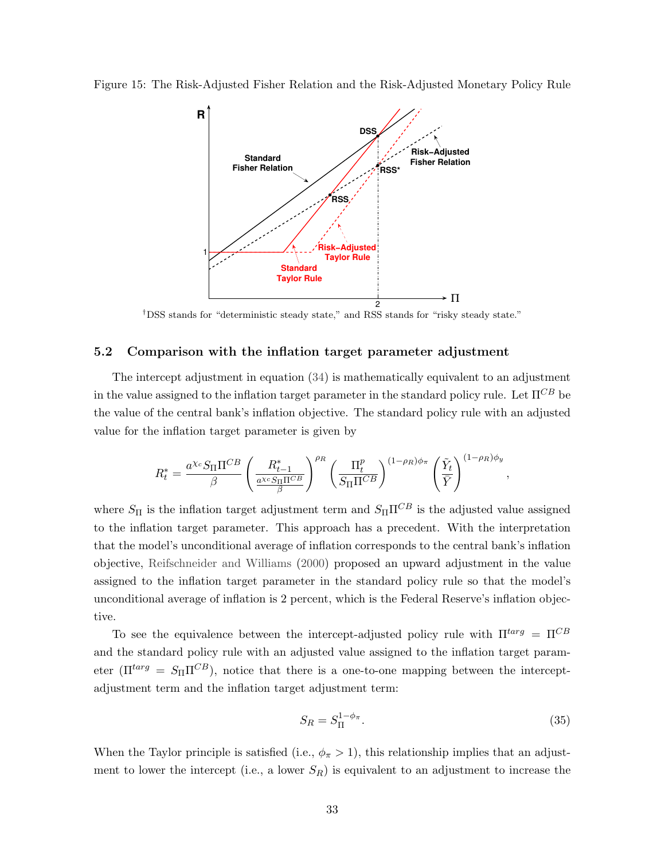<span id="page-33-0"></span>Figure 15: The Risk-Adjusted Fisher Relation and the Risk-Adjusted Monetary Policy Rule



†DSS stands for "deterministic steady state," and RSS stands for "risky steady state."

## 5.2 Comparison with the inflation target parameter adjustment

The intercept adjustment in equation [\(34\)](#page-30-0) is mathematically equivalent to an adjustment in the value assigned to the inflation target parameter in the standard policy rule. Let  $\Pi^{CB}$  be the value of the central bank's inflation objective. The standard policy rule with an adjusted value for the inflation target parameter is given by

$$
R_t^* = \frac{a^{\chi_c} S_\Pi \Pi^{CB}}{\beta} \left( \frac{R_{t-1}^*}{\frac{a^{\chi_c} S_\Pi \Pi^{CB}}{\beta}} \right)^{\rho_R} \left( \frac{\Pi_t^p}{S_\Pi \Pi^{CB}} \right)^{(1-\rho_R)\phi_\pi} \left( \frac{\tilde{Y}_t}{\bar{Y}} \right)^{(1-\rho_R)\phi_y},
$$

where  $S_{\Pi}$  is the inflation target adjustment term and  $S_{\Pi}\Pi^{CB}$  is the adjusted value assigned to the inflation target parameter. This approach has a precedent. With the interpretation that the model's unconditional average of inflation corresponds to the central bank's inflation objective, [Reifschneider and Williams](#page-44-3) [\(2000\)](#page-44-3) proposed an upward adjustment in the value assigned to the inflation target parameter in the standard policy rule so that the model's unconditional average of inflation is 2 percent, which is the Federal Reserve's inflation objective.

To see the equivalence between the intercept-adjusted policy rule with  $\Pi^{targ} = \Pi^{CB}$ and the standard policy rule with an adjusted value assigned to the inflation target parameter  $(\Pi^{targ} = S_{\Pi} \Pi^{CB})$ , notice that there is a one-to-one mapping between the interceptadjustment term and the inflation target adjustment term:

$$
S_R = S_{\Pi}^{1-\phi_{\pi}}.\tag{35}
$$

When the Taylor principle is satisfied (i.e.,  $\phi_{\pi} > 1$ ), this relationship implies that an adjustment to lower the intercept (i.e., a lower  $S_R$ ) is equivalent to an adjustment to increase the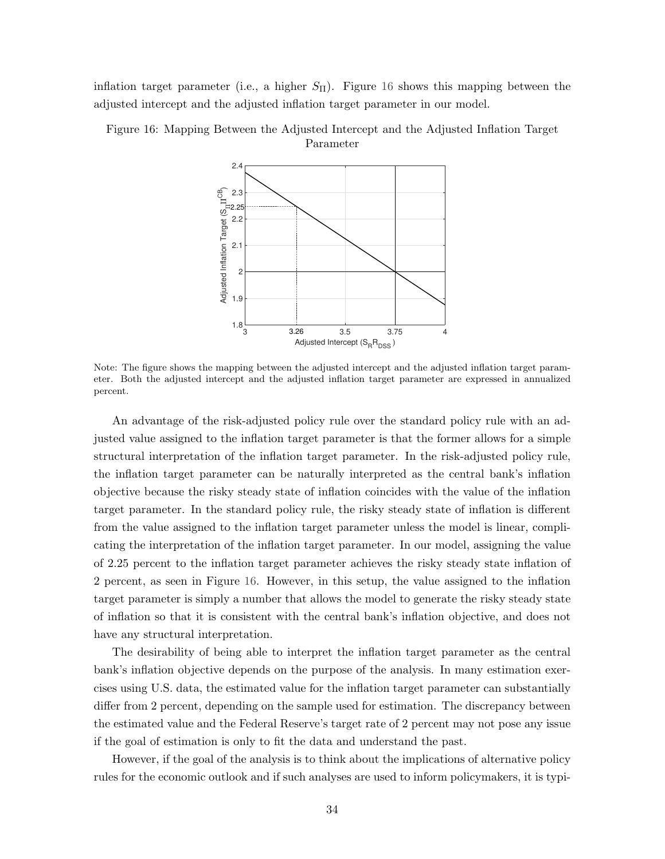inflation target parameter (i.e., a higher  $S_{\Pi}$ ). Figure [16](#page-34-0) shows this mapping between the adjusted intercept and the adjusted inflation target parameter in our model.



<span id="page-34-0"></span>Figure 16: Mapping Between the Adjusted Intercept and the Adjusted Inflation Target Parameter

Note: The figure shows the mapping between the adjusted intercept and the adjusted inflation target parameter. Both the adjusted intercept and the adjusted inflation target parameter are expressed in annualized percent.

An advantage of the risk-adjusted policy rule over the standard policy rule with an adjusted value assigned to the inflation target parameter is that the former allows for a simple structural interpretation of the inflation target parameter. In the risk-adjusted policy rule, the inflation target parameter can be naturally interpreted as the central bank's inflation objective because the risky steady state of inflation coincides with the value of the inflation target parameter. In the standard policy rule, the risky steady state of inflation is different from the value assigned to the inflation target parameter unless the model is linear, complicating the interpretation of the inflation target parameter. In our model, assigning the value of 2.25 percent to the inflation target parameter achieves the risky steady state inflation of 2 percent, as seen in Figure [16.](#page-34-0) However, in this setup, the value assigned to the inflation target parameter is simply a number that allows the model to generate the risky steady state of inflation so that it is consistent with the central bank's inflation objective, and does not have any structural interpretation.

The desirability of being able to interpret the inflation target parameter as the central bank's inflation objective depends on the purpose of the analysis. In many estimation exercises using U.S. data, the estimated value for the inflation target parameter can substantially differ from 2 percent, depending on the sample used for estimation. The discrepancy between the estimated value and the Federal Reserve's target rate of 2 percent may not pose any issue if the goal of estimation is only to fit the data and understand the past.

However, if the goal of the analysis is to think about the implications of alternative policy rules for the economic outlook and if such analyses are used to inform policymakers, it is typi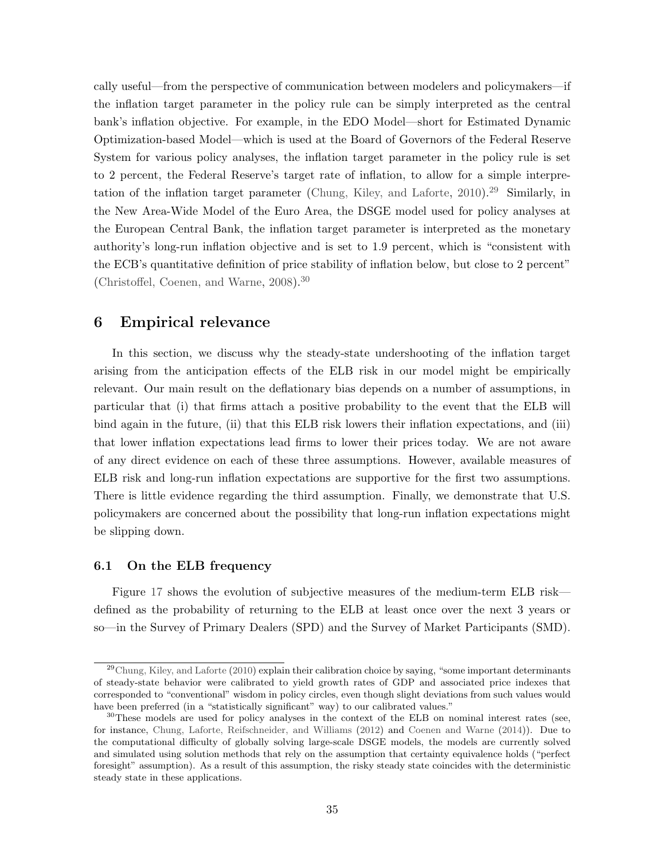cally useful—from the perspective of communication between modelers and policymakers—if the inflation target parameter in the policy rule can be simply interpreted as the central bank's inflation objective. For example, in the EDO Model—short for Estimated Dynamic Optimization-based Model—which is used at the Board of Governors of the Federal Reserve System for various policy analyses, the inflation target parameter in the policy rule is set to 2 percent, the Federal Reserve's target rate of inflation, to allow for a simple interpre-tation of the inflation target parameter [\(Chung, Kiley, and Laforte,](#page-41-8)  $2010$ ).<sup>[29](#page-35-1)</sup> Similarly, in the New Area-Wide Model of the Euro Area, the DSGE model used for policy analyses at the European Central Bank, the inflation target parameter is interpreted as the monetary authority's long-run inflation objective and is set to 1.9 percent, which is "consistent with the ECB's quantitative definition of price stability of inflation below, but close to 2 percent" [\(Christoffel, Coenen, and Warne,](#page-41-9) [2008\)](#page-41-9).[30](#page-35-2)

## <span id="page-35-0"></span>6 Empirical relevance

In this section, we discuss why the steady-state undershooting of the inflation target arising from the anticipation effects of the ELB risk in our model might be empirically relevant. Our main result on the deflationary bias depends on a number of assumptions, in particular that (i) that firms attach a positive probability to the event that the ELB will bind again in the future, (ii) that this ELB risk lowers their inflation expectations, and (iii) that lower inflation expectations lead firms to lower their prices today. We are not aware of any direct evidence on each of these three assumptions. However, available measures of ELB risk and long-run inflation expectations are supportive for the first two assumptions. There is little evidence regarding the third assumption. Finally, we demonstrate that U.S. policymakers are concerned about the possibility that long-run inflation expectations might be slipping down.

#### 6.1 On the ELB frequency

Figure [17](#page-36-0) shows the evolution of subjective measures of the medium-term ELB risk defined as the probability of returning to the ELB at least once over the next 3 years or so—in the Survey of Primary Dealers (SPD) and the Survey of Market Participants (SMD).

<span id="page-35-1"></span> $^{29}$ [Chung, Kiley, and Laforte](#page-41-8) [\(2010\)](#page-41-8) explain their calibration choice by saying, "some important determinants of steady-state behavior were calibrated to yield growth rates of GDP and associated price indexes that corresponded to "conventional" wisdom in policy circles, even though slight deviations from such values would have been preferred (in a "statistically significant" way) to our calibrated values."

<span id="page-35-2"></span><sup>&</sup>lt;sup>30</sup>These models are used for policy analyses in the context of the ELB on nominal interest rates (see, for instance, [Chung, Laforte, Reifschneider, and Williams](#page-41-10) [\(2012\)](#page-41-10) and [Coenen and Warne](#page-41-11) [\(2014\)](#page-41-11)). Due to the computational difficulty of globally solving large-scale DSGE models, the models are currently solved and simulated using solution methods that rely on the assumption that certainty equivalence holds ("perfect foresight" assumption). As a result of this assumption, the risky steady state coincides with the deterministic steady state in these applications.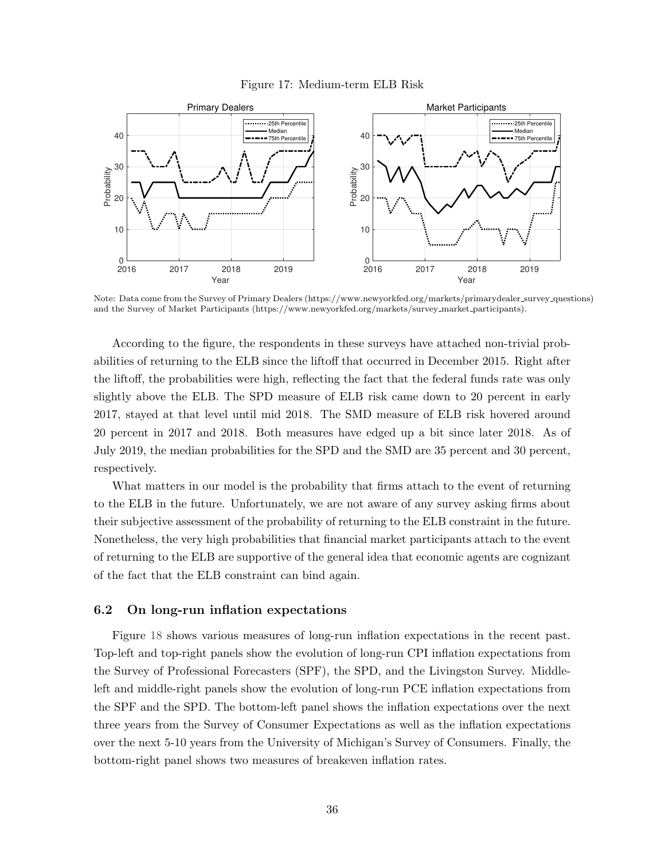

<span id="page-36-0"></span>

Note: Data come from the Survey of Primary Dealers (https://www.newyorkfed.org/markets/primarydealer survey questions) and the Survey of Market Participants (https://www.newyorkfed.org/markets/survey market participants).

According to the figure, the respondents in these surveys have attached non-trivial probabilities of returning to the ELB since the liftoff that occurred in December 2015. Right after the liftoff, the probabilities were high, reflecting the fact that the federal funds rate was only slightly above the ELB. The SPD measure of ELB risk came down to 20 percent in early 2017, stayed at that level until mid 2018. The SMD measure of ELB risk hovered around 20 percent in 2017 and 2018. Both measures have edged up a bit since later 2018. As of July 2019, the median probabilities for the SPD and the SMD are 35 percent and 30 percent, respectively.

What matters in our model is the probability that firms attach to the event of returning to the ELB in the future. Unfortunately, we are not aware of any survey asking firms about their subjective assessment of the probability of returning to the ELB constraint in the future. Nonetheless, the very high probabilities that financial market participants attach to the event of returning to the ELB are supportive of the general idea that economic agents are cognizant of the fact that the ELB constraint can bind again.

### 6.2 On long-run inflation expectations

Figure [18](#page-37-0) shows various measures of long-run inflation expectations in the recent past. Top-left and top-right panels show the evolution of long-run CPI inflation expectations from the Survey of Professional Forecasters (SPF), the SPD, and the Livingston Survey. Middleleft and middle-right panels show the evolution of long-run PCE inflation expectations from the SPF and the SPD. The bottom-left panel shows the inflation expectations over the next three years from the Survey of Consumer Expectations as well as the inflation expectations over the next 5-10 years from the University of Michigan's Survey of Consumers. Finally, the bottom-right panel shows two measures of breakeven inflation rates.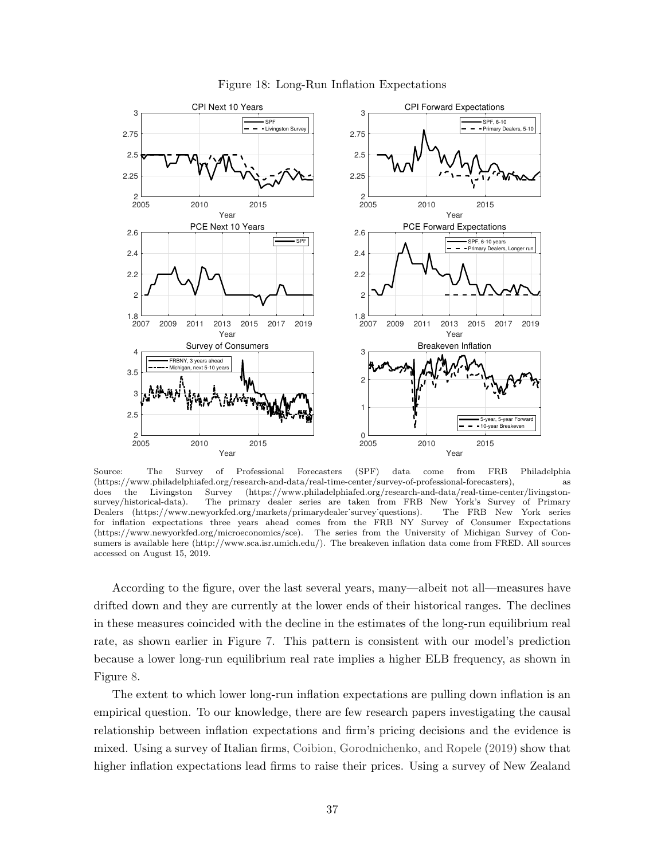<span id="page-37-0"></span>

Figure 18: Long-Run Inflation Expectations

Source: The Survey of Professional Forecasters (SPF) data come from FRB Philadelphia (https://www.philadelphiafed.org/research-and-data/real-time-center/survey-of-professional-forecasters), as does the Livingston Survey (https://www.philadelphiafed.org/research-and-data/real-time-center/livingstonsurvey/historical-data). The primary dealer series are taken from FRB New York's Survey of Primary Dealers (https://www.newyorkfed.org/markets/primarydealer˙survey˙questions). The FRB New York series for inflation expectations three years ahead comes from the FRB NY Survey of Consumer Expectations (https://www.newyorkfed.org/microeconomics/sce). The series from the University of Michigan Survey of Consumers is available here (http://www.sca.isr.umich.edu/). The breakeven inflation data come from FRED. All sources accessed on August 15, 2019.

According to the figure, over the last several years, many—albeit not all—measures have drifted down and they are currently at the lower ends of their historical ranges. The declines in these measures coincided with the decline in the estimates of the long-run equilibrium real rate, as shown earlier in Figure [7.](#page-25-0) This pattern is consistent with our model's prediction because a lower long-run equilibrium real rate implies a higher ELB frequency, as shown in Figure [8.](#page-26-1)

The extent to which lower long-run inflation expectations are pulling down inflation is an empirical question. To our knowledge, there are few research papers investigating the causal relationship between inflation expectations and firm's pricing decisions and the evidence is mixed. Using a survey of Italian firms, [Coibion, Gorodnichenko, and Ropele](#page-42-8) [\(2019\)](#page-42-8) show that higher inflation expectations lead firms to raise their prices. Using a survey of New Zealand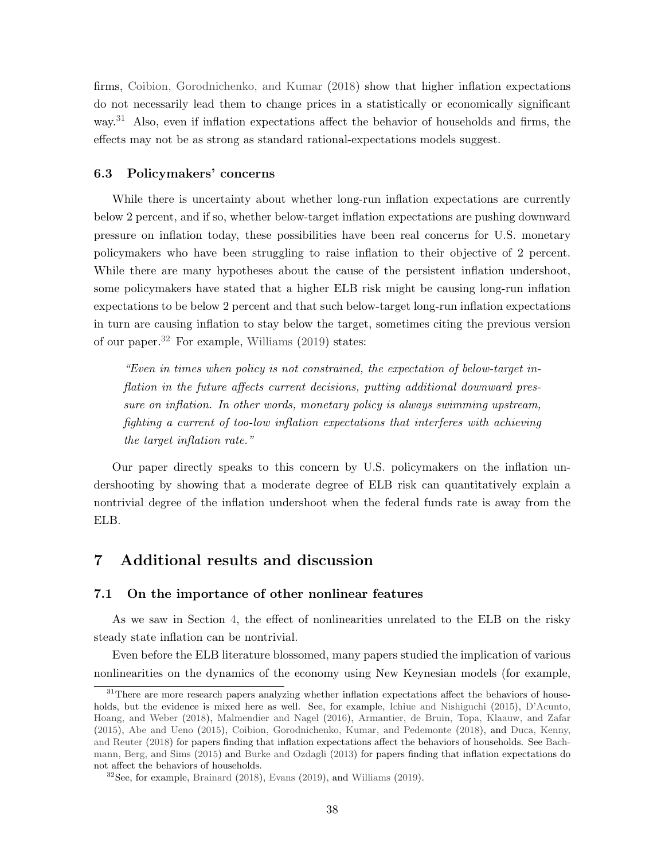firms, [Coibion, Gorodnichenko, and Kumar](#page-42-9) [\(2018\)](#page-42-9) show that higher inflation expectations do not necessarily lead them to change prices in a statistically or economically significant way.<sup>[31](#page-38-1)</sup> Also, even if inflation expectations affect the behavior of households and firms, the effects may not be as strong as standard rational-expectations models suggest.

## 6.3 Policymakers' concerns

While there is uncertainty about whether long-run inflation expectations are currently below 2 percent, and if so, whether below-target inflation expectations are pushing downward pressure on inflation today, these possibilities have been real concerns for U.S. monetary policymakers who have been struggling to raise inflation to their objective of 2 percent. While there are many hypotheses about the cause of the persistent inflation undershoot, some policymakers have stated that a higher ELB risk might be causing long-run inflation expectations to be below 2 percent and that such below-target long-run inflation expectations in turn are causing inflation to stay below the target, sometimes citing the previous version of our paper.[32](#page-38-2) For example, [Williams](#page-45-4) [\(2019\)](#page-45-4) states:

"Even in times when policy is not constrained, the expectation of below-target inflation in the future affects current decisions, putting additional downward pressure on inflation. In other words, monetary policy is always swimming upstream, fighting a current of too-low inflation expectations that interferes with achieving the target inflation rate."

Our paper directly speaks to this concern by U.S. policymakers on the inflation undershooting by showing that a moderate degree of ELB risk can quantitatively explain a nontrivial degree of the inflation undershoot when the federal funds rate is away from the ELB.

## <span id="page-38-0"></span>7 Additional results and discussion

#### 7.1 On the importance of other nonlinear features

As we saw in Section [4,](#page-17-0) the effect of nonlinearities unrelated to the ELB on the risky steady state inflation can be nontrivial.

Even before the ELB literature blossomed, many papers studied the implication of various nonlinearities on the dynamics of the economy using New Keynesian models (for example,

<span id="page-38-1"></span><sup>&</sup>lt;sup>31</sup>There are more research papers analyzing whether inflation expectations affect the behaviors of households, but the evidence is mixed here as well. See, for example, [Ichiue and Nishiguchi](#page-43-11) [\(2015\)](#page-43-11), [D'Acunto,](#page-42-10) [Hoang, and Weber](#page-42-10) [\(2018\)](#page-42-10), [Malmendier and Nagel](#page-44-15) [\(2016\)](#page-44-15), [Armantier, de Bruin, Topa, Klaauw, and Zafar](#page-40-3) [\(2015\)](#page-40-3), [Abe and Ueno](#page-40-4) [\(2015\)](#page-40-4), [Coibion, Gorodnichenko, Kumar, and Pedemonte](#page-42-11) [\(2018\)](#page-42-11), and [Duca, Kenny,](#page-42-12) [and Reuter](#page-42-12) [\(2018\)](#page-42-12) for papers finding that inflation expectations affect the behaviors of households. See [Bach](#page-41-12)[mann, Berg, and Sims](#page-41-12) [\(2015\)](#page-41-12) and [Burke and Ozdagli](#page-41-13) [\(2013\)](#page-41-13) for papers finding that inflation expectations do not affect the behaviors of households.

<span id="page-38-2"></span> $32$ See, for example, [Brainard](#page-41-14) [\(2018\)](#page-41-14), [Evans](#page-42-13) [\(2019\)](#page-45-4), and [Williams](#page-45-4) (2019).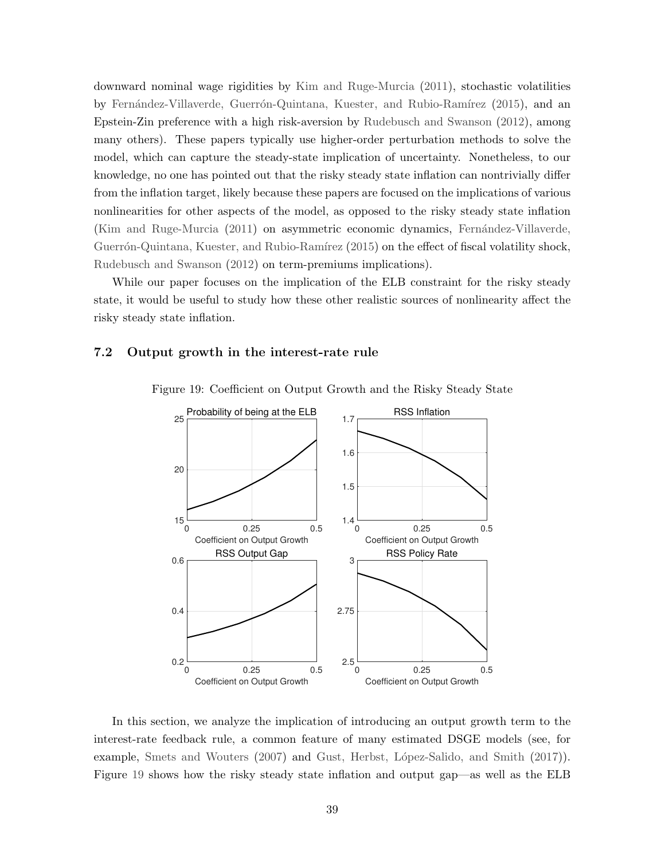downward nominal wage rigidities by [Kim and Ruge-Murcia](#page-43-12) [\(2011\)](#page-43-12), stochastic volatilities by Fernández-Villaverde, Guerrón-Quintana, Kuester, and Rubio-Ramírez [\(2015\)](#page-43-13), and an Epstein-Zin preference with a high risk-aversion by [Rudebusch and Swanson](#page-45-5) [\(2012\)](#page-45-5), among many others). These papers typically use higher-order perturbation methods to solve the model, which can capture the steady-state implication of uncertainty. Nonetheless, to our knowledge, no one has pointed out that the risky steady state inflation can nontrivially differ from the inflation target, likely because these papers are focused on the implications of various nonlinearities for other aspects of the model, as opposed to the risky steady state inflation [\(Kim and Ruge-Murcia](#page-43-12) [\(2011\)](#page-43-12) on asymmetric economic dynamics, Fernández-Villaverde, Guerrón-Quintana, Kuester, and Rubio-Ramírez [\(2015\)](#page-43-13) on the effect of fiscal volatility shock, [Rudebusch and Swanson](#page-45-5) [\(2012\)](#page-45-5) on term-premiums implications).

While our paper focuses on the implication of the ELB constraint for the risky steady state, it would be useful to study how these other realistic sources of nonlinearity affect the risky steady state inflation.

## <span id="page-39-0"></span>7.2 Output growth in the interest-rate rule



Figure 19: Coefficient on Output Growth and the Risky Steady State

In this section, we analyze the implication of introducing an output growth term to the interest-rate feedback rule, a common feature of many estimated DSGE models (see, for example, [Smets and Wouters](#page-45-6) [\(2007\)](#page-45-6) and Gust, Herbst, López-Salido, and Smith [\(2017\)](#page-43-6). Figure [19](#page-39-0) shows how the risky steady state inflation and output gap—as well as the ELB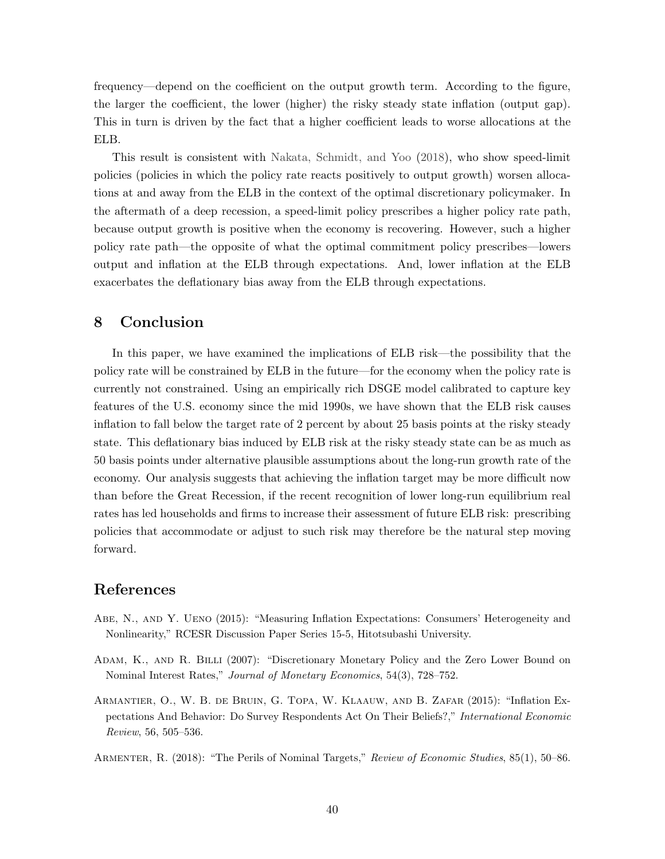frequency—depend on the coefficient on the output growth term. According to the figure, the larger the coefficient, the lower (higher) the risky steady state inflation (output gap). This in turn is driven by the fact that a higher coefficient leads to worse allocations at the ELB.

This result is consistent with [Nakata, Schmidt, and Yoo](#page-44-16) [\(2018\)](#page-44-16), who show speed-limit policies (policies in which the policy rate reacts positively to output growth) worsen allocations at and away from the ELB in the context of the optimal discretionary policymaker. In the aftermath of a deep recession, a speed-limit policy prescribes a higher policy rate path, because output growth is positive when the economy is recovering. However, such a higher policy rate path—the opposite of what the optimal commitment policy prescribes—lowers output and inflation at the ELB through expectations. And, lower inflation at the ELB exacerbates the deflationary bias away from the ELB through expectations.

# <span id="page-40-2"></span>8 Conclusion

In this paper, we have examined the implications of ELB risk—the possibility that the policy rate will be constrained by ELB in the future—for the economy when the policy rate is currently not constrained. Using an empirically rich DSGE model calibrated to capture key features of the U.S. economy since the mid 1990s, we have shown that the ELB risk causes inflation to fall below the target rate of 2 percent by about 25 basis points at the risky steady state. This deflationary bias induced by ELB risk at the risky steady state can be as much as 50 basis points under alternative plausible assumptions about the long-run growth rate of the economy. Our analysis suggests that achieving the inflation target may be more difficult now than before the Great Recession, if the recent recognition of lower long-run equilibrium real rates has led households and firms to increase their assessment of future ELB risk: prescribing policies that accommodate or adjust to such risk may therefore be the natural step moving forward.

# References

- <span id="page-40-4"></span>Abe, N., and Y. Ueno (2015): "Measuring Inflation Expectations: Consumers' Heterogeneity and Nonlinearity," RCESR Discussion Paper Series 15-5, Hitotsubashi University.
- <span id="page-40-0"></span>Adam, K., and R. Billi (2007): "Discretionary Monetary Policy and the Zero Lower Bound on Nominal Interest Rates," Journal of Monetary Economics, 54(3), 728–752.
- <span id="page-40-3"></span>Armantier, O., W. B. de Bruin, G. Topa, W. Klaauw, and B. Zafar (2015): "Inflation Expectations And Behavior: Do Survey Respondents Act On Their Beliefs?," International Economic Review, 56, 505–536.

<span id="page-40-1"></span>ARMENTER, R. (2018): "The Perils of Nominal Targets," Review of Economic Studies, 85(1), 50–86.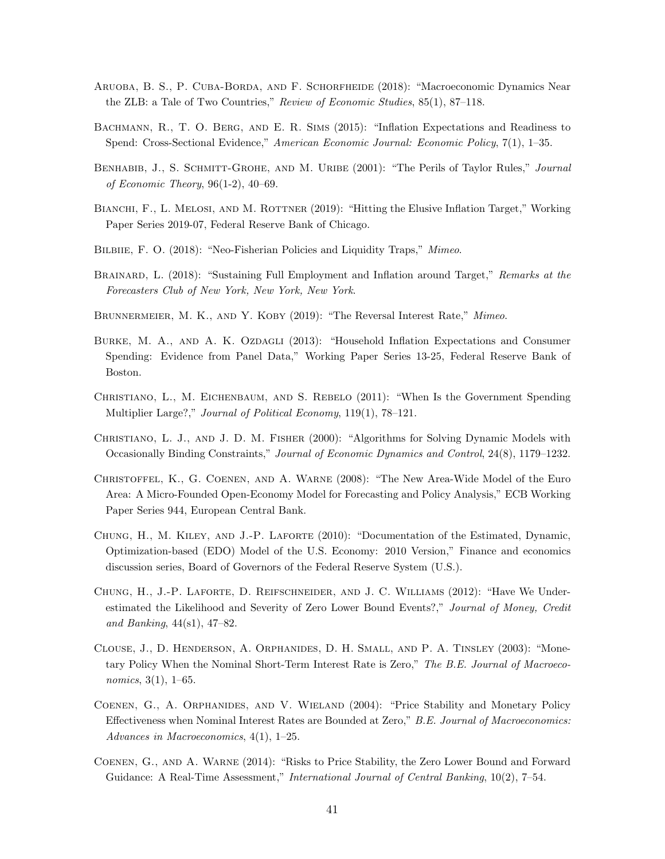- <span id="page-41-3"></span>Aruoba, B. S., P. Cuba-Borda, and F. Schorfheide (2018): "Macroeconomic Dynamics Near the ZLB: a Tale of Two Countries," Review of Economic Studies, 85(1), 87–118.
- <span id="page-41-12"></span>BACHMANN, R., T. O. BERG, AND E. R. SIMS (2015): "Inflation Expectations and Readiness to Spend: Cross-Sectional Evidence," American Economic Journal: Economic Policy, 7(1), 1–35.
- <span id="page-41-1"></span>BENHABIB, J., S. SCHMITT-GROHE, AND M. URIBE (2001): "The Perils of Taylor Rules," *Journal* of Economic Theory, 96(1-2), 40–69.
- <span id="page-41-4"></span>BIANCHI, F., L. MELOSI, AND M. ROTTNER (2019): "Hitting the Elusive Inflation Target," Working Paper Series 2019-07, Federal Reserve Bank of Chicago.
- <span id="page-41-2"></span>BILBIIE, F. O. (2018): "Neo-Fisherian Policies and Liquidity Traps," Mimeo.
- <span id="page-41-14"></span>BRAINARD, L. (2018): "Sustaining Full Employment and Inflation around Target," Remarks at the Forecasters Club of New York, New York, New York.
- <span id="page-41-7"></span>BRUNNERMEIER, M. K., AND Y. KOBY (2019): "The Reversal Interest Rate," Mimeo.
- <span id="page-41-13"></span>BURKE, M. A., AND A. K. OZDAGLI (2013): "Household Inflation Expectations and Consumer Spending: Evidence from Panel Data," Working Paper Series 13-25, Federal Reserve Bank of Boston.
- <span id="page-41-5"></span>Christiano, L., M. Eichenbaum, and S. Rebelo (2011): "When Is the Government Spending Multiplier Large?," Journal of Political Economy, 119(1), 78–121.
- <span id="page-41-15"></span>Christiano, L. J., and J. D. M. Fisher (2000): "Algorithms for Solving Dynamic Models with Occasionally Binding Constraints," Journal of Economic Dynamics and Control, 24(8), 1179–1232.
- <span id="page-41-9"></span>Christoffel, K., G. Coenen, and A. Warne (2008): "The New Area-Wide Model of the Euro Area: A Micro-Founded Open-Economy Model for Forecasting and Policy Analysis," ECB Working Paper Series 944, European Central Bank.
- <span id="page-41-8"></span>Chung, H., M. Kiley, and J.-P. Laforte (2010): "Documentation of the Estimated, Dynamic, Optimization-based (EDO) Model of the U.S. Economy: 2010 Version," Finance and economics discussion series, Board of Governors of the Federal Reserve System (U.S.).
- <span id="page-41-10"></span>Chung, H., J.-P. Laforte, D. Reifschneider, and J. C. Williams (2012): "Have We Underestimated the Likelihood and Severity of Zero Lower Bound Events?," Journal of Money, Credit and Banking, 44(s1), 47–82.
- <span id="page-41-6"></span>Clouse, J., D. Henderson, A. Orphanides, D. H. Small, and P. A. Tinsley (2003): "Monetary Policy When the Nominal Short-Term Interest Rate is Zero," The B.E. Journal of Macroeconomics, 3(1), 1–65.
- <span id="page-41-0"></span>Coenen, G., A. Orphanides, and V. Wieland (2004): "Price Stability and Monetary Policy Effectiveness when Nominal Interest Rates are Bounded at Zero," B.E. Journal of Macroeconomics: Advances in Macroeconomics, 4(1), 1–25.
- <span id="page-41-11"></span>Coenen, G., and A. Warne (2014): "Risks to Price Stability, the Zero Lower Bound and Forward Guidance: A Real-Time Assessment," *International Journal of Central Banking*, 10(2), 7–54.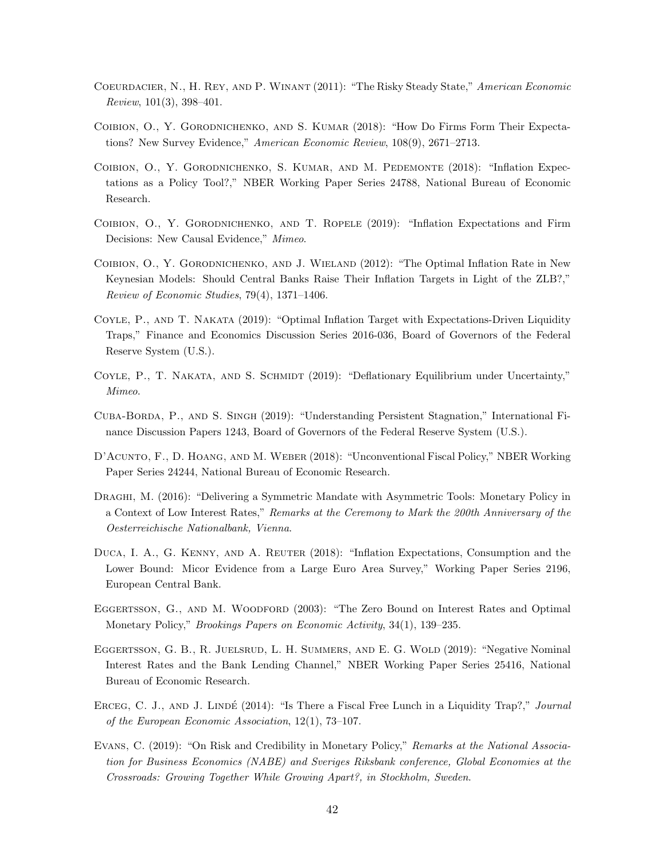- <span id="page-42-0"></span>Coeurdacier, N., H. Rey, and P. Winant (2011): "The Risky Steady State," American Economic Review, 101(3), 398–401.
- <span id="page-42-9"></span>Coibion, O., Y. Gorodnichenko, and S. Kumar (2018): "How Do Firms Form Their Expectations? New Survey Evidence," American Economic Review, 108(9), 2671–2713.
- <span id="page-42-11"></span>Coibion, O., Y. Gorodnichenko, S. Kumar, and M. Pedemonte (2018): "Inflation Expectations as a Policy Tool?," NBER Working Paper Series 24788, National Bureau of Economic Research.
- <span id="page-42-8"></span>Coibion, O., Y. Gorodnichenko, and T. Ropele (2019): "Inflation Expectations and Firm Decisions: New Causal Evidence," Mimeo.
- <span id="page-42-3"></span>COIBION, O., Y. GORODNICHENKO, AND J. WIELAND (2012): "The Optimal Inflation Rate in New Keynesian Models: Should Central Banks Raise Their Inflation Targets in Light of the ZLB?," Review of Economic Studies, 79(4), 1371–1406.
- <span id="page-42-1"></span>Coyle, P., and T. Nakata (2019): "Optimal Inflation Target with Expectations-Driven Liquidity Traps," Finance and Economics Discussion Series 2016-036, Board of Governors of the Federal Reserve System (U.S.).
- <span id="page-42-4"></span>COYLE, P., T. NAKATA, AND S. SCHMIDT (2019): "Deflationary Equilibrium under Uncertainty," Mimeo.
- <span id="page-42-6"></span>Cuba-Borda, P., and S. Singh (2019): "Understanding Persistent Stagnation," International Finance Discussion Papers 1243, Board of Governors of the Federal Reserve System (U.S.).
- <span id="page-42-10"></span>D'Acunto, F., D. Hoang, and M. Weber (2018): "Unconventional Fiscal Policy," NBER Working Paper Series 24244, National Bureau of Economic Research.
- <span id="page-42-14"></span>Draghi, M. (2016): "Delivering a Symmetric Mandate with Asymmetric Tools: Monetary Policy in a Context of Low Interest Rates," Remarks at the Ceremony to Mark the 200th Anniversary of the Oesterreichische Nationalbank, Vienna.
- <span id="page-42-12"></span>DUCA, I. A., G. KENNY, AND A. REUTER (2018): "Inflation Expectations, Consumption and the Lower Bound: Micor Evidence from a Large Euro Area Survey," Working Paper Series 2196, European Central Bank.
- <span id="page-42-2"></span>EGGERTSSON, G., AND M. WOODFORD (2003): "The Zero Bound on Interest Rates and Optimal Monetary Policy," Brookings Papers on Economic Activity, 34(1), 139-235.
- <span id="page-42-7"></span>EGGERTSSON, G. B., R. JUELSRUD, L. H. SUMMERS, AND E. G. WOLD (2019): "Negative Nominal Interest Rates and the Bank Lending Channel," NBER Working Paper Series 25416, National Bureau of Economic Research.
- <span id="page-42-5"></span>ERCEG, C. J., AND J. LINDÉ (2014): "Is There a Fiscal Free Lunch in a Liquidity Trap?," Journal of the European Economic Association, 12(1), 73–107.
- <span id="page-42-13"></span>Evans, C. (2019): "On Risk and Credibility in Monetary Policy," Remarks at the National Association for Business Economics (NABE) and Sveriges Riksbank conference, Global Economies at the Crossroads: Growing Together While Growing Apart?, in Stockholm, Sweden.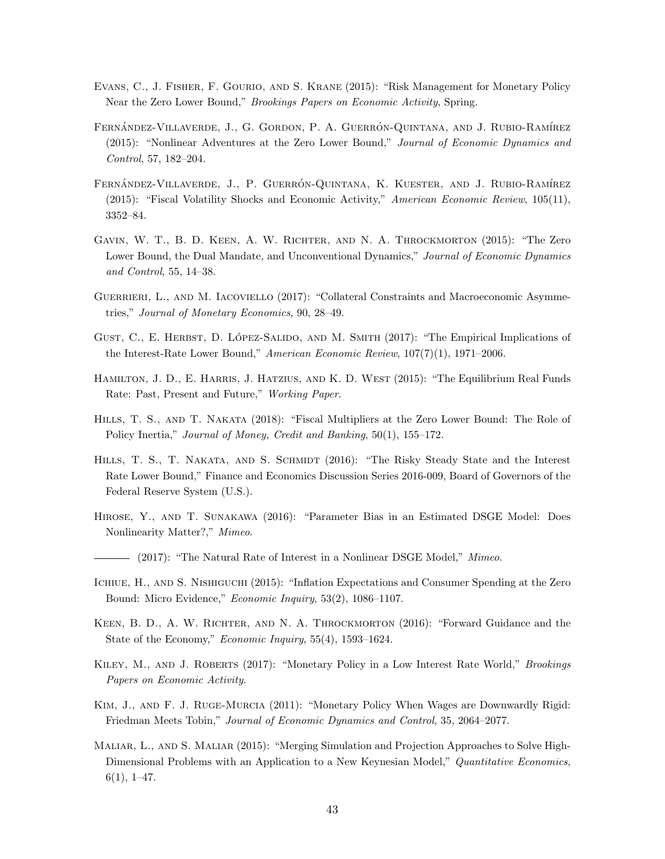- <span id="page-43-1"></span>Evans, C., J. Fisher, F. Gourio, and S. Krane (2015): "Risk Management for Monetary Policy Near the Zero Lower Bound," Brookings Papers on Economic Activity, Spring.
- <span id="page-43-15"></span>FERNÁNDEZ-VILLAVERDE, J., G. GORDON, P. A. GUERRÓN-QUINTANA, AND J. RUBIO-RAMÍREZ (2015): "Nonlinear Adventures at the Zero Lower Bound," Journal of Economic Dynamics and Control, 57, 182–204.
- <span id="page-43-13"></span>FERNÁNDEZ-VILLAVERDE, J., P. GUERRÓN-QUINTANA, K. KUESTER, AND J. RUBIO-RAMÍREZ (2015): "Fiscal Volatility Shocks and Economic Activity," American Economic Review, 105(11), 3352–84.
- <span id="page-43-2"></span>GAVIN, W. T., B. D. KEEN, A. W. RICHTER, AND N. A. THROCKMORTON (2015): "The Zero Lower Bound, the Dual Mandate, and Unconventional Dynamics," Journal of Economic Dynamics and Control, 55, 14–38.
- <span id="page-43-5"></span>GUERRIERI, L., AND M. IACOVIELLO (2017): "Collateral Constraints and Macroeconomic Asymmetries," Journal of Monetary Economics, 90, 28–49.
- <span id="page-43-6"></span>GUST, C., E. HERBST, D. LÓPEZ-SALIDO, AND M. SMITH  $(2017)$ : "The Empirical Implications of the Interest-Rate Lower Bound," American Economic Review,  $107(7)(1)$ , 1971–2006.
- <span id="page-43-9"></span>HAMILTON, J. D., E. HARRIS, J. HATZIUS, AND K. D. WEST (2015): "The Equilibrium Real Funds Rate: Past, Present and Future," Working Paper.
- <span id="page-43-10"></span>Hills, T. S., and T. Nakata (2018): "Fiscal Multipliers at the Zero Lower Bound: The Role of Policy Inertia," Journal of Money, Credit and Banking, 50(1), 155–172.
- <span id="page-43-0"></span>HILLS, T. S., T. NAKATA, AND S. SCHMIDT (2016): "The Risky Steady State and the Interest Rate Lower Bound," Finance and Economics Discussion Series 2016-009, Board of Governors of the Federal Reserve System (U.S.).
- <span id="page-43-7"></span>Hirose, Y., and T. Sunakawa (2016): "Parameter Bias in an Estimated DSGE Model: Does Nonlinearity Matter?," Mimeo.
- <span id="page-43-8"></span> $-$  (2017): "The Natural Rate of Interest in a Nonlinear DSGE Model," *Mimeo.*
- <span id="page-43-11"></span>Ichiue, H., and S. Nishiguchi (2015): "Inflation Expectations and Consumer Spending at the Zero Bound: Micro Evidence," Economic Inquiry, 53(2), 1086–1107.
- <span id="page-43-3"></span>KEEN, B. D., A. W. RICHTER, AND N. A. THROCKMORTON (2016): "Forward Guidance and the State of the Economy," Economic Inquiry, 55(4), 1593–1624.
- <span id="page-43-4"></span>KILEY, M., AND J. ROBERTS (2017): "Monetary Policy in a Low Interest Rate World," *Brookings* Papers on Economic Activity.
- <span id="page-43-12"></span>Kim, J., and F. J. Ruge-Murcia (2011): "Monetary Policy When Wages are Downwardly Rigid: Friedman Meets Tobin," Journal of Economic Dynamics and Control, 35, 2064–2077.
- <span id="page-43-14"></span>MALIAR, L., AND S. MALIAR (2015): "Merging Simulation and Projection Approaches to Solve High-Dimensional Problems with an Application to a New Keynesian Model," Quantitative Economics,  $6(1), 1-47.$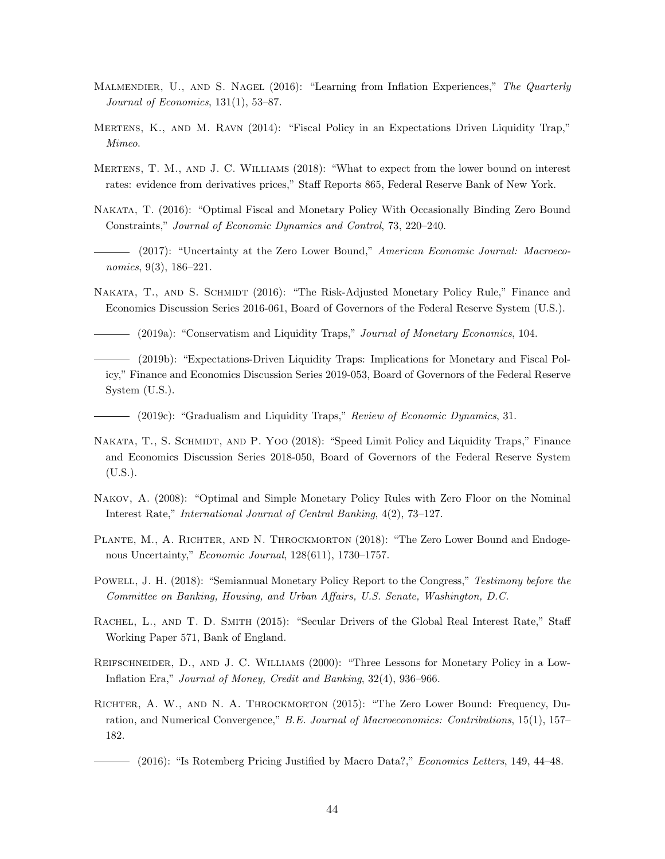- <span id="page-44-15"></span>MALMENDIER, U., AND S. NAGEL (2016): "Learning from Inflation Experiences," The Quarterly Journal of Economics, 131(1), 53–87.
- <span id="page-44-4"></span>Mertens, K., and M. Ravn (2014): "Fiscal Policy in an Expectations Driven Liquidity Trap," Mimeo.
- <span id="page-44-12"></span>Mertens, T. M., and J. C. Williams (2018): "What to expect from the lower bound on interest rates: evidence from derivatives prices," Staff Reports 865, Federal Reserve Bank of New York.
- <span id="page-44-7"></span>Nakata, T. (2016): "Optimal Fiscal and Monetary Policy With Occasionally Binding Zero Bound Constraints," Journal of Economic Dynamics and Control, 73, 220–240.
- <span id="page-44-11"></span>- (2017): "Uncertainty at the Zero Lower Bound," American Economic Journal: Macroeconomics, 9(3), 186–221.
- <span id="page-44-6"></span><span id="page-44-0"></span>NAKATA, T., AND S. SCHMIDT (2016): "The Risk-Adjusted Monetary Policy Rule," Finance and Economics Discussion Series 2016-061, Board of Governors of the Federal Reserve System (U.S.).
	- (2019a): "Conservatism and Liquidity Traps," Journal of Monetary Economics, 104.
- <span id="page-44-5"></span>(2019b): "Expectations-Driven Liquidity Traps: Implications for Monetary and Fiscal Policy," Finance and Economics Discussion Series 2019-053, Board of Governors of the Federal Reserve System (U.S.).
- <span id="page-44-14"></span>- (2019c): "Gradualism and Liquidity Traps," Review of Economic Dynamics, 31.
- <span id="page-44-16"></span>NAKATA, T., S. SCHMIDT, AND P. YOO (2018): "Speed Limit Policy and Liquidity Traps," Finance and Economics Discussion Series 2018-050, Board of Governors of the Federal Reserve System (U.S.).
- <span id="page-44-2"></span>Nakov, A. (2008): "Optimal and Simple Monetary Policy Rules with Zero Floor on the Nominal Interest Rate," International Journal of Central Banking, 4(2), 73–127.
- <span id="page-44-8"></span>PLANTE, M., A. RICHTER, AND N. THROCKMORTON (2018): "The Zero Lower Bound and Endogenous Uncertainty," Economic Journal, 128(611), 1730–1757.
- <span id="page-44-1"></span>Powell, J. H. (2018): "Semiannual Monetary Policy Report to the Congress," Testimony before the Committee on Banking, Housing, and Urban Affairs, U.S. Senate, Washington, D.C.
- <span id="page-44-13"></span>Rachel, L., and T. D. Smith (2015): "Secular Drivers of the Global Real Interest Rate," Staff Working Paper 571, Bank of England.
- <span id="page-44-3"></span>Reifschneider, D., and J. C. Williams (2000): "Three Lessons for Monetary Policy in a Low-Inflation Era," Journal of Money, Credit and Banking, 32(4), 936–966.
- <span id="page-44-10"></span><span id="page-44-9"></span>Richter, A. W., and N. A. Throckmorton (2015): "The Zero Lower Bound: Frequency, Duration, and Numerical Convergence," B.E. Journal of Macroeconomics: Contributions, 15(1), 157– 182.
	- $-$  (2016): "Is Rotemberg Pricing Justified by Macro Data?," *Economics Letters*, 149, 44–48.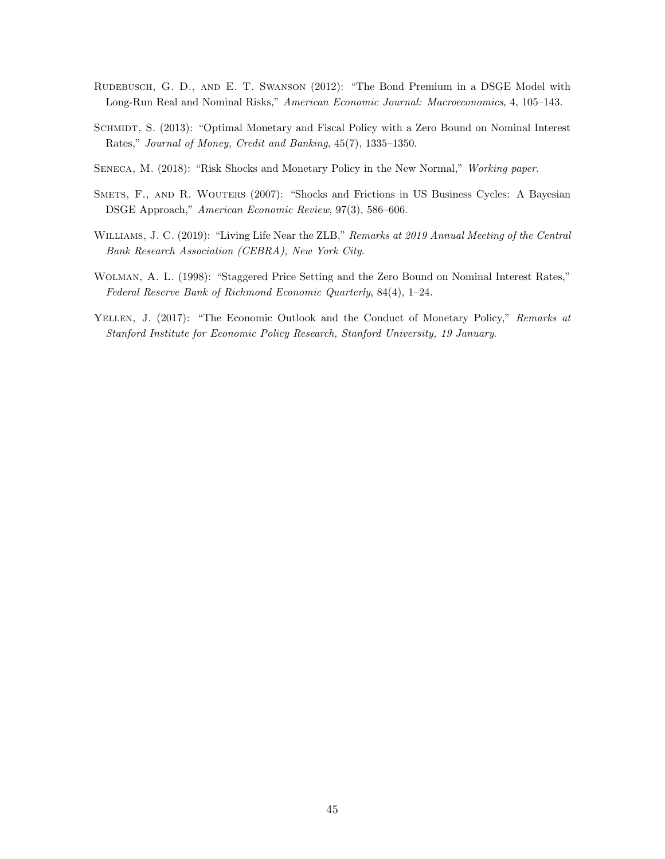- <span id="page-45-5"></span>RUDEBUSCH, G. D., AND E. T. SWANSON (2012): "The Bond Premium in a DSGE Model with Long-Run Real and Nominal Risks," American Economic Journal: Macroeconomics, 4, 105–143.
- <span id="page-45-2"></span>SCHMIDT, S. (2013): "Optimal Monetary and Fiscal Policy with a Zero Bound on Nominal Interest Rates," Journal of Money, Credit and Banking, 45(7), 1335–1350.
- <span id="page-45-1"></span>SENECA, M. (2018): "Risk Shocks and Monetary Policy in the New Normal," Working paper.
- <span id="page-45-6"></span>SMETS, F., AND R. WOUTERS (2007): "Shocks and Frictions in US Business Cycles: A Bayesian DSGE Approach," American Economic Review, 97(3), 586–606.
- <span id="page-45-4"></span>WILLIAMS, J. C. (2019): "Living Life Near the ZLB," Remarks at 2019 Annual Meeting of the Central Bank Research Association (CEBRA), New York City.
- <span id="page-45-3"></span>Wolman, A. L. (1998): "Staggered Price Setting and the Zero Bound on Nominal Interest Rates," Federal Reserve Bank of Richmond Economic Quarterly, 84(4), 1–24.
- <span id="page-45-0"></span>YELLEN, J. (2017): "The Economic Outlook and the Conduct of Monetary Policy," Remarks at Stanford Institute for Economic Policy Research, Stanford University, 19 January.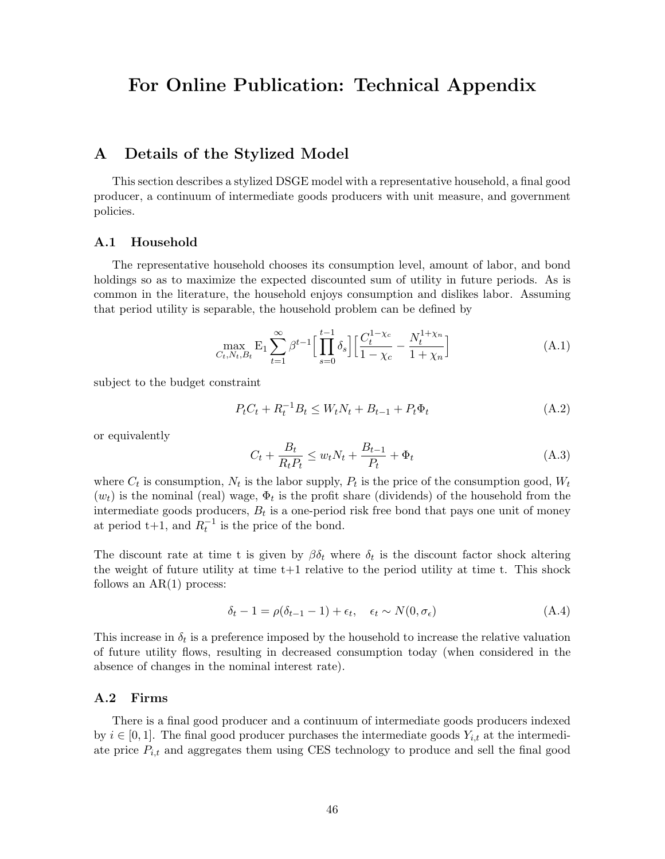# For Online Publication: Technical Appendix

# <span id="page-46-0"></span>A Details of the Stylized Model

This section describes a stylized DSGE model with a representative household, a final good producer, a continuum of intermediate goods producers with unit measure, and government policies.

#### A.1 Household

The representative household chooses its consumption level, amount of labor, and bond holdings so as to maximize the expected discounted sum of utility in future periods. As is common in the literature, the household enjoys consumption and dislikes labor. Assuming that period utility is separable, the household problem can be defined by

$$
\max_{C_t, N_t, B_t} \mathbf{E}_1 \sum_{t=1}^{\infty} \beta^{t-1} \Big[ \prod_{s=0}^{t-1} \delta_s \Big] \Big[ \frac{C_t^{1-\chi_c}}{1-\chi_c} - \frac{N_t^{1+\chi_n}}{1+\chi_n} \Big] \tag{A.1}
$$

subject to the budget constraint

$$
P_t C_t + R_t^{-1} B_t \le W_t N_t + B_{t-1} + P_t \Phi_t \tag{A.2}
$$

or equivalently

$$
C_t + \frac{B_t}{R_t P_t} \le w_t N_t + \frac{B_{t-1}}{P_t} + \Phi_t
$$
\n(A.3)

where  $C_t$  is consumption,  $N_t$  is the labor supply,  $P_t$  is the price of the consumption good,  $W_t$  $(w_t)$  is the nominal (real) wage,  $\Phi_t$  is the profit share (dividends) of the household from the intermediate goods producers,  $B_t$  is a one-period risk free bond that pays one unit of money at period  $t+1$ , and  $R_t^{-1}$  is the price of the bond.

The discount rate at time t is given by  $\beta \delta_t$  where  $\delta_t$  is the discount factor shock altering the weight of future utility at time  $t+1$  relative to the period utility at time t. This shock follows an  $AR(1)$  process:

$$
\delta_t - 1 = \rho(\delta_{t-1} - 1) + \epsilon_t, \quad \epsilon_t \sim N(0, \sigma_{\epsilon})
$$
\n(A.4)

This increase in  $\delta_t$  is a preference imposed by the household to increase the relative valuation of future utility flows, resulting in decreased consumption today (when considered in the absence of changes in the nominal interest rate).

## A.2 Firms

There is a final good producer and a continuum of intermediate goods producers indexed by  $i \in [0, 1]$ . The final good producer purchases the intermediate goods  $Y_{i,t}$  at the intermediate price  $P_{i,t}$  and aggregates them using CES technology to produce and sell the final good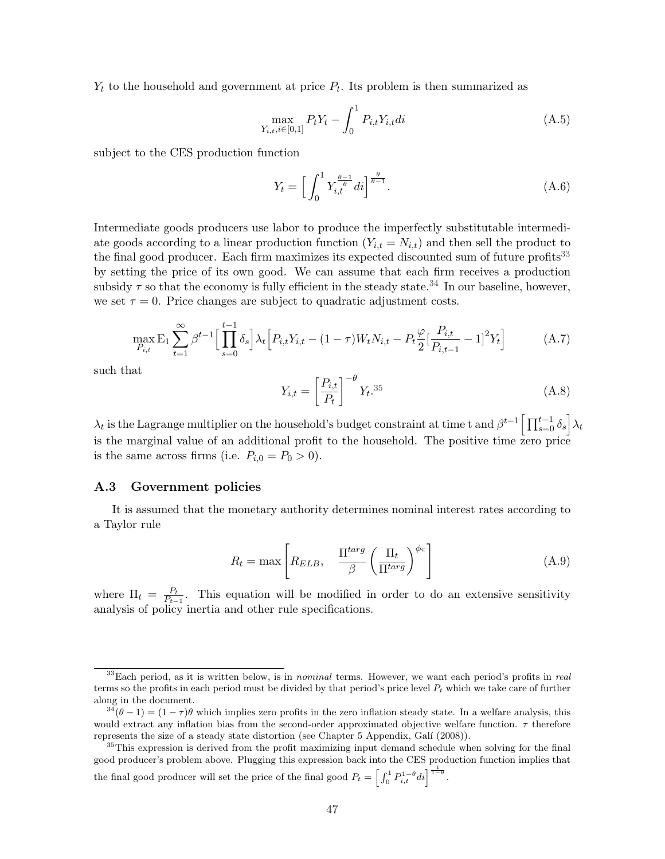$Y_t$  to the household and government at price  $P_t$ . Its problem is then summarized as

$$
\max_{Y_{i,t}, i \in [0,1]} P_t Y_t - \int_0^1 P_{i,t} Y_{i,t} dt \tag{A.5}
$$

subject to the CES production function

$$
Y_t = \left[ \int_0^1 Y_{i,t}^{\frac{\theta - 1}{\theta}} di \right]^{\frac{\theta}{\theta - 1}}.
$$
\n(A.6)

Intermediate goods producers use labor to produce the imperfectly substitutable intermediate goods according to a linear production function  $(Y_{i,t} = N_{i,t})$  and then sell the product to the final good producer. Each firm maximizes its expected discounted sum of future profits<sup>[33](#page-47-0)</sup> by setting the price of its own good. We can assume that each firm receives a production subsidy  $\tau$  so that the economy is fully efficient in the steady state.<sup>[34](#page-47-1)</sup> In our baseline, however, we set  $\tau = 0$ . Price changes are subject to quadratic adjustment costs.

$$
\max_{P_{i,t}} \mathcal{E}_1 \sum_{t=1}^{\infty} \beta^{t-1} \Big[ \prod_{s=0}^{t-1} \delta_s \Big] \lambda_t \Big[ P_{i,t} Y_{i,t} - (1-\tau) W_t N_{i,t} - P_t \frac{\varphi}{2} [\frac{P_{i,t}}{P_{i,t-1}} - 1]^2 Y_t \Big] \tag{A.7}
$$

such that

$$
Y_{i,t} = \left[\frac{P_{i,t}}{P_t}\right]^{-\theta} Y_t^{35} \tag{A.8}
$$

 $\lambda_t$  is the Lagrange multiplier on the household's budget constraint at time t and  $\beta^{t-1} \left[ \prod_{s=0}^{t-1} \delta_s \right] \lambda_t$ is the marginal value of an additional profit to the household. The positive time zero price is the same across firms (i.e.  $P_{i,0} = P_0 > 0$ ).

#### A.3 Government policies

It is assumed that the monetary authority determines nominal interest rates according to a Taylor rule

$$
R_t = \max \left[ R_{ELB}, \quad \frac{\Pi^{targ}}{\beta} \left( \frac{\Pi_t}{\Pi^{targ}} \right)^{\phi_{\pi}} \right]
$$
(A.9)

where  $\Pi_t = \frac{P_t}{P_t}$  $\frac{P_t}{P_{t-1}}$ . This equation will be modified in order to do an extensive sensitivity analysis of policy inertia and other rule specifications.

<span id="page-47-0"></span> $33$ Each period, as it is written below, is in nominal terms. However, we want each period's profits in real terms so the profits in each period must be divided by that period's price level  $P_t$  which we take care of further along in the document.

<span id="page-47-1"></span> $3^3(0-1) = (1-\tau)\theta$  which implies zero profits in the zero inflation steady state. In a welfare analysis, this would extract any inflation bias from the second-order approximated objective welfare function.  $\tau$  therefore represents the size of a steady state distortion (see Chapter 5 Appendix, Galí (2008)).

<span id="page-47-2"></span><sup>&</sup>lt;sup>35</sup>This expression is derived from the profit maximizing input demand schedule when solving for the final good producer's problem above. Plugging this expression back into the CES production function implies that the final good producer will set the price of the final good  $P_t = \left[\int_0^1 P_{i,t}^{1-\theta} dt\right]^{\frac{1}{1-\theta}}$ .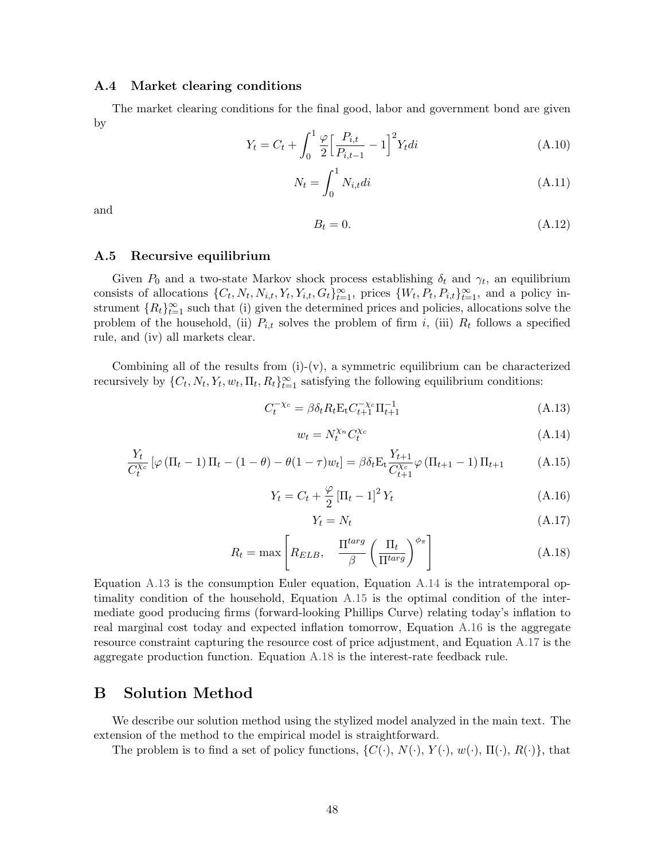## A.4 Market clearing conditions

The market clearing conditions for the final good, labor and government bond are given by

$$
Y_t = C_t + \int_0^1 \frac{\varphi}{2} \left[ \frac{P_{i,t}}{P_{i,t-1}} - 1 \right]^2 Y_t \, dt \tag{A.10}
$$

$$
N_t = \int_0^1 N_{i,t}di
$$
\n(A.11)

and

$$
B_t = 0.\t\t(A.12)
$$

## A.5 Recursive equilibrium

Given  $P_0$  and a two-state Markov shock process establishing  $\delta_t$  and  $\gamma_t$ , an equilibrium consists of allocations  $\{C_t, N_t, N_{i,t}, Y_t, Y_{i,t}, G_t\}_{t=1}^{\infty}$ , prices  $\{W_t, P_t, P_{i,t}\}_{t=1}^{\infty}$ , and a policy instrument  ${R_t}_{t=1}^{\infty}$  such that (i) given the determined prices and policies, allocations solve the problem of the household, (ii)  $P_{i,t}$  solves the problem of firm i, (iii)  $R_t$  follows a specified rule, and (iv) all markets clear.

Combining all of the results from  $(i)-(v)$ , a symmetric equilibrium can be characterized recursively by  $\{C_t, N_t, Y_t, w_t, \Pi_t, R_t\}_{t=1}^{\infty}$  satisfying the following equilibrium conditions:

<span id="page-48-1"></span>
$$
C_t^{-\chi_c} = \beta \delta_t R_t \mathbf{E}_t C_{t+1}^{-\chi_c} \Pi_{t+1}^{-1}
$$
\n(A.13)

<span id="page-48-2"></span>
$$
w_t = N_t^{\chi_n} C_t^{\chi_c} \tag{A.14}
$$

<span id="page-48-3"></span>
$$
\frac{Y_t}{C_t^{\chi_c}} \left[ \varphi \left( \Pi_t - 1 \right) \Pi_t - (1 - \theta) - \theta (1 - \tau) w_t \right] = \beta \delta_t E_t \frac{Y_{t+1}}{C_{t+1}^{\chi_c}} \varphi \left( \Pi_{t+1} - 1 \right) \Pi_{t+1} \tag{A.15}
$$

<span id="page-48-4"></span>
$$
Y_t = C_t + \frac{\varphi}{2} \left[ \Pi_t - 1 \right]^2 Y_t \tag{A.16}
$$

<span id="page-48-5"></span>
$$
Y_t = N_t \tag{A.17}
$$

<span id="page-48-6"></span>
$$
R_t = \max \left[ R_{ELB}, \quad \frac{\Pi^{targ}}{\beta} \left( \frac{\Pi_t}{\Pi^{targ}} \right)^{\phi_{\pi}} \right]
$$
 (A.18)

Equation [A.13](#page-48-1) is the consumption Euler equation, Equation [A.14](#page-48-2) is the intratemporal optimality condition of the household, Equation [A.15](#page-48-3) is the optimal condition of the intermediate good producing firms (forward-looking Phillips Curve) relating today's inflation to real marginal cost today and expected inflation tomorrow, Equation [A.16](#page-48-4) is the aggregate resource constraint capturing the resource cost of price adjustment, and Equation [A.17](#page-48-5) is the aggregate production function. Equation [A.18](#page-48-6) is the interest-rate feedback rule.

## <span id="page-48-0"></span>B Solution Method

We describe our solution method using the stylized model analyzed in the main text. The extension of the method to the empirical model is straightforward.

The problem is to find a set of policy functions,  $\{C(\cdot), N(\cdot), Y(\cdot), w(\cdot), \Pi(\cdot), R(\cdot)\}\$ , that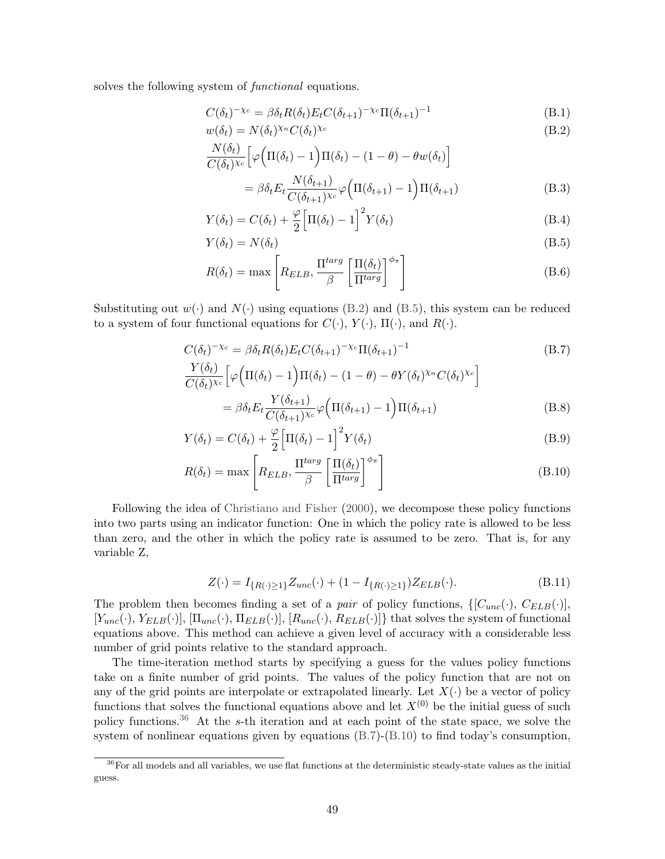solves the following system of functional equations.

$$
C(\delta_t)^{-\chi_c} = \beta \delta_t R(\delta_t) E_t C(\delta_{t+1})^{-\chi_c} \Pi(\delta_{t+1})^{-1}
$$
\n(B.1)

$$
w(\delta_t) = N(\delta_t)^{\chi_n} C(\delta_t)^{\chi_c}
$$
\n(B.2)

$$
\frac{N(\delta_t)}{C(\delta_t)^{\chi_c}} \Big[\varphi\Big(\Pi(\delta_t)-1\Big)\Pi(\delta_t)-(1-\theta)-\theta w(\delta_t)\Big]
$$

<span id="page-49-3"></span><span id="page-49-1"></span><span id="page-49-0"></span>
$$
= \beta \delta_t E_t \frac{N(\delta_{t+1})}{C(\delta_{t+1})^{\chi_c}} \varphi \left( \Pi(\delta_{t+1}) - 1 \right) \Pi(\delta_{t+1})
$$
(B.3)

$$
Y(\delta_t) = C(\delta_t) + \frac{\varphi}{2} \Big[ \Pi(\delta_t) - 1 \Big]^2 Y(\delta_t)
$$
 (B.4)

$$
Y(\delta_t) = N(\delta_t) \tag{B.5}
$$

$$
R(\delta_t) = \max \left[ R_{ELB}, \frac{\Pi^{targ}}{\beta} \left[ \frac{\Pi(\delta_t)}{\Pi^{targ}} \right]^{\phi_{\pi}} \right]
$$
(B.6)

Substituting out  $w(\cdot)$  and  $N(\cdot)$  using equations [\(B.2\)](#page-49-0) and [\(B.5\)](#page-49-1), this system can be reduced to a system of four functional equations for  $C(\cdot)$ ,  $Y(\cdot)$ ,  $\Pi(\cdot)$ , and  $R(\cdot)$ .

$$
C(\delta_t)^{-\chi_c} = \beta \delta_t R(\delta_t) E_t C(\delta_{t+1})^{-\chi_c} \Pi(\delta_{t+1})^{-1}
$$
\n
$$
\frac{Y(\delta_t)}{C(\delta_t)^{\chi_c}} \left[ \varphi \left( \Pi(\delta_t) - 1 \right) \Pi(\delta_t) - (1 - \theta) - \theta Y(\delta_t)^{\chi_n} C(\delta_t)^{\chi_c} \right]
$$
\n
$$
= \beta \delta_t E_t \frac{Y(\delta_{t+1})}{C(\delta_{t+1})^{\chi_c}} \varphi \left( \Pi(\delta_{t+1}) - 1 \right) \Pi(\delta_{t+1})
$$
\n(B.8)

$$
Y(\delta_t) = C(\delta_t) + \frac{\varphi}{2} \Big[ \Pi(\delta_t) - 1 \Big]^2 Y(\delta_t)
$$
\n(B.9)

$$
R(\delta_t) = \max \left[ R_{ELB}, \frac{\Pi^{targ}}{\beta} \left[ \frac{\Pi(\delta_t)}{\Pi^{targ}} \right]^{\phi_{\pi}} \right]
$$
(B.10)

Following the idea of [Christiano and Fisher](#page-41-15) [\(2000\)](#page-41-15), we decompose these policy functions into two parts using an indicator function: One in which the policy rate is allowed to be less than zero, and the other in which the policy rate is assumed to be zero. That is, for any variable Z,

<span id="page-49-4"></span>
$$
Z(\cdot) = I_{\{R(\cdot) \ge 1\}} Z_{unc}(\cdot) + (1 - I_{\{R(\cdot) \ge 1\}}) Z_{ELB}(\cdot).
$$
 (B.11)

The problem then becomes finding a set of a *pair* of policy functions,  $\{[C_{unc}(\cdot), C_{ELB}(\cdot)],\}$  $[Y_{unc}(\cdot), Y_{ELB}(\cdot)], \Pi_{unc}(\cdot), \Pi_{ELB}(\cdot)], [R_{unc}(\cdot), R_{ELB}(\cdot)]\}$  that solves the system of functional equations above. This method can achieve a given level of accuracy with a considerable less number of grid points relative to the standard approach.

The time-iteration method starts by specifying a guess for the values policy functions take on a finite number of grid points. The values of the policy function that are not on any of the grid points are interpolate or extrapolated linearly. Let  $X(\cdot)$  be a vector of policy functions that solves the functional equations above and let  $X^{(0)}$  be the initial guess of such policy functions.<sup>[36](#page-49-2)</sup> At the s-th iteration and at each point of the state space, we solve the system of nonlinear equations given by equations [\(B.7\)](#page-49-3)-[\(B.10\)](#page-49-4) to find today's consumption,

<span id="page-49-2"></span><sup>&</sup>lt;sup>36</sup>For all models and all variables, we use flat functions at the deterministic steady-state values as the initial guess.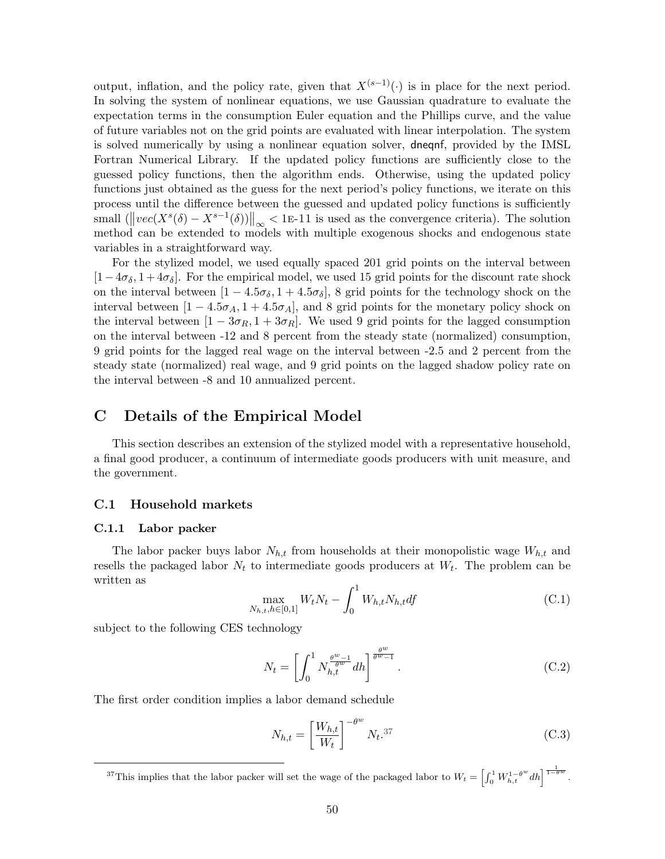output, inflation, and the policy rate, given that  $X^{(s-1)}(\cdot)$  is in place for the next period. In solving the system of nonlinear equations, we use Gaussian quadrature to evaluate the expectation terms in the consumption Euler equation and the Phillips curve, and the value of future variables not on the grid points are evaluated with linear interpolation. The system is solved numerically by using a nonlinear equation solver, dneqnf, provided by the IMSL Fortran Numerical Library. If the updated policy functions are sufficiently close to the guessed policy functions, then the algorithm ends. Otherwise, using the updated policy functions just obtained as the guess for the next period's policy functions, we iterate on this process until the difference between the guessed and updated policy functions is sufficiently small  $(||vec(X<sup>s</sup>(\delta) - X<sup>s-1</sup>(\delta))||_{\infty} < 1$ E-11 is used as the convergence criteria). The solution method can be extended to models with multiple exogenous shocks and endogenous state variables in a straightforward way.

For the stylized model, we used equally spaced 201 grid points on the interval between  $[1-4\sigma_{\delta}, 1+4\sigma_{\delta}]$ . For the empirical model, we used 15 grid points for the discount rate shock on the interval between  $[1 - 4.5\sigma_{\delta}, 1 + 4.5\sigma_{\delta}]$ , 8 grid points for the technology shock on the interval between  $[1 - 4.5\sigma_A, 1 + 4.5\sigma_A]$ , and 8 grid points for the monetary policy shock on the interval between  $[1 - 3\sigma_R, 1 + 3\sigma_R]$ . We used 9 grid points for the lagged consumption on the interval between -12 and 8 percent from the steady state (normalized) consumption, 9 grid points for the lagged real wage on the interval between -2.5 and 2 percent from the steady state (normalized) real wage, and 9 grid points on the lagged shadow policy rate on the interval between -8 and 10 annualized percent.

# <span id="page-50-0"></span>C Details of the Empirical Model

This section describes an extension of the stylized model with a representative household, a final good producer, a continuum of intermediate goods producers with unit measure, and the government.

#### C.1 Household markets

#### C.1.1 Labor packer

The labor packer buys labor  $N_{h,t}$  from households at their monopolistic wage  $W_{h,t}$  and resells the packaged labor  $N_t$  to intermediate goods producers at  $W_t$ . The problem can be written as

$$
\max_{N_{h,t}, h \in [0,1]} W_t N_t - \int_0^1 W_{h,t} N_{h,t} df \tag{C.1}
$$

subject to the following CES technology

$$
N_t = \left[ \int_0^1 N_{h,t}^{\frac{\theta^w - 1}{\theta^w}} dh \right]^{\frac{\theta^w}{\theta^w - 1}}.
$$
 (C.2)

The first order condition implies a labor demand schedule

$$
N_{h,t} = \left[\frac{W_{h,t}}{W_t}\right]^{-\theta^w} N_t^{37}
$$
\n(C.3)

<span id="page-50-1"></span><sup>&</sup>lt;sup>37</sup>This implies that the labor packer will set the wage of the packaged labor to  $W_t = \left[\int_0^1 W_{h,t}^{1-\theta^w} dh\right]^{\frac{1}{1-\theta^w}}$ .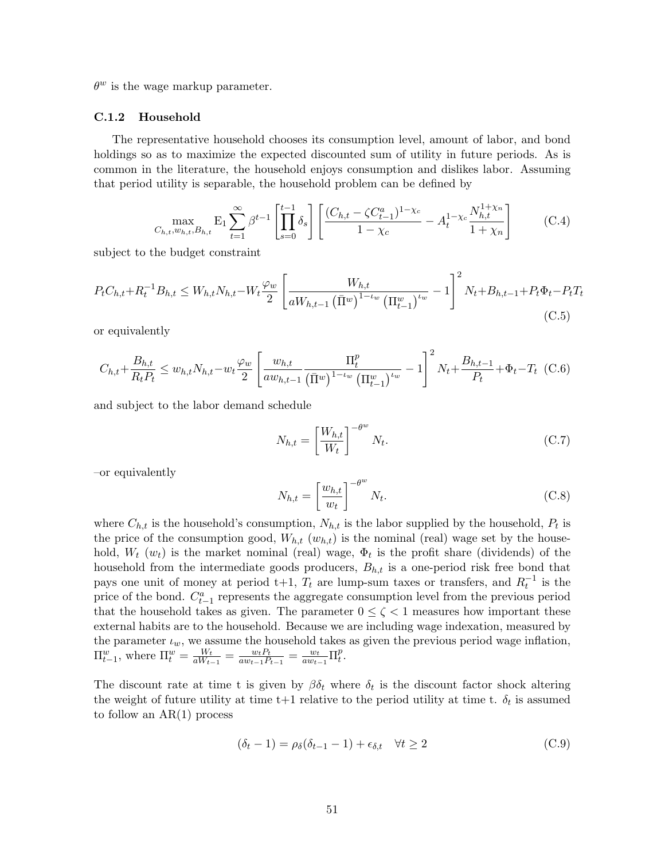$\theta^w$  is the wage markup parameter.

#### C.1.2 Household

The representative household chooses its consumption level, amount of labor, and bond holdings so as to maximize the expected discounted sum of utility in future periods. As is common in the literature, the household enjoys consumption and dislikes labor. Assuming that period utility is separable, the household problem can be defined by

$$
\max_{C_{h,t}, w_{h,t}, B_{h,t}} \mathbf{E}_1 \sum_{t=1}^{\infty} \beta^{t-1} \left[ \prod_{s=0}^{t-1} \delta_s \right] \left[ \frac{(C_{h,t} - \zeta C_{t-1}^a)^{1-\chi_c}}{1-\chi_c} - A_t^{1-\chi_c} \frac{N_{h,t}^{1+\chi_n}}{1+\chi_n} \right] \tag{C.4}
$$

subject to the budget constraint

$$
P_{t}C_{h,t} + R_{t}^{-1}B_{h,t} \leq W_{h,t}N_{h,t} - W_{t}\frac{\varphi_{w}}{2} \left[ \frac{W_{h,t}}{aW_{h,t-1}(\bar{\Pi}^{w})^{1-\iota_{w}}(\Pi_{t-1}^{w})^{\iota_{w}}} - 1 \right]^{2}N_{t} + B_{h,t-1} + P_{t}\Phi_{t} - P_{t}T_{t}
$$
\n(C.5)

or equivalently

$$
C_{h,t} + \frac{B_{h,t}}{R_t P_t} \le w_{h,t} N_{h,t} - w_t \frac{\varphi_w}{2} \left[ \frac{w_{h,t}}{a w_{h,t-1}} \frac{\Pi_t^p}{\left(\bar{\Pi}^w\right)^{1-\iota_w} \left(\Pi_{t-1}^w\right)^{\iota_w}} - 1 \right]^2 N_t + \frac{B_{h,t-1}}{P_t} + \Phi_t - T_t \tag{C.6}
$$

and subject to the labor demand schedule

$$
N_{h,t} = \left[\frac{W_{h,t}}{W_t}\right]^{-\theta^w} N_t.
$$
\n(C.7)

–or equivalently

$$
N_{h,t} = \left[\frac{w_{h,t}}{w_t}\right]^{-\theta^w} N_t.
$$
\n(C.8)

where  $C_{h,t}$  is the household's consumption,  $N_{h,t}$  is the labor supplied by the household,  $P_t$  is the price of the consumption good,  $W_{h,t}$  ( $w_{h,t}$ ) is the nominal (real) wage set by the household,  $W_t(w_t)$  is the market nominal (real) wage,  $\Phi_t$  is the profit share (dividends) of the household from the intermediate goods producers,  $B_{h,t}$  is a one-period risk free bond that pays one unit of money at period t+1,  $T_t$  are lump-sum taxes or transfers, and  $R_t^{-1}$  is the price of the bond.  $C_{t-1}^a$  represents the aggregate consumption level from the previous period that the household takes as given. The parameter  $0 \leq \zeta < 1$  measures how important these external habits are to the household. Because we are including wage indexation, measured by the parameter  $\iota_w$ , we assume the household takes as given the previous period wage inflation,  $\Pi_{t-1}^w$ , where  $\Pi_t^w = \frac{W_t}{aW_{t-1}}$  $\frac{W_t}{aW_{t-1}} = \frac{w_t P_t}{a w_{t-1} P}$  $\frac{w_t P_t}{a w_{t-1} P_{t-1}} = \frac{w_t}{a w_t}$  $\frac{w_t}{aw_{t-1}} \prod_t^p$  $_t^p.$ 

The discount rate at time t is given by  $\beta \delta_t$  where  $\delta_t$  is the discount factor shock altering the weight of future utility at time  $t+1$  relative to the period utility at time t.  $\delta_t$  is assumed to follow an AR(1) process

$$
(\delta_t - 1) = \rho_\delta(\delta_{t-1} - 1) + \epsilon_{\delta, t} \quad \forall t \ge 2
$$
\n(C.9)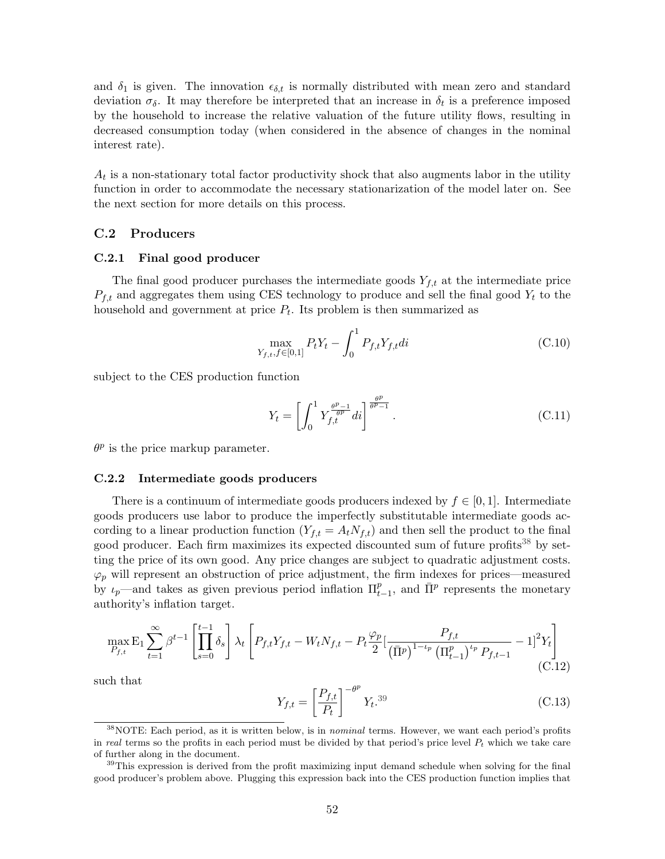and  $\delta_1$  is given. The innovation  $\epsilon_{\delta,t}$  is normally distributed with mean zero and standard deviation  $\sigma_{\delta}$ . It may therefore be interpreted that an increase in  $\delta_t$  is a preference imposed by the household to increase the relative valuation of the future utility flows, resulting in decreased consumption today (when considered in the absence of changes in the nominal interest rate).

 $A_t$  is a non-stationary total factor productivity shock that also augments labor in the utility function in order to accommodate the necessary stationarization of the model later on. See the next section for more details on this process.

### C.2 Producers

#### C.2.1 Final good producer

The final good producer purchases the intermediate goods  $Y_{f,t}$  at the intermediate price  $P_{f,t}$  and aggregates them using CES technology to produce and sell the final good  $Y_t$  to the household and government at price  $P_t$ . Its problem is then summarized as

$$
\max_{Y_{f,t}, f \in [0,1]} P_t Y_t - \int_0^1 P_{f,t} Y_{f,t} dt \tag{C.10}
$$

subject to the CES production function

$$
Y_t = \left[ \int_0^1 Y_{f,t}^{\frac{\theta^p - 1}{\theta^p}} dt \right]^{\frac{\theta^p}{\theta^p - 1}}.
$$
\n(C.11)

 $\theta^p$  is the price markup parameter.

#### C.2.2 Intermediate goods producers

There is a continuum of intermediate goods producers indexed by  $f \in [0, 1]$ . Intermediate goods producers use labor to produce the imperfectly substitutable intermediate goods according to a linear production function  $(Y_{f,t} = A_t N_{f,t})$  and then sell the product to the final good producer. Each firm maximizes its expected discounted sum of future profits<sup>[38](#page-52-0)</sup> by setting the price of its own good. Any price changes are subject to quadratic adjustment costs.  $\varphi_p$  will represent an obstruction of price adjustment, the firm indexes for prices—measured by  $\iota_p$ —and takes as given previous period inflation  $\Pi_{t-1}^p$ , and  $\bar{\Pi}^p$  represents the monetary authority's inflation target.

$$
\max_{P_{f,t}} \mathcal{E}_1 \sum_{t=1}^{\infty} \beta^{t-1} \left[ \prod_{s=0}^{t-1} \delta_s \right] \lambda_t \left[ P_{f,t} Y_{f,t} - W_t N_{f,t} - P_t \frac{\varphi_p}{2} \left[ \frac{P_{f,t}}{\left(\overline{\Pi}^p\right)^{1-\iota_p} \left(\Pi_{t-1}^p\right)^{\iota_p} P_{f,t-1}} - 1 \right]^2 Y_t \right] \tag{C.12}
$$

such that

$$
Y_{f,t} = \left[\frac{P_{f,t}}{P_t}\right]^{-\theta^p} Y_t^{39}
$$
\n(C.13)

<span id="page-52-0"></span> $38\text{NOTE:}$  Each period, as it is written below, is in *nominal* terms. However, we want each period's profits in real terms so the profits in each period must be divided by that period's price level  $P_t$  which we take care of further along in the document.

<span id="page-52-1"></span><sup>&</sup>lt;sup>39</sup>This expression is derived from the profit maximizing input demand schedule when solving for the final good producer's problem above. Plugging this expression back into the CES production function implies that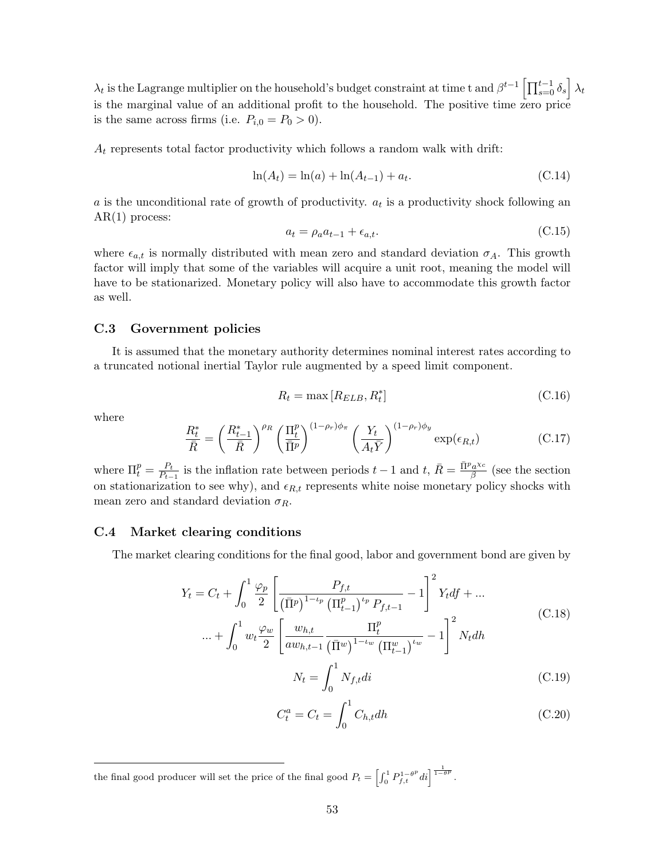$\lambda_t$  is the Lagrange multiplier on the household's budget constraint at time t and  $\beta^{t-1}\left[\prod_{s=0}^{t-1}\delta_s\right]\lambda_t$ is the marginal value of an additional profit to the household. The positive time zero price is the same across firms (i.e.  $P_{i,0} = P_0 > 0$ ).

 $A_t$  represents total factor productivity which follows a random walk with drift:

$$
\ln(A_t) = \ln(a) + \ln(A_{t-1}) + a_t.
$$
\n(C.14)

a is the unconditional rate of growth of productivity.  $a_t$  is a productivity shock following an  $AR(1)$  process:

$$
a_t = \rho_a a_{t-1} + \epsilon_{a,t}.\tag{C.15}
$$

where  $\epsilon_{a,t}$  is normally distributed with mean zero and standard deviation  $\sigma_A$ . This growth factor will imply that some of the variables will acquire a unit root, meaning the model will have to be stationarized. Monetary policy will also have to accommodate this growth factor as well.

### C.3 Government policies

It is assumed that the monetary authority determines nominal interest rates according to a truncated notional inertial Taylor rule augmented by a speed limit component.

$$
R_t = \max\left[R_{ELB}, R_t^*\right] \tag{C.16}
$$

where

$$
\frac{R_t^*}{\bar{R}} = \left(\frac{R_{t-1}^*}{\bar{R}}\right)^{\rho_R} \left(\frac{\Pi_t^p}{\bar{\Pi}^p}\right)^{(1-\rho_r)\phi_\pi} \left(\frac{Y_t}{A_t\bar{Y}}\right)^{(1-\rho_r)\phi_y} \exp(\epsilon_{R,t})
$$
(C.17)

where  $\Pi_t^p = \frac{P_t}{P_{t-}}$  $\frac{P_t}{P_{t-1}}$  is the inflation rate between periods  $t-1$  and  $t, \, \bar{R} = \frac{\bar{\Pi}^p a^{x c}}{\beta}$  $\frac{a^{x_c}}{\beta}$  (see the section on stationarization to see why), and  $\epsilon_{R,t}$  represents white noise monetary policy shocks with mean zero and standard deviation  $\sigma_R$ .

#### C.4 Market clearing conditions

The market clearing conditions for the final good, labor and government bond are given by

$$
Y_{t} = C_{t} + \int_{0}^{1} \frac{\varphi_{p}}{2} \left[ \frac{P_{f,t}}{\left(\overline{\Pi}^{p}\right)^{1-\iota_{p}} \left(\Pi_{t-1}^{p}\right)^{\iota_{p}} P_{f,t-1}} - 1 \right]^{2} Y_{t} df + \dots
$$
\n
$$
\dots + \int_{0}^{1} w_{t} \frac{\varphi_{w}}{2} \left[ \frac{w_{h,t}}{a w_{h,t-1}} \frac{\Pi_{t}^{p}}{\left(\overline{\Pi}^{w}\right)^{1-\iota_{w}} \left(\Pi_{t-1}^{w}\right)^{\iota_{w}} - 1} \right]^{2} N_{t} dh
$$
\n
$$
= \sum_{v \in \mathcal{V}} \int_{0}^{1} \mathcal{N}_{v} d\mathcal{V}.
$$
\n(C.19)

$$
N_t = \int_0^1 N_{f,t}di
$$
 (C.19)

$$
C_t^a = C_t = \int_0^1 C_{h,t} dh
$$
 (C.20)

the final good producer will set the price of the final good  $P_t = \left[\int_0^1 P_{f,t}^{1-\theta^p} dt\right]^{\frac{1}{1-\theta^p}}$ .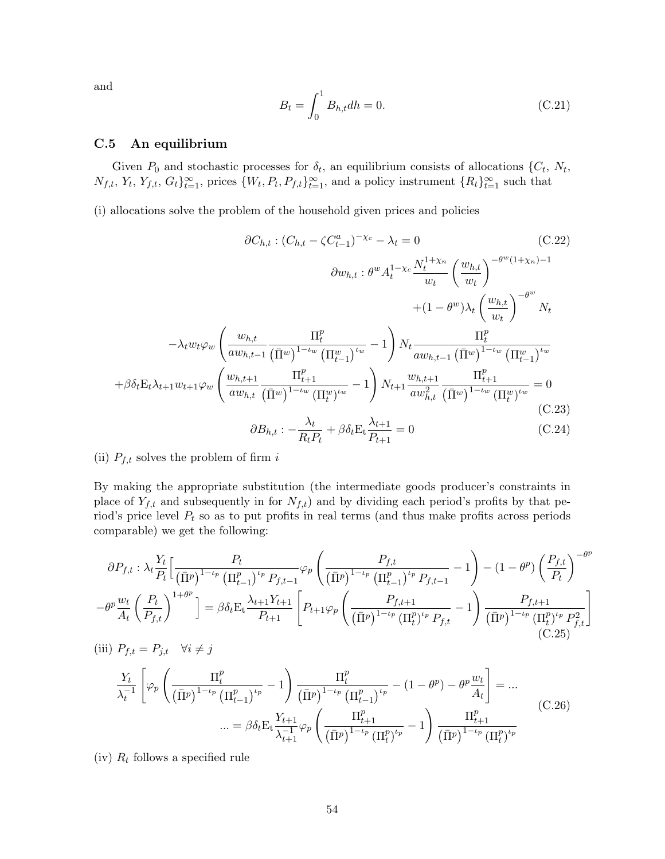and

$$
B_t = \int_0^1 B_{h,t} dh = 0.
$$
 (C.21)

## C.5 An equilibrium

Given  $P_0$  and stochastic processes for  $\delta_t$ , an equilibrium consists of allocations  $\{C_t, N_t,$  $N_{f,t}, Y_t, Y_{f,t}, G_t\}_{t=1}^{\infty}$ , prices  $\{W_t, P_t, P_{f,t}\}_{t=1}^{\infty}$ , and a policy instrument  $\{R_t\}_{t=1}^{\infty}$  such that

(i) allocations solve the problem of the household given prices and policies

$$
\partial C_{h,t} : (C_{h,t} - \zeta C_{t-1}^{a})^{-\chi_c} - \lambda_t = 0 \qquad (C.22)
$$
\n
$$
\partial w_{h,t} : \theta^w A_t^{1-\chi_c} \frac{N_t^{1+\chi_n}}{w_t} \left(\frac{w_{h,t}}{w_t}\right)^{-\theta^w (1+\chi_n)-1}
$$
\n
$$
+ (1 - \theta^w) \lambda_t \left(\frac{w_{h,t}}{w_t}\right)^{-\theta^w} N_t
$$
\n
$$
- \lambda_t w_t \varphi_w \left(\frac{w_{h,t}}{a w_{h,t-1}} \frac{\Pi_t^p}{(\bar{\Pi}^w)^{1-\iota_w} (\Pi_{t-1}^w)^{\iota_w}} - 1\right) N_t \frac{\Pi_t^p}{a w_{h,t-1}} \frac{\Pi_t^p}{(\bar{\Pi}^w)^{1-\iota_w} (\Pi_{t-1}^w)^{\iota_w}}
$$
\n
$$
+ \beta \delta_t \mathcal{E}_t \lambda_{t+1} w_{t+1} \varphi_w \left(\frac{w_{h,t+1}}{a w_{h,t}} \frac{\Pi_{t+1}^p}{(\bar{\Pi}^w)^{1-\iota_w} (\Pi_t^w)^{\iota_w}} - 1\right) N_{t+1} \frac{w_{h,t+1}}{a w_{h,t}^2} \frac{\Pi_{t+1}^p}{(\bar{\Pi}^w)^{1-\iota_w} (\Pi_t^w)^{\iota_w}} = 0
$$
\n
$$
\partial B_{h,t} : - \frac{\lambda_t}{R_t P_t} + \beta \delta_t \mathcal{E}_t \frac{\lambda_{t+1}}{P_{t+1}} = 0 \qquad (C.24)
$$

## (ii)  $P_{f,t}$  solves the problem of firm i

By making the appropriate substitution (the intermediate goods producer's constraints in place of  $Y_{f,t}$  and subsequently in for  $N_{f,t}$ ) and by dividing each period's profits by that period's price level  $P_t$  so as to put profits in real terms (and thus make profits across periods comparable) we get the following:

$$
\partial P_{f,t} : \lambda_t \frac{Y_t}{P_t} \Big[ \frac{P_t}{(\bar{\Pi}^p)^{1-\iota_p} (\Pi_{t-1}^p)^{\iota_p} P_{f,t-1}} \varphi_p \left( \frac{P_{f,t}}{(\bar{\Pi}^p)^{1-\iota_p} (\Pi_{t-1}^p)^{\iota_p} P_{f,t-1}} - 1 \right) - (1 - \theta^p) \left( \frac{P_{f,t}}{P_t} \right)^{-\theta^p}
$$

$$
-\theta^p \frac{w_t}{A_t} \left( \frac{P_t}{P_{f,t}} \right)^{1+\theta^p} \Big] = \beta \delta_t E_t \frac{\lambda_{t+1} Y_{t+1}}{P_{t+1}} \Big[ P_{t+1} \varphi_p \left( \frac{P_{f,t+1}}{(\bar{\Pi}^p)^{1-\iota_p} (\Pi_t^p)^{\iota_p} P_{f,t}} - 1 \right) \frac{P_{f,t+1}}{(\bar{\Pi}^p)^{1-\iota_p} (\Pi_t^p)^{\iota_p} P_{f,t}^2} \Big]
$$
  
(iii)  $P_{f,t} = P_{j,t} \quad \forall i \neq j$  (C.25)

$$
\frac{Y_t}{\lambda_t^{-1}} \left[ \varphi_p \left( \frac{\Pi_t^p}{(\bar{\Pi}^p)^{1-\iota_p} (\Pi_{t-1}^p)^{\iota_p}} - 1 \right) \frac{\Pi_t^p}{(\bar{\Pi}^p)^{1-\iota_p} (\Pi_{t-1}^p)^{\iota_p}} - (1 - \theta^p) - \theta^p \frac{w_t}{A_t} \right] = \dots
$$
  

$$
\dots = \beta \delta_t \mathcal{E}_t \frac{Y_{t+1}}{\lambda_{t+1}^{-1}} \varphi_p \left( \frac{\Pi_{t+1}^p}{(\bar{\Pi}^p)^{1-\iota_p} (\Pi_t^p)^{\iota_p}} - 1 \right) \frac{\Pi_{t+1}^p}{(\bar{\Pi}^p)^{1-\iota_p} (\Pi_t^p)^{\iota_p}} \tag{C.26}
$$

(iv)  $R_t$  follows a specified rule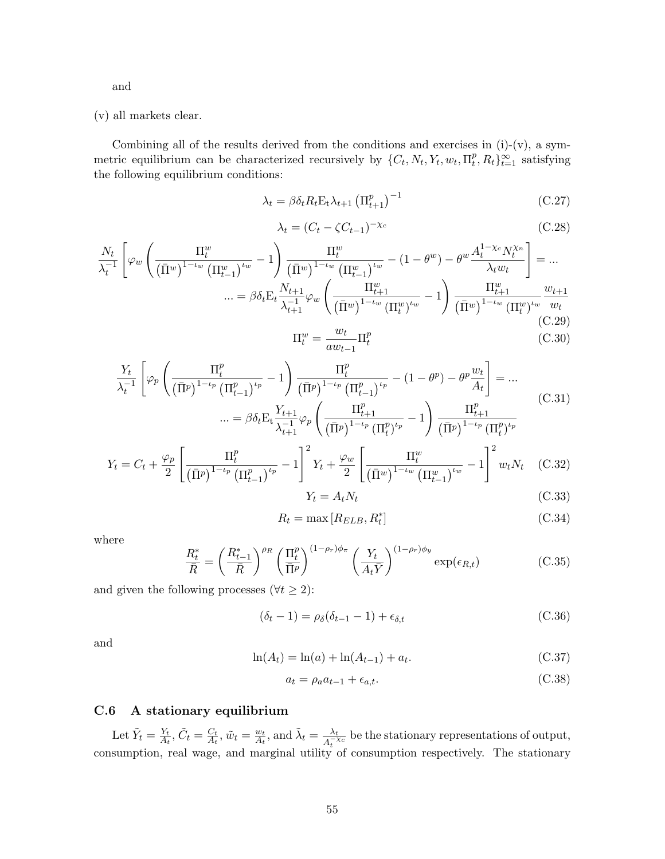and

(v) all markets clear.

Combining all of the results derived from the conditions and exercises in  $(i)-(v)$ , a symmetric equilibrium can be characterized recursively by  $\{C_t, N_t, Y_t, w_t, \Pi_t^p\}$  $_t^p, R_t \}_{t=1}^\infty$  satisfying the following equilibrium conditions:

$$
\lambda_t = \beta \delta_t R_t \mathbf{E}_t \lambda_{t+1} \left( \Pi_{t+1}^p \right)^{-1} \tag{C.27}
$$

$$
\lambda_t = (C_t - \zeta C_{t-1})^{-\chi_c} \tag{C.28}
$$

$$
\frac{N_t}{\lambda_t^{-1}} \left[ \varphi_w \left( \frac{\Pi_t^w}{(\bar{\Pi}^w)^{1-\iota_w} (\Pi_{t-1}^w)^{\iota_w}} - 1 \right) \frac{\Pi_t^w}{(\bar{\Pi}^w)^{1-\iota_w} (\Pi_{t-1}^w)^{\iota_w}} - (1 - \theta^w) - \theta^w \frac{A_t^{1-\chi_c} N_t^{\chi_n}}{\lambda_t w_t} \right] = \dots \n\dots = \beta \delta_t \mathcal{E}_t \frac{N_{t+1}}{\lambda_{t+1}^{-1}} \varphi_w \left( \frac{\Pi_{t+1}^w}{(\bar{\Pi}^w)^{1-\iota_w} (\Pi_t^w)^{\iota_w}} - 1 \right) \frac{\Pi_{t+1}^w}{(\bar{\Pi}^w)^{1-\iota_w} (\Pi_t^w)^{\iota_w}} \frac{w_{t+1}}{w_t} \n\text{(C.29)}
$$
\n
$$
\Pi_w^w = \frac{w_t}{\lambda_{t+1}} \Pi_v^p
$$

$$
\Pi_t^w = \frac{w_t}{aw_{t-1}} \Pi_t^p \tag{C.30}
$$

$$
\frac{Y_t}{\lambda_t^{-1}} \left[ \varphi_p \left( \frac{\Pi_t^p}{(\bar{\Pi}^p)^{1-\iota_p} (\Pi_{t-1}^p)^{\iota_p}} - 1 \right) \frac{\Pi_t^p}{(\bar{\Pi}^p)^{1-\iota_p} (\Pi_{t-1}^p)^{\iota_p}} - (1 - \theta^p) - \theta^p \frac{w_t}{A_t} \right] = \dots
$$
\n
$$
\dots = \beta \delta_t \mathcal{E}_t \frac{Y_{t+1}}{\lambda_{t+1}^{-1}} \varphi_p \left( \frac{\Pi_{t+1}^p}{(\bar{\Pi}^p)^{1-\iota_p} (\Pi_t^p)^{\iota_p}} - 1 \right) \frac{\Pi_{t+1}^p}{(\bar{\Pi}^p)^{1-\iota_p} (\Pi_t^p)^{\iota_p}} \tag{C.31}
$$

$$
Y_t = C_t + \frac{\varphi_p}{2} \left[ \frac{\Pi_t^p}{(\bar{\Pi}^p)^{1-\iota_p} (\Pi_{t-1}^p)^{\iota_p}} - 1 \right]^2 Y_t + \frac{\varphi_w}{2} \left[ \frac{\Pi_t^w}{(\bar{\Pi}^w)^{1-\iota_w} (\Pi_{t-1}^w)^{\iota_w}} - 1 \right]^2 w_t N_t \quad (C.32)
$$

$$
Y_t = A_t N_t \tag{C.33}
$$

$$
R_t = \max\left[R_{ELB}, R_t^*\right] \tag{C.34}
$$

where

$$
\frac{R_t^*}{\bar{R}} = \left(\frac{R_{t-1}^*}{\bar{R}}\right)^{\rho_R} \left(\frac{\Pi_t^p}{\bar{\Pi}^p}\right)^{(1-\rho_r)\phi_\pi} \left(\frac{Y_t}{A_t\bar{Y}}\right)^{(1-\rho_r)\phi_y} \exp(\epsilon_{R,t})\tag{C.35}
$$

and given the following processes ( $\forall t \geq 2$ ):

$$
(\delta_t - 1) = \rho_\delta(\delta_{t-1} - 1) + \epsilon_{\delta, t} \tag{C.36}
$$

and

$$
\ln(A_t) = \ln(a) + \ln(A_{t-1}) + a_t.
$$
\n(C.37)

$$
a_t = \rho_a a_{t-1} + \epsilon_{a,t}.\tag{C.38}
$$

# C.6 A stationary equilibrium

Let  $\tilde{Y}_t = \frac{Y_t}{A_t}$  $\frac{Y_t}{A_t}, \tilde{C}_t = \frac{C_t}{A_t}$  $\frac{C_t}{A_t}, \tilde{w}_t = \frac{w_t}{A_t}$  $\frac{w_t}{A_t}$ , and  $\tilde{\lambda}_t = \frac{\lambda_t}{A_t^{-}}$  $\frac{\lambda_t}{A_t^{-\chi_c}}$  be the stationary representations of output, consumption, real wage, and marginal utility of consumption respectively. The stationary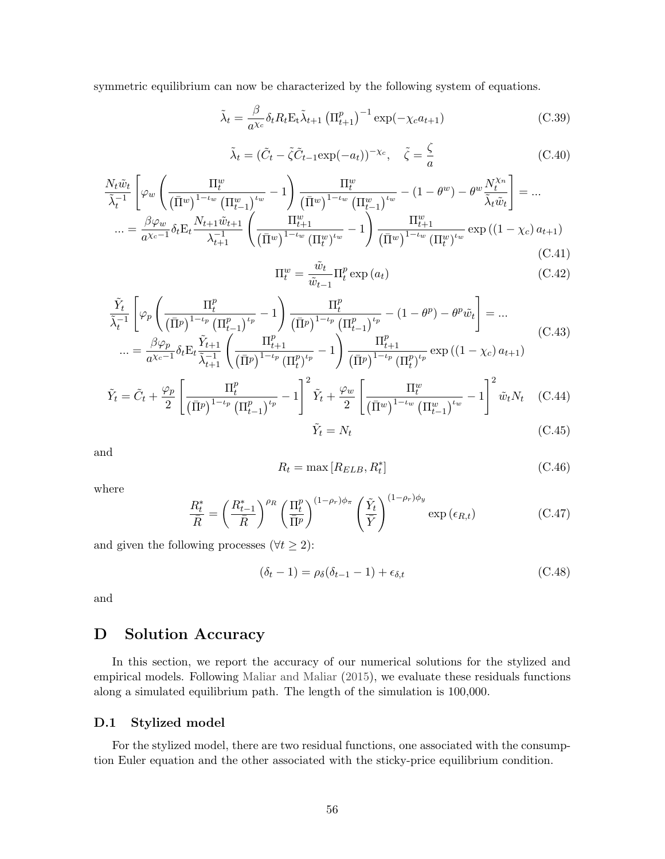symmetric equilibrium can now be characterized by the following system of equations.

$$
\tilde{\lambda}_t = \frac{\beta}{a^{\chi_c}} \delta_t R_t \mathbf{E}_t \tilde{\lambda}_{t+1} \left( \Pi_{t+1}^p \right)^{-1} \exp(-\chi_c a_{t+1}) \tag{C.39}
$$

$$
\tilde{\lambda}_t = (\tilde{C}_t - \tilde{\zeta}\tilde{C}_{t-1} \exp(-a_t))^{-\chi_c}, \quad \tilde{\zeta} = \frac{\zeta}{a}
$$
\n(C.40)

$$
\frac{N_t \tilde{w}_t}{\tilde{\lambda}_t^{-1}} \left[ \varphi_w \left( \frac{\Pi_t^w}{(\bar{\Pi}^w)^{1-\iota_w} (\Pi_{t-1}^w)^{\iota_w}} - 1 \right) \frac{\Pi_t^w}{(\bar{\Pi}^w)^{1-\iota_w} (\Pi_{t-1}^w)^{\iota_w}} - (1 - \theta^w) - \theta^w \frac{N_t^{\chi_n}}{\tilde{\lambda}_t \tilde{w}_t} \right] = \dots \n\dots = \frac{\beta \varphi_w}{a^{\chi_c-1}} \delta_t E_t \frac{N_{t+1} \tilde{w}_{t+1}}{\lambda_{t+1}^{-1}} \left( \frac{\Pi_{t+1}^w}{(\bar{\Pi}^w)^{1-\iota_w} (\Pi_t^w)^{\iota_w}} - 1 \right) \frac{\Pi_{t+1}^w}{(\bar{\Pi}^w)^{1-\iota_w} (\Pi_t^w)^{\iota_w}} \exp((1 - \chi_c) a_{t+1})
$$
\n(C.41)

$$
\Pi_t^w = \frac{\tilde{w}_t}{\tilde{w}_{t-1}} \Pi_t^p \exp(a_t)
$$
\n(C.42)

$$
\frac{\tilde{Y}_t}{\tilde{\lambda}_t^{-1}} \left[ \varphi_p \left( \frac{\Pi_t^p}{(\bar{\Pi}^p)^{1-\iota_p} (\Pi_{t-1}^p)^{\iota_p}} - 1 \right) \frac{\Pi_t^p}{(\bar{\Pi}^p)^{1-\iota_p} (\Pi_{t-1}^p)^{\iota_p}} - (1 - \theta^p) - \theta^p \tilde{w}_t \right] = \dots \n\dots = \frac{\beta \varphi_p}{a^{\chi_c-1}} \delta_t \mathcal{E}_t \frac{\tilde{Y}_{t+1}}{\tilde{\lambda}_{t+1}^{-1}} \left( \frac{\Pi_{t+1}^p}{(\bar{\Pi}^p)^{1-\iota_p} (\Pi_t^p)^{\iota_p}} - 1 \right) \frac{\Pi_{t+1}^p}{(\bar{\Pi}^p)^{1-\iota_p} (\Pi_t^p)^{\iota_p}} \exp((1 - \chi_c) a_{t+1})
$$
\n(C.43)

$$
\tilde{Y}_t = \tilde{C}_t + \frac{\varphi_p}{2} \left[ \frac{\Pi_t^p}{(\bar{\Pi}^p)^{1-\iota_p} (\Pi_{t-1}^p)^{\iota_p}} - 1 \right]^2 \tilde{Y}_t + \frac{\varphi_w}{2} \left[ \frac{\Pi_t^w}{(\bar{\Pi}^w)^{1-\iota_w} (\Pi_{t-1}^w)^{\iota_w}} - 1 \right]^2 \tilde{w}_t N_t \quad (C.44)
$$
\n
$$
\tilde{Y}_t = N_t \quad (C.45)
$$

$$
\dot{\tau}_t = N_t \tag{C.45}
$$

and

$$
R_t = \max\left[R_{ELB}, R_t^*\right] \tag{C.46}
$$

where

$$
\frac{R_t^*}{\bar{R}} = \left(\frac{R_{t-1}^*}{\bar{R}}\right)^{\rho_R} \left(\frac{\Pi_t^p}{\bar{\Pi}^p}\right)^{(1-\rho_r)\phi_\pi} \left(\frac{\tilde{Y}_t}{\bar{Y}}\right)^{(1-\rho_r)\phi_y} \exp\left(\epsilon_{R,t}\right) \tag{C.47}
$$

and given the following processes ( $\forall t \geq 2$ ):

$$
(\delta_t - 1) = \rho_\delta(\delta_{t-1} - 1) + \epsilon_{\delta, t} \tag{C.48}
$$

and

# D Solution Accuracy

In this section, we report the accuracy of our numerical solutions for the stylized and empirical models. Following [Maliar and Maliar](#page-43-14) [\(2015\)](#page-43-14), we evaluate these residuals functions along a simulated equilibrium path. The length of the simulation is 100,000.

## D.1 Stylized model

For the stylized model, there are two residual functions, one associated with the consumption Euler equation and the other associated with the sticky-price equilibrium condition.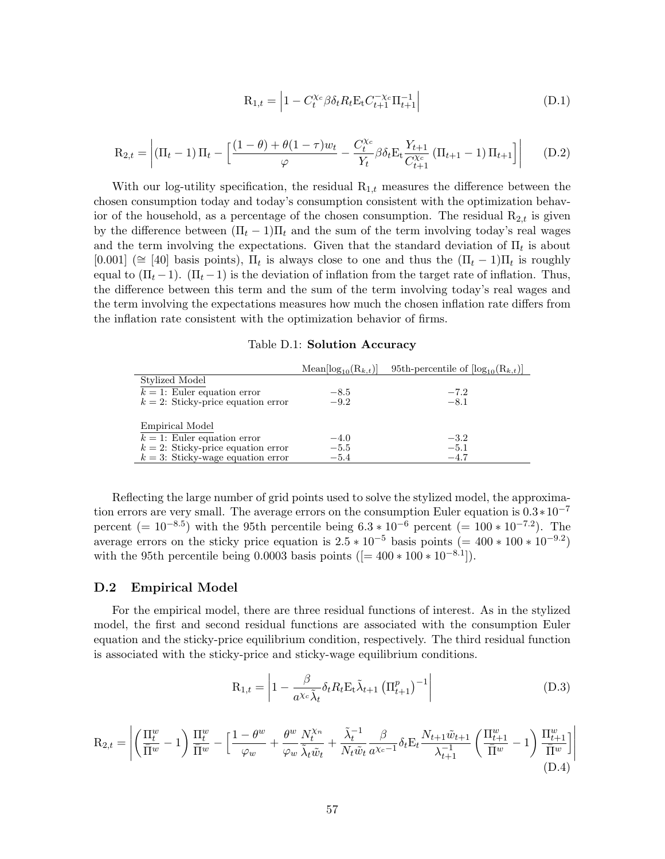$$
R_{1,t} = \left| 1 - C_t^{\chi_c} \beta \delta_t R_t E_t C_{t+1}^{-\chi_c} \Pi_{t+1}^{-1} \right| \tag{D.1}
$$

$$
R_{2,t} = \left| (\Pi_t - 1) \Pi_t - \left[ \frac{(1 - \theta) + \theta (1 - \tau) w_t}{\varphi} - \frac{C_t^{\chi_c}}{Y_t} \beta \delta_t E_t \frac{Y_{t+1}}{C_{t+1}^{\chi_c}} (\Pi_{t+1} - 1) \Pi_{t+1} \right] \right| \tag{D.2}
$$

With our log-utility specification, the residual  $R_{1,t}$  measures the difference between the chosen consumption today and today's consumption consistent with the optimization behavior of the household, as a percentage of the chosen consumption. The residual  $R_{2,t}$  is given by the difference between  $(\Pi_t - 1)\Pi_t$  and the sum of the term involving today's real wages and the term involving the expectations. Given that the standard deviation of  $\Pi_t$  is about [0.001] ( $\cong$  [40] basis points),  $\Pi_t$  is always close to one and thus the  $(\Pi_t - 1)\Pi_t$  is roughly equal to  $(\Pi_t - 1)$ .  $(\Pi_t - 1)$  is the deviation of inflation from the target rate of inflation. Thus, the difference between this term and the sum of the term involving today's real wages and the term involving the expectations measures how much the chosen inflation rate differs from the inflation rate consistent with the optimization behavior of firms.

#### Table D.1: Solution Accuracy

<span id="page-57-0"></span>

|                                       | $Mean[log_{10}(R_{k,t})]$ | 95th-percentile of $[\log_{10}(R_{k,t})]$ |
|---------------------------------------|---------------------------|-------------------------------------------|
| Stylized Model                        |                           |                                           |
| $k = 1$ : Euler equation error        | $-8.5$                    | $-7.2$                                    |
| $k = 2$ : Sticky-price equation error | $-9.2$                    | $-8.1$                                    |
|                                       |                           |                                           |
| Empirical Model                       |                           |                                           |
| $k = 1$ : Euler equation error        | $-4.0$                    | $-3.2$                                    |
| $k = 2$ : Sticky-price equation error | $-5.5$                    | $-5.1$                                    |
| $k=3$ : Sticky-wage equation error    | $-5.4$                    | $-4.7$                                    |

Reflecting the large number of grid points used to solve the stylized model, the approximation errors are very small. The average errors on the consumption Euler equation is  $0.3*10^{-7}$ percent (=  $10^{-8.5}$ ) with the 95th percentile being  $6.3 * 10^{-6}$  percent (=  $100 * 10^{-7.2}$ ). The average errors on the sticky price equation is  $2.5 * 10^{-5}$  basis points (= 400  $* 100 * 10^{-9.2}$ ) with the 95th percentile being 0.0003 basis points  $(= 400 * 100 * 10^{-8.1}].$ 

## D.2 Empirical Model

For the empirical model, there are three residual functions of interest. As in the stylized model, the first and second residual functions are associated with the consumption Euler equation and the sticky-price equilibrium condition, respectively. The third residual function is associated with the sticky-price and sticky-wage equilibrium conditions.

$$
R_{1,t} = \left| 1 - \frac{\beta}{a^{\chi_c} \tilde{\lambda}_t} \delta_t R_t E_t \tilde{\lambda}_{t+1} \left( \Pi_{t+1}^p \right)^{-1} \right| \tag{D.3}
$$

$$
\mathbf{R}_{2,t} = \left| \left( \frac{\Pi_t^w}{\overline{\Pi}^w} - 1 \right) \frac{\Pi_t^w}{\overline{\Pi}^w} - \left[ \frac{1 - \theta^w}{\varphi_w} + \frac{\theta^w}{\varphi_w} \frac{N_t^{\chi_n}}{\tilde{\lambda}_t \tilde{w}_t} + \frac{\tilde{\lambda}_t^{-1}}{N_t \tilde{w}_t} \frac{\beta}{a^{\chi_c - 1}} \delta_t \mathbf{E}_t \frac{N_{t+1} \tilde{w}_{t+1}}{\lambda_{t+1}^{-1}} \left( \frac{\Pi_{t+1}^w}{\overline{\Pi}^w} - 1 \right) \frac{\Pi_{t+1}^w}{\overline{\Pi}^w} \right] \right|
$$
\n(D.4)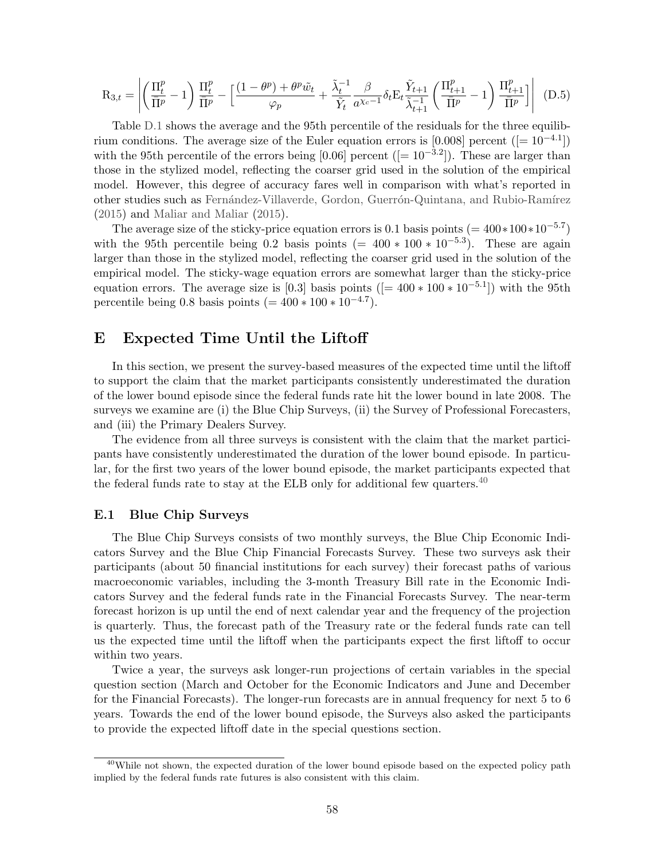$$
\mathbf{R}_{3,t} = \left| \left( \frac{\Pi_t^p}{\overline{\Pi}^p} - 1 \right) \frac{\Pi_t^p}{\overline{\Pi}^p} - \left[ \frac{(1 - \theta^p) + \theta^p \tilde{w}_t}{\varphi_p} + \frac{\tilde{\lambda}_t^{-1}}{\tilde{Y}_t} \frac{\beta}{a^{\chi_c - 1}} \delta_t \mathbf{E}_t \frac{\tilde{Y}_{t+1}}{\tilde{\lambda}_{t+1}} \left( \frac{\Pi_{t+1}^p}{\overline{\Pi}^p} - 1 \right) \frac{\Pi_{t+1}^p}{\overline{\Pi}^p} \right] \right| \tag{D.5}
$$

Table [D.1](#page-57-0) shows the average and the 95th percentile of the residuals for the three equilibrium conditions. The average size of the Euler equation errors is [0.008] percent ( $[=10^{-4.1}]$ ) with the 95th percentile of the errors being [0.06] percent ( $[= 10^{-3.2}]$ ). These are larger than those in the stylized model, reflecting the coarser grid used in the solution of the empirical model. However, this degree of accuracy fares well in comparison with what's reported in other studies such as Fernández-Villaverde, Gordon, Guerrón-Quintana, and Rubio-Ramírez [\(2015\)](#page-43-15) and [Maliar and Maliar](#page-43-14) [\(2015\)](#page-43-14).

The average size of the sticky-price equation errors is 0.1 basis points  $(= 400 * 100 * 10^{-5.7})$ with the 95th percentile being 0.2 basis points  $(= 400 * 100 * 10^{-5.3})$ . These are again larger than those in the stylized model, reflecting the coarser grid used in the solution of the empirical model. The sticky-wage equation errors are somewhat larger than the sticky-price equation errors. The average size is [0.3] basis points  $([-400 * 100 * 10^{-5.1}])$  with the 95th percentile being 0.8 basis points  $(= 400 * 100 * 10^{-4.7}).$ 

# <span id="page-58-0"></span>E Expected Time Until the Liftoff

In this section, we present the survey-based measures of the expected time until the liftoff to support the claim that the market participants consistently underestimated the duration of the lower bound episode since the federal funds rate hit the lower bound in late 2008. The surveys we examine are (i) the Blue Chip Surveys, (ii) the Survey of Professional Forecasters, and (iii) the Primary Dealers Survey.

The evidence from all three surveys is consistent with the claim that the market participants have consistently underestimated the duration of the lower bound episode. In particular, for the first two years of the lower bound episode, the market participants expected that the federal funds rate to stay at the ELB only for additional few quarters.<sup>[40](#page-58-1)</sup>

#### E.1 Blue Chip Surveys

The Blue Chip Surveys consists of two monthly surveys, the Blue Chip Economic Indicators Survey and the Blue Chip Financial Forecasts Survey. These two surveys ask their participants (about 50 financial institutions for each survey) their forecast paths of various macroeconomic variables, including the 3-month Treasury Bill rate in the Economic Indicators Survey and the federal funds rate in the Financial Forecasts Survey. The near-term forecast horizon is up until the end of next calendar year and the frequency of the projection is quarterly. Thus, the forecast path of the Treasury rate or the federal funds rate can tell us the expected time until the liftoff when the participants expect the first liftoff to occur within two years.

Twice a year, the surveys ask longer-run projections of certain variables in the special question section (March and October for the Economic Indicators and June and December for the Financial Forecasts). The longer-run forecasts are in annual frequency for next 5 to 6 years. Towards the end of the lower bound episode, the Surveys also asked the participants to provide the expected liftoff date in the special questions section.

<span id="page-58-1"></span><sup>&</sup>lt;sup>40</sup>While not shown, the expected duration of the lower bound episode based on the expected policy path implied by the federal funds rate futures is also consistent with this claim.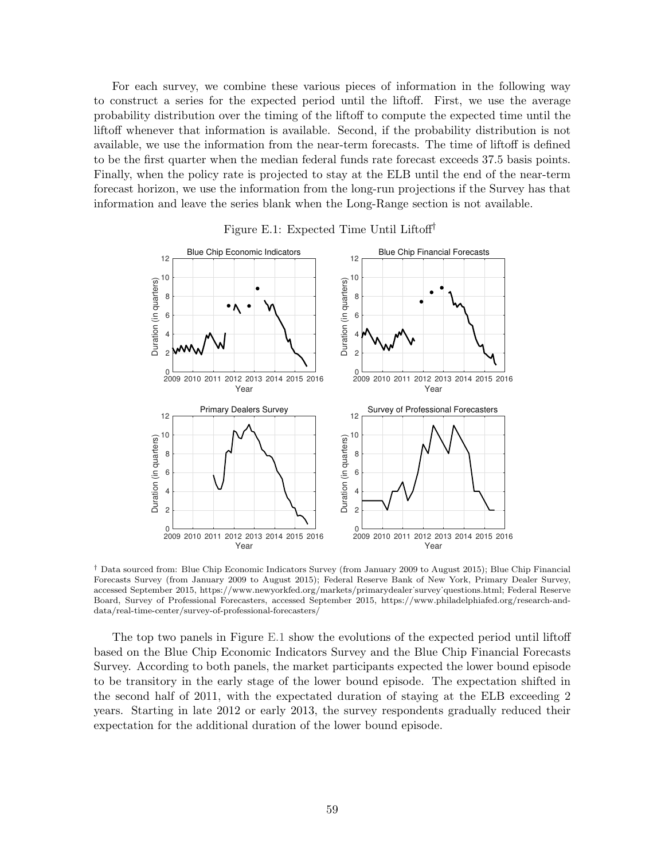For each survey, we combine these various pieces of information in the following way to construct a series for the expected period until the liftoff. First, we use the average probability distribution over the timing of the liftoff to compute the expected time until the liftoff whenever that information is available. Second, if the probability distribution is not available, we use the information from the near-term forecasts. The time of liftoff is defined to be the first quarter when the median federal funds rate forecast exceeds 37.5 basis points. Finally, when the policy rate is projected to stay at the ELB until the end of the near-term forecast horizon, we use the information from the long-run projections if the Survey has that information and leave the series blank when the Long-Range section is not available.

<span id="page-59-0"></span>



† Data sourced from: Blue Chip Economic Indicators Survey (from January 2009 to August 2015); Blue Chip Financial Forecasts Survey (from January 2009 to August 2015); Federal Reserve Bank of New York, Primary Dealer Survey, accessed September 2015, https://www.newyorkfed.org/markets/primarydealer˙survey˙questions.html; Federal Reserve Board, Survey of Professional Forecasters, accessed September 2015, https://www.philadelphiafed.org/research-anddata/real-time-center/survey-of-professional-forecasters/

The top two panels in Figure [E.1](#page-59-0) show the evolutions of the expected period until liftoff based on the Blue Chip Economic Indicators Survey and the Blue Chip Financial Forecasts Survey. According to both panels, the market participants expected the lower bound episode to be transitory in the early stage of the lower bound episode. The expectation shifted in the second half of 2011, with the expectated duration of staying at the ELB exceeding 2 years. Starting in late 2012 or early 2013, the survey respondents gradually reduced their expectation for the additional duration of the lower bound episode.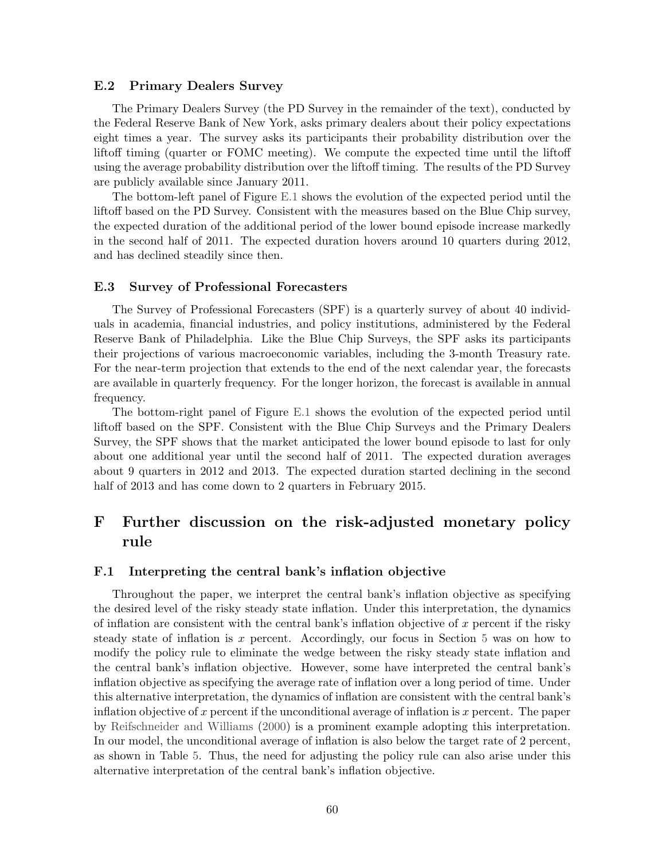#### E.2 Primary Dealers Survey

The Primary Dealers Survey (the PD Survey in the remainder of the text), conducted by the Federal Reserve Bank of New York, asks primary dealers about their policy expectations eight times a year. The survey asks its participants their probability distribution over the liftoff timing (quarter or FOMC meeting). We compute the expected time until the liftoff using the average probability distribution over the liftoff timing. The results of the PD Survey are publicly available since January 2011.

The bottom-left panel of Figure [E.1](#page-59-0) shows the evolution of the expected period until the liftoff based on the PD Survey. Consistent with the measures based on the Blue Chip survey, the expected duration of the additional period of the lower bound episode increase markedly in the second half of 2011. The expected duration hovers around 10 quarters during 2012, and has declined steadily since then.

#### E.3 Survey of Professional Forecasters

The Survey of Professional Forecasters (SPF) is a quarterly survey of about 40 individuals in academia, financial industries, and policy institutions, administered by the Federal Reserve Bank of Philadelphia. Like the Blue Chip Surveys, the SPF asks its participants their projections of various macroeconomic variables, including the 3-month Treasury rate. For the near-term projection that extends to the end of the next calendar year, the forecasts are available in quarterly frequency. For the longer horizon, the forecast is available in annual frequency.

The bottom-right panel of Figure [E.1](#page-59-0) shows the evolution of the expected period until liftoff based on the SPF. Consistent with the Blue Chip Surveys and the Primary Dealers Survey, the SPF shows that the market anticipated the lower bound episode to last for only about one additional year until the second half of 2011. The expected duration averages about 9 quarters in 2012 and 2013. The expected duration started declining in the second half of 2013 and has come down to 2 quarters in February 2015.

# <span id="page-60-0"></span>F Further discussion on the risk-adjusted monetary policy rule

### F.1 Interpreting the central bank's inflation objective

Throughout the paper, we interpret the central bank's inflation objective as specifying the desired level of the risky steady state inflation. Under this interpretation, the dynamics of inflation are consistent with the central bank's inflation objective of x percent if the risky steady state of inflation is x percent. Accordingly, our focus in Section [5](#page-29-0) was on how to modify the policy rule to eliminate the wedge between the risky steady state inflation and the central bank's inflation objective. However, some have interpreted the central bank's inflation objective as specifying the average rate of inflation over a long period of time. Under this alternative interpretation, the dynamics of inflation are consistent with the central bank's inflation objective of x percent if the unconditional average of inflation is  $x$  percent. The paper by [Reifschneider and Williams](#page-44-3) [\(2000\)](#page-44-3) is a prominent example adopting this interpretation. In our model, the unconditional average of inflation is also below the target rate of 2 percent, as shown in Table [5.](#page-23-0) Thus, the need for adjusting the policy rule can also arise under this alternative interpretation of the central bank's inflation objective.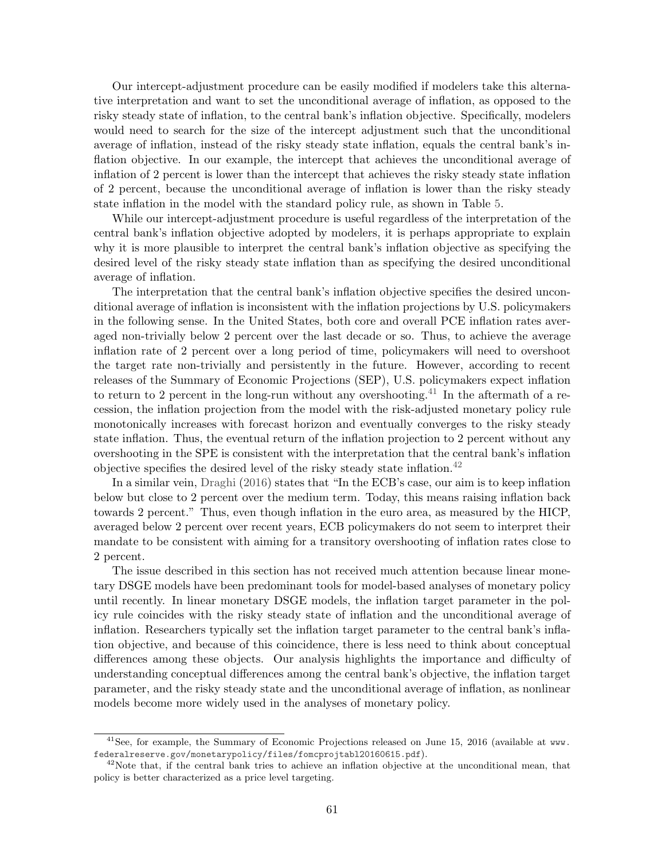Our intercept-adjustment procedure can be easily modified if modelers take this alternative interpretation and want to set the unconditional average of inflation, as opposed to the risky steady state of inflation, to the central bank's inflation objective. Specifically, modelers would need to search for the size of the intercept adjustment such that the unconditional average of inflation, instead of the risky steady state inflation, equals the central bank's inflation objective. In our example, the intercept that achieves the unconditional average of inflation of 2 percent is lower than the intercept that achieves the risky steady state inflation of 2 percent, because the unconditional average of inflation is lower than the risky steady state inflation in the model with the standard policy rule, as shown in Table [5.](#page-23-0)

While our intercept-adjustment procedure is useful regardless of the interpretation of the central bank's inflation objective adopted by modelers, it is perhaps appropriate to explain why it is more plausible to interpret the central bank's inflation objective as specifying the desired level of the risky steady state inflation than as specifying the desired unconditional average of inflation.

The interpretation that the central bank's inflation objective specifies the desired unconditional average of inflation is inconsistent with the inflation projections by U.S. policymakers in the following sense. In the United States, both core and overall PCE inflation rates averaged non-trivially below 2 percent over the last decade or so. Thus, to achieve the average inflation rate of 2 percent over a long period of time, policymakers will need to overshoot the target rate non-trivially and persistently in the future. However, according to recent releases of the Summary of Economic Projections (SEP), U.S. policymakers expect inflation to return to 2 percent in the long-run without any overshooting.<sup>[41](#page-61-0)</sup> In the aftermath of a recession, the inflation projection from the model with the risk-adjusted monetary policy rule monotonically increases with forecast horizon and eventually converges to the risky steady state inflation. Thus, the eventual return of the inflation projection to 2 percent without any overshooting in the SPE is consistent with the interpretation that the central bank's inflation objective specifies the desired level of the risky steady state inflation.<sup>[42](#page-61-1)</sup>

In a similar vein, [Draghi](#page-42-14) [\(2016\)](#page-42-14) states that "In the ECB's case, our aim is to keep inflation below but close to 2 percent over the medium term. Today, this means raising inflation back towards 2 percent." Thus, even though inflation in the euro area, as measured by the HICP, averaged below 2 percent over recent years, ECB policymakers do not seem to interpret their mandate to be consistent with aiming for a transitory overshooting of inflation rates close to 2 percent.

The issue described in this section has not received much attention because linear monetary DSGE models have been predominant tools for model-based analyses of monetary policy until recently. In linear monetary DSGE models, the inflation target parameter in the policy rule coincides with the risky steady state of inflation and the unconditional average of inflation. Researchers typically set the inflation target parameter to the central bank's inflation objective, and because of this coincidence, there is less need to think about conceptual differences among these objects. Our analysis highlights the importance and difficulty of understanding conceptual differences among the central bank's objective, the inflation target parameter, and the risky steady state and the unconditional average of inflation, as nonlinear models become more widely used in the analyses of monetary policy.

<span id="page-61-0"></span><sup>&</sup>lt;sup>41</sup>See, for example, the Summary of Economic Projections released on June 15, 2016 (available at [www.](www.federalreserve.gov/monetarypolicy/files/fomcprojtabl20160615.pdf) [federalreserve.gov/monetarypolicy/files/fomcprojtabl20160615.pdf](www.federalreserve.gov/monetarypolicy/files/fomcprojtabl20160615.pdf)).

<span id="page-61-1"></span> $42$ Note that, if the central bank tries to achieve an inflation objective at the unconditional mean, that policy is better characterized as a price level targeting.